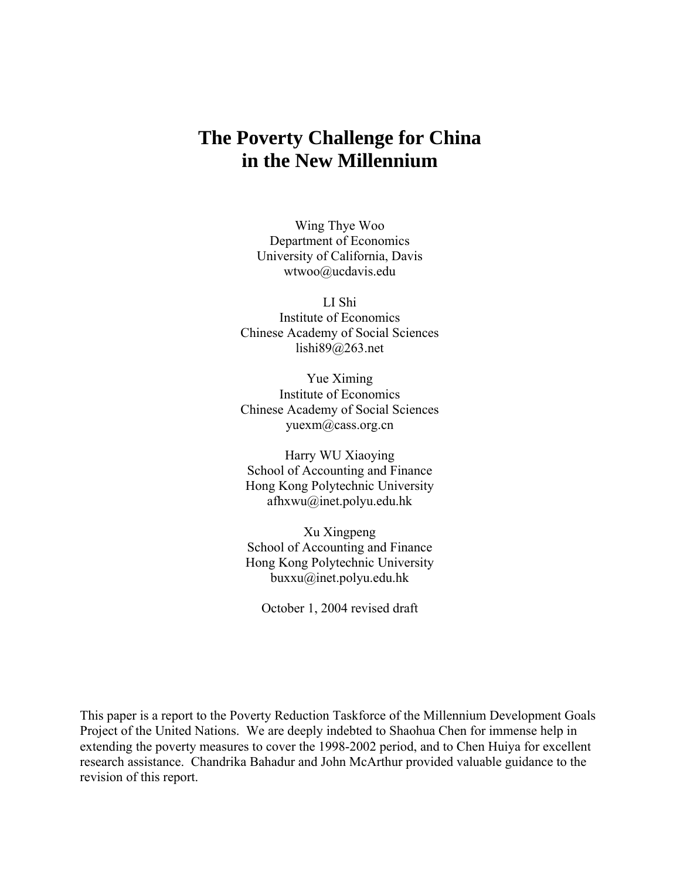# **The Poverty Challenge for China in the New Millennium**

Wing Thye Woo Department of Economics University of California, Davis wtwoo@ucdavis.edu

LI Shi Institute of Economics Chinese Academy of Social Sciences lishi89@263.net

Yue Ximing Institute of Economics Chinese Academy of Social Sciences yuexm@cass.org.cn

Harry WU Xiaoying School of Accounting and Finance Hong Kong Polytechnic University afhxwu@inet.polyu.edu.hk

Xu Xingpeng School of Accounting and Finance Hong Kong Polytechnic University buxxu@inet.polyu.edu.hk

October 1, 2004 revised draft

This paper is a report to the Poverty Reduction Taskforce of the Millennium Development Goals Project of the United Nations. We are deeply indebted to Shaohua Chen for immense help in extending the poverty measures to cover the 1998-2002 period, and to Chen Huiya for excellent research assistance. Chandrika Bahadur and John McArthur provided valuable guidance to the revision of this report.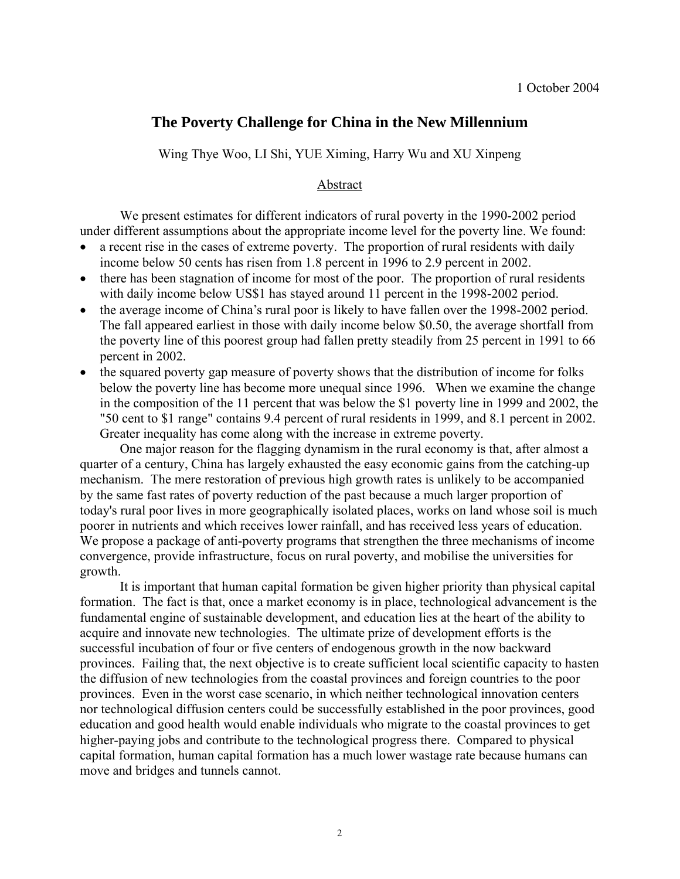# **The Poverty Challenge for China in the New Millennium**

Wing Thye Woo, LI Shi, YUE Ximing, Harry Wu and XU Xinpeng

#### Abstract

 We present estimates for different indicators of rural poverty in the 1990-2002 period under different assumptions about the appropriate income level for the poverty line. We found:

- a recent rise in the cases of extreme poverty. The proportion of rural residents with daily income below 50 cents has risen from 1.8 percent in 1996 to 2.9 percent in 2002.
- there has been stagnation of income for most of the poor. The proportion of rural residents with daily income below US\$1 has stayed around 11 percent in the 1998-2002 period.
- the average income of China's rural poor is likely to have fallen over the 1998-2002 period. The fall appeared earliest in those with daily income below \$0.50, the average shortfall from the poverty line of this poorest group had fallen pretty steadily from 25 percent in 1991 to 66 percent in 2002.
- the squared poverty gap measure of poverty shows that the distribution of income for folks below the poverty line has become more unequal since 1996. When we examine the change in the composition of the 11 percent that was below the \$1 poverty line in 1999 and 2002, the "50 cent to \$1 range" contains 9.4 percent of rural residents in 1999, and 8.1 percent in 2002. Greater inequality has come along with the increase in extreme poverty.

 One major reason for the flagging dynamism in the rural economy is that, after almost a quarter of a century, China has largely exhausted the easy economic gains from the catching-up mechanism. The mere restoration of previous high growth rates is unlikely to be accompanied by the same fast rates of poverty reduction of the past because a much larger proportion of today's rural poor lives in more geographically isolated places, works on land whose soil is much poorer in nutrients and which receives lower rainfall, and has received less years of education. We propose a package of anti-poverty programs that strengthen the three mechanisms of income convergence, provide infrastructure, focus on rural poverty, and mobilise the universities for growth.

 It is important that human capital formation be given higher priority than physical capital formation. The fact is that, once a market economy is in place, technological advancement is the fundamental engine of sustainable development, and education lies at the heart of the ability to acquire and innovate new technologies. The ultimate prize of development efforts is the successful incubation of four or five centers of endogenous growth in the now backward provinces. Failing that, the next objective is to create sufficient local scientific capacity to hasten the diffusion of new technologies from the coastal provinces and foreign countries to the poor provinces. Even in the worst case scenario, in which neither technological innovation centers nor technological diffusion centers could be successfully established in the poor provinces, good education and good health would enable individuals who migrate to the coastal provinces to get higher-paying jobs and contribute to the technological progress there. Compared to physical capital formation, human capital formation has a much lower wastage rate because humans can move and bridges and tunnels cannot.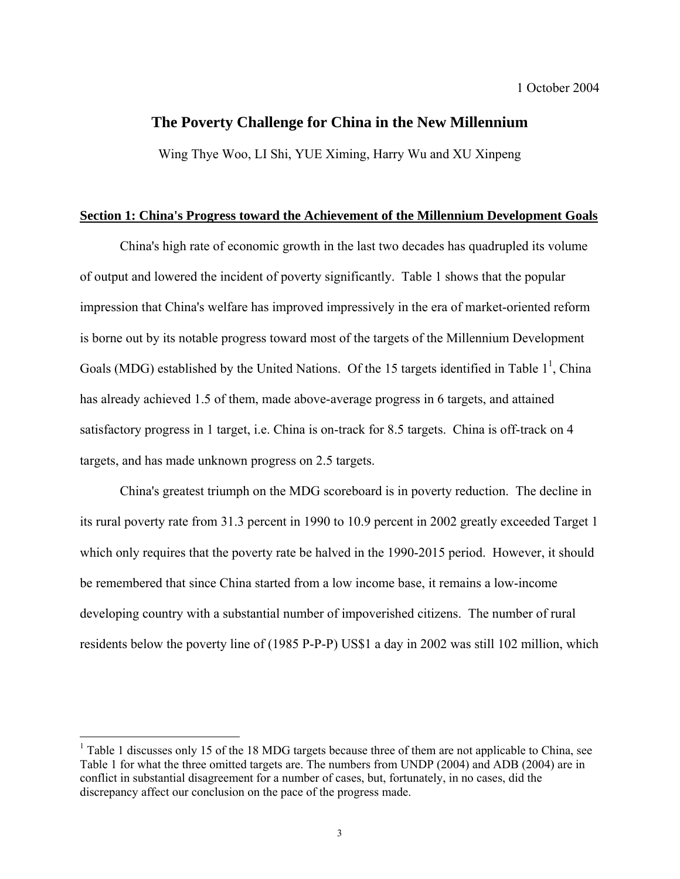## **The Poverty Challenge for China in the New Millennium**

Wing Thye Woo, LI Shi, YUE Ximing, Harry Wu and XU Xinpeng

#### **Section 1: China's Progress toward the Achievement of the Millennium Development Goals**

 China's high rate of economic growth in the last two decades has quadrupled its volume of output and lowered the incident of poverty significantly. Table 1 shows that the popular impression that China's welfare has improved impressively in the era of market-oriented reform is borne out by its notable progress toward most of the targets of the Millennium Development Goals (MDG) established by the United Nations. Of the 15 targets identified in Table  $1^1$ , China has already achieved 1.5 of them, made above-average progress in 6 targets, and attained satisfactory progress in 1 target, i.e. China is on-track for 8.5 targets. China is off-track on 4 targets, and has made unknown progress on 2.5 targets.

 China's greatest triumph on the MDG scoreboard is in poverty reduction. The decline in its rural poverty rate from 31.3 percent in 1990 to 10.9 percent in 2002 greatly exceeded Target 1 which only requires that the poverty rate be halved in the 1990-2015 period. However, it should be remembered that since China started from a low income base, it remains a low-income developing country with a substantial number of impoverished citizens. The number of rural residents below the poverty line of (1985 P-P-P) US\$1 a day in 2002 was still 102 million, which

<u>.</u>

 $1$  Table 1 discusses only 15 of the 18 MDG targets because three of them are not applicable to China, see Table 1 for what the three omitted targets are. The numbers from UNDP (2004) and ADB (2004) are in conflict in substantial disagreement for a number of cases, but, fortunately, in no cases, did the discrepancy affect our conclusion on the pace of the progress made.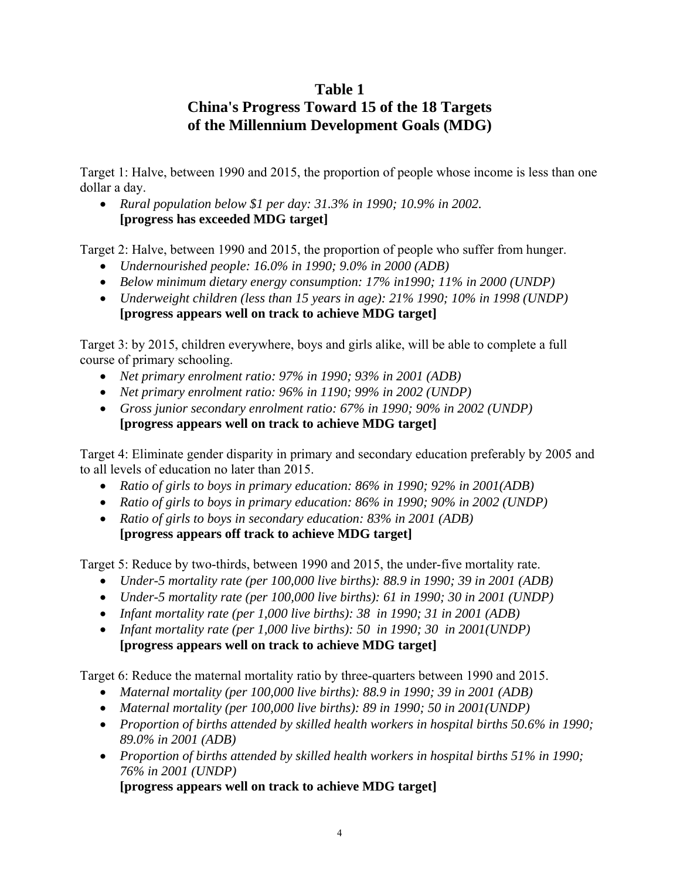# **Table 1**

# **China's Progress Toward 15 of the 18 Targets of the Millennium Development Goals (MDG)**

Target 1: Halve, between 1990 and 2015, the proportion of people whose income is less than one dollar a day.

• *Rural population below \$1 per day: 31.3% in 1990; 10.9% in 2002.*  **[progress has exceeded MDG target]** 

Target 2: Halve, between 1990 and 2015, the proportion of people who suffer from hunger.

- *Undernourished people: 16.0% in 1990; 9.0% in 2000 (ADB)*
- *Below minimum dietary energy consumption: 17% in1990; 11% in 2000 (UNDP)*
- *Underweight children (less than 15 years in age): 21% 1990; 10% in 1998 (UNDP)*  **[progress appears well on track to achieve MDG target]**

Target 3: by 2015, children everywhere, boys and girls alike, will be able to complete a full course of primary schooling.

- *Net primary enrolment ratio: 97% in 1990; 93% in 2001 (ADB)*
- *Net primary enrolment ratio: 96% in 1190; 99% in 2002 (UNDP)*
- *Gross junior secondary enrolment ratio: 67% in 1990; 90% in 2002 (UNDP)*  **[progress appears well on track to achieve MDG target]**

Target 4: Eliminate gender disparity in primary and secondary education preferably by 2005 and to all levels of education no later than 2015.

- *Ratio of girls to boys in primary education: 86% in 1990; 92% in 2001(ADB)*
- *Ratio of girls to boys in primary education: 86% in 1990; 90% in 2002 (UNDP)*
- *Ratio of girls to boys in secondary education: 83% in 2001 (ADB)*  **[progress appears off track to achieve MDG target]**

Target 5: Reduce by two-thirds, between 1990 and 2015, the under-five mortality rate.

- *Under-5 mortality rate (per 100,000 live births): 88.9 in 1990; 39 in 2001 (ADB)*
- *Under-5 mortality rate (per 100,000 live births): 61 in 1990; 30 in 2001 (UNDP)*
- *Infant mortality rate (per 1,000 live births): 38 in 1990; 31 in 2001 (ADB)*
- *Infant mortality rate (per 1,000 live births): 50 in 1990; 30 in 2001(UNDP)*  **[progress appears well on track to achieve MDG target]**

Target 6: Reduce the maternal mortality ratio by three-quarters between 1990 and 2015.

- *Maternal mortality (per 100,000 live births): 88.9 in 1990; 39 in 2001 (ADB)*
- *Maternal mortality (per 100,000 live births): 89 in 1990; 50 in 2001(UNDP)*
- *Proportion of births attended by skilled health workers in hospital births 50.6% in 1990; 89.0% in 2001 (ADB)*
- *Proportion of births attended by skilled health workers in hospital births 51% in 1990; 76% in 2001 (UNDP)*

**[progress appears well on track to achieve MDG target]**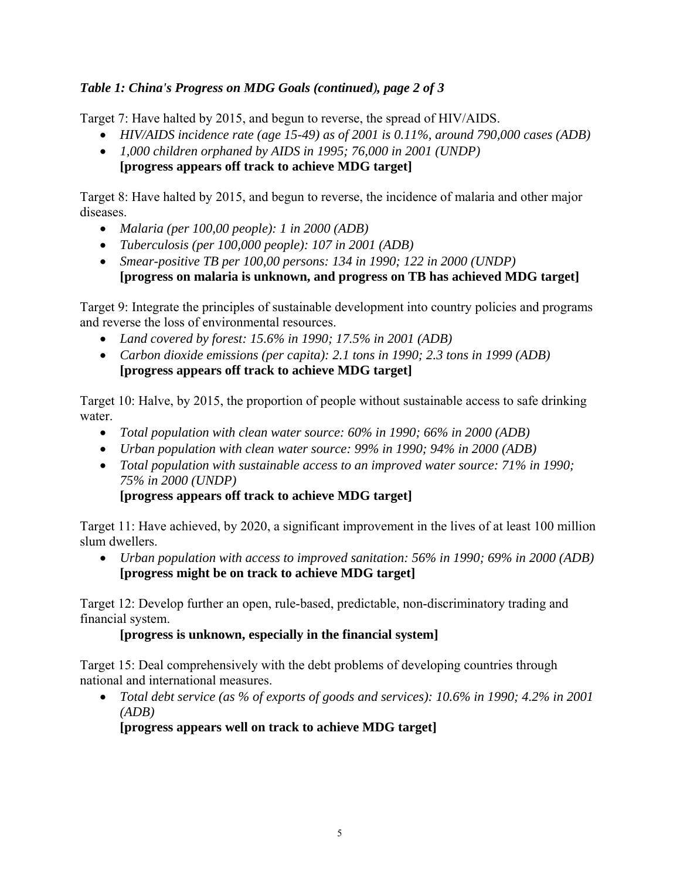# *Table 1: China's Progress on MDG Goals (continued), page 2 of 3*

Target 7: Have halted by 2015, and begun to reverse, the spread of HIV/AIDS.

- *HIV/AIDS incidence rate (age 15-49) as of 2001 is 0.11%, around 790,000 cases (ADB)*
- *1,000 children orphaned by AIDS in 1995; 76,000 in 2001 (UNDP)*  **[progress appears off track to achieve MDG target]**

Target 8: Have halted by 2015, and begun to reverse, the incidence of malaria and other major diseases.

- *Malaria (per 100,00 people): 1 in 2000 (ADB)*
- *Tuberculosis (per 100,000 people): 107 in 2001 (ADB)*
- *Smear-positive TB per 100,00 persons: 134 in 1990; 122 in 2000 (UNDP)*  **[progress on malaria is unknown, and progress on TB has achieved MDG target]**

Target 9: Integrate the principles of sustainable development into country policies and programs and reverse the loss of environmental resources.

- *Land covered by forest: 15.6% in 1990; 17.5% in 2001 (ADB)*
- *Carbon dioxide emissions (per capita): 2.1 tons in 1990; 2.3 tons in 1999 (ADB)*  **[progress appears off track to achieve MDG target]**

Target 10: Halve, by 2015, the proportion of people without sustainable access to safe drinking water.

- *Total population with clean water source: 60% in 1990; 66% in 2000 (ADB)*
- *Urban population with clean water source: 99% in 1990; 94% in 2000 (ADB)*
- *Total population with sustainable access to an improved water source: 71% in 1990; 75% in 2000 (UNDP)*

**[progress appears off track to achieve MDG target]** 

Target 11: Have achieved, by 2020, a significant improvement in the lives of at least 100 million slum dwellers.

• *Urban population with access to improved sanitation: 56% in 1990; 69% in 2000 (ADB)*  **[progress might be on track to achieve MDG target]** 

Target 12: Develop further an open, rule-based, predictable, non-discriminatory trading and financial system.

## **[progress is unknown, especially in the financial system]**

Target 15: Deal comprehensively with the debt problems of developing countries through national and international measures.

• *Total debt service (as % of exports of goods and services): 10.6% in 1990; 4.2% in 2001 (ADB)* 

**[progress appears well on track to achieve MDG target]**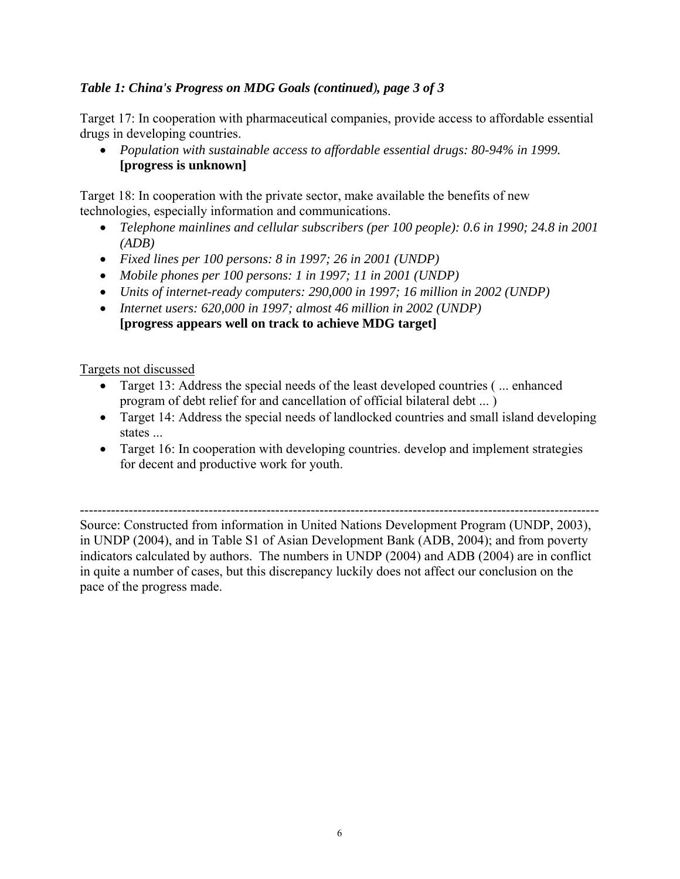# *Table 1: China's Progress on MDG Goals (continued), page 3 of 3*

Target 17: In cooperation with pharmaceutical companies, provide access to affordable essential drugs in developing countries.

• *Population with sustainable access to affordable essential drugs: 80-94% in 1999.*  **[progress is unknown]** 

Target 18: In cooperation with the private sector, make available the benefits of new technologies, especially information and communications.

- *Telephone mainlines and cellular subscribers (per 100 people): 0.6 in 1990; 24.8 in 2001 (ADB)*
- *Fixed lines per 100 persons: 8 in 1997; 26 in 2001 (UNDP)*
- *Mobile phones per 100 persons: 1 in 1997; 11 in 2001 (UNDP)*
- *Units of internet-ready computers: 290,000 in 1997; 16 million in 2002 (UNDP)*
- *Internet users: 620,000 in 1997; almost 46 million in 2002 (UNDP)*  **[progress appears well on track to achieve MDG target]**

Targets not discussed

- Target 13: Address the special needs of the least developed countries ( ... enhanced program of debt relief for and cancellation of official bilateral debt ... )
- Target 14: Address the special needs of landlocked countries and small island developing states ...
- Target 16: In cooperation with developing countries. develop and implement strategies for decent and productive work for youth.

--------------------------------------------------------------------------------------------------------------------- Source: Constructed from information in United Nations Development Program (UNDP, 2003), in UNDP (2004), and in Table S1 of Asian Development Bank (ADB, 2004); and from poverty indicators calculated by authors. The numbers in UNDP (2004) and ADB (2004) are in conflict in quite a number of cases, but this discrepancy luckily does not affect our conclusion on the pace of the progress made.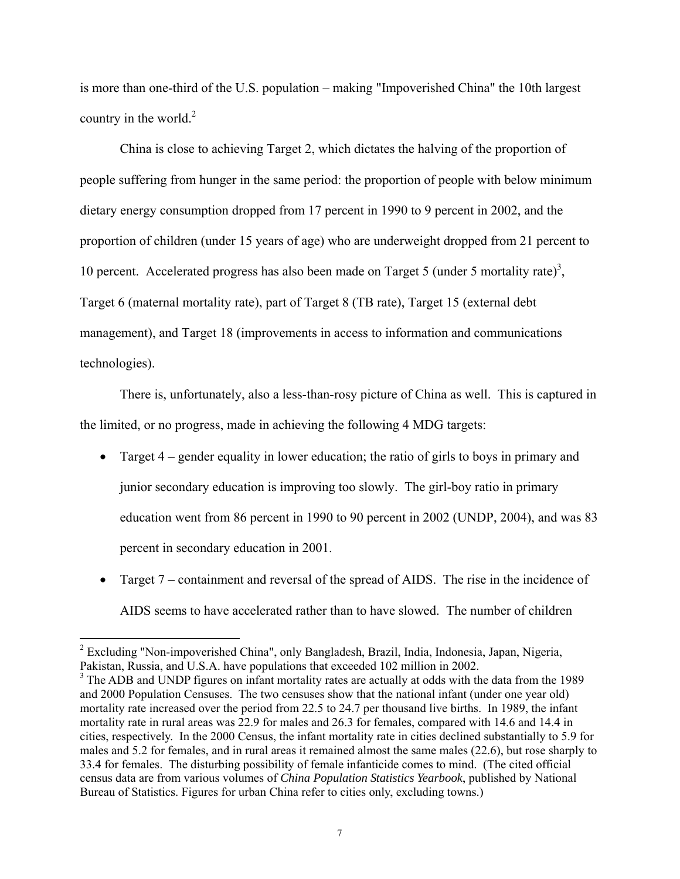is more than one-third of the U.S. population – making "Impoverished China" the 10th largest country in the world. $2^2$ 

 China is close to achieving Target 2, which dictates the halving of the proportion of people suffering from hunger in the same period: the proportion of people with below minimum dietary energy consumption dropped from 17 percent in 1990 to 9 percent in 2002, and the proportion of children (under 15 years of age) who are underweight dropped from 21 percent to 10 percent. Accelerated progress has also been made on Target 5 (under 5 mortality rate)<sup>3</sup>, Target 6 (maternal mortality rate), part of Target 8 (TB rate), Target 15 (external debt management), and Target 18 (improvements in access to information and communications technologies).

 There is, unfortunately, also a less-than-rosy picture of China as well. This is captured in the limited, or no progress, made in achieving the following 4 MDG targets:

- Target 4 gender equality in lower education; the ratio of girls to boys in primary and junior secondary education is improving too slowly. The girl-boy ratio in primary education went from 86 percent in 1990 to 90 percent in 2002 (UNDP, 2004), and was 83 percent in secondary education in 2001.
- Target 7 containment and reversal of the spread of AIDS. The rise in the incidence of AIDS seems to have accelerated rather than to have slowed. The number of children

<sup>&</sup>lt;sup>2</sup> Excluding "Non-impoverished China", only Bangladesh, Brazil, India, Indonesia, Japan, Nigeria, Pakistan, Russia, and U.S.A. have populations that exceeded 102 million in 2002.

<sup>&</sup>lt;sup>3</sup> The ADB and UNDP figures on infant mortality rates are actually at odds with the data from the 1989 and 2000 Population Censuses. The two censuses show that the national infant (under one year old) mortality rate increased over the period from 22.5 to 24.7 per thousand live births. In 1989, the infant mortality rate in rural areas was 22.9 for males and 26.3 for females, compared with 14.6 and 14.4 in cities, respectively. In the 2000 Census, the infant mortality rate in cities declined substantially to 5.9 for males and 5.2 for females, and in rural areas it remained almost the same males (22.6), but rose sharply to 33.4 for females. The disturbing possibility of female infanticide comes to mind. (The cited official census data are from various volumes of *China Population Statistics Yearbook*, published by National Bureau of Statistics. Figures for urban China refer to cities only, excluding towns.)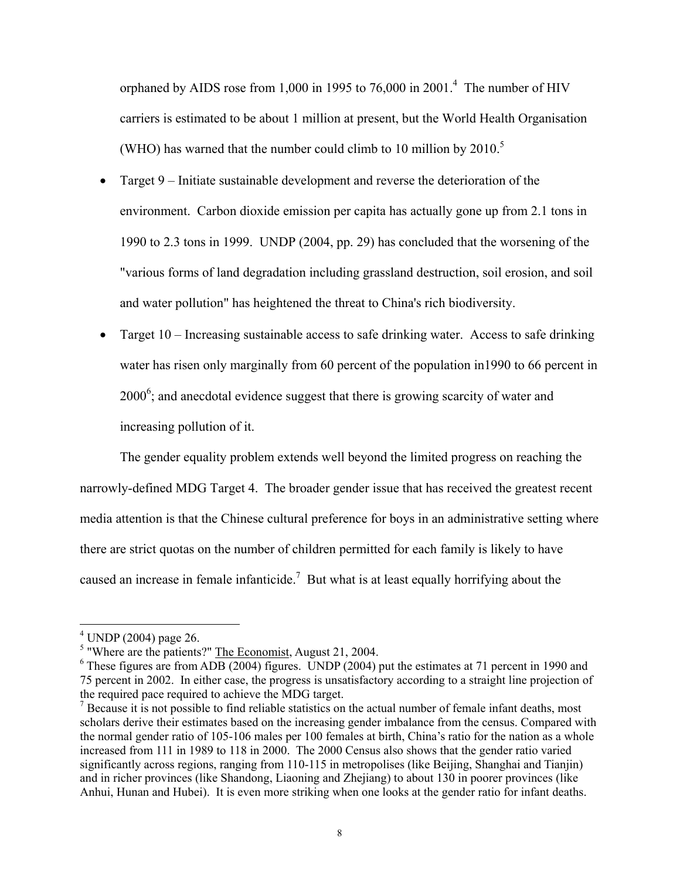orphaned by AIDS rose from 1,000 in 1995 to 76,000 in 2001.<sup>4</sup> The number of HIV carriers is estimated to be about 1 million at present, but the World Health Organisation (WHO) has warned that the number could climb to 10 million by  $2010$ .<sup>5</sup>

- Target 9 Initiate sustainable development and reverse the deterioration of the environment. Carbon dioxide emission per capita has actually gone up from 2.1 tons in 1990 to 2.3 tons in 1999. UNDP (2004, pp. 29) has concluded that the worsening of the "various forms of land degradation including grassland destruction, soil erosion, and soil and water pollution" has heightened the threat to China's rich biodiversity.
- Target 10 Increasing sustainable access to safe drinking water. Access to safe drinking water has risen only marginally from 60 percent of the population in1990 to 66 percent in  $2000^6$ ; and anecdotal evidence suggest that there is growing scarcity of water and increasing pollution of it.

The gender equality problem extends well beyond the limited progress on reaching the narrowly-defined MDG Target 4. The broader gender issue that has received the greatest recent media attention is that the Chinese cultural preference for boys in an administrative setting where there are strict quotas on the number of children permitted for each family is likely to have caused an increase in female infanticide.<sup>7</sup> But what is at least equally horrifying about the

 4 UNDP (2004) page 26.

<sup>&</sup>lt;sup>5</sup> "Where are the patients?" The Economist, August 21, 2004.

 $6$  These figures are from ADB (2004) figures. UNDP (2004) put the estimates at 71 percent in 1990 and 75 percent in 2002. In either case, the progress is unsatisfactory according to a straight line projection of the required pace required to achieve the MDG target.

 $<sup>7</sup>$  Because it is not possible to find reliable statistics on the actual number of female infant deaths, most</sup> scholars derive their estimates based on the increasing gender imbalance from the census. Compared with the normal gender ratio of 105-106 males per 100 females at birth, China's ratio for the nation as a whole increased from 111 in 1989 to 118 in 2000. The 2000 Census also shows that the gender ratio varied significantly across regions, ranging from 110-115 in metropolises (like Beijing, Shanghai and Tianjin) and in richer provinces (like Shandong, Liaoning and Zhejiang) to about 130 in poorer provinces (like Anhui, Hunan and Hubei). It is even more striking when one looks at the gender ratio for infant deaths.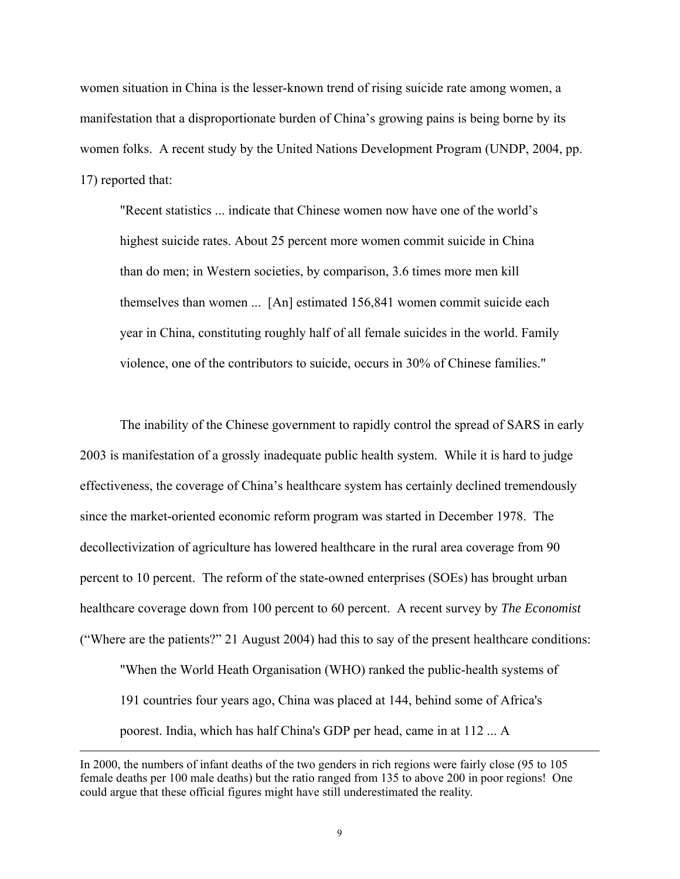women situation in China is the lesser-known trend of rising suicide rate among women, a manifestation that a disproportionate burden of China's growing pains is being borne by its women folks. A recent study by the United Nations Development Program (UNDP, 2004, pp. 17) reported that:

"Recent statistics ... indicate that Chinese women now have one of the world's highest suicide rates. About 25 percent more women commit suicide in China than do men; in Western societies, by comparison, 3.6 times more men kill themselves than women ... [An] estimated 156,841 women commit suicide each year in China, constituting roughly half of all female suicides in the world. Family violence, one of the contributors to suicide, occurs in 30% of Chinese families."

The inability of the Chinese government to rapidly control the spread of SARS in early 2003 is manifestation of a grossly inadequate public health system. While it is hard to judge effectiveness, the coverage of China's healthcare system has certainly declined tremendously since the market-oriented economic reform program was started in December 1978. The decollectivization of agriculture has lowered healthcare in the rural area coverage from 90 percent to 10 percent. The reform of the state-owned enterprises (SOEs) has brought urban healthcare coverage down from 100 percent to 60 percent. A recent survey by *The Economist*  ("Where are the patients?" 21 August 2004) had this to say of the present healthcare conditions: "When the World Heath Organisation (WHO) ranked the public-health systems of

191 countries four years ago, China was placed at 144, behind some of Africa's poorest. India, which has half China's GDP per head, came in at 112 ... A

In 2000, the numbers of infant deaths of the two genders in rich regions were fairly close (95 to 105 female deaths per 100 male deaths) but the ratio ranged from 135 to above 200 in poor regions! One could argue that these official figures might have still underestimated the reality.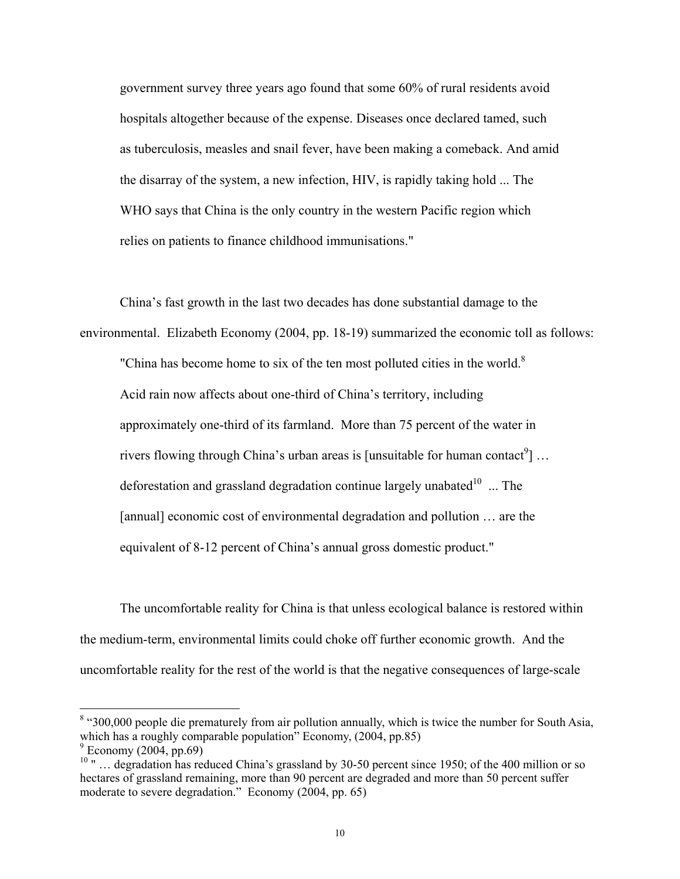government survey three years ago found that some 60% of rural residents avoid hospitals altogether because of the expense. Diseases once declared tamed, such as tuberculosis, measles and snail fever, have been making a comeback. And amid the disarray of the system, a new infection, HIV, is rapidly taking hold ... The WHO says that China is the only country in the western Pacific region which relies on patients to finance childhood immunisations."

China's fast growth in the last two decades has done substantial damage to the environmental. Elizabeth Economy (2004, pp. 18-19) summarized the economic toll as follows:

"China has become home to six of the ten most polluted cities in the world. $8$ Acid rain now affects about one-third of China's territory, including approximately one-third of its farmland. More than 75 percent of the water in rivers flowing through China's urban areas is [unsuitable for human contact<sup>9</sup>] ... deforestation and grassland degradation continue largely unabated $10$  ... The [annual] economic cost of environmental degradation and pollution … are the equivalent of 8-12 percent of China's annual gross domestic product."

The uncomfortable reality for China is that unless ecological balance is restored within the medium-term, environmental limits could choke off further economic growth. And the uncomfortable reality for the rest of the world is that the negative consequences of large-scale

<sup>&</sup>lt;sup>8</sup> "300,000 people die prematurely from air pollution annually, which is twice the number for South Asia, which has a roughly comparable population" Economy, (2004, pp.85)  $^9$  Economy (2004, pp.69)

<sup>&</sup>lt;sup>10</sup> " ... degradation has reduced China's grassland by 30-50 percent since 1950; of the 400 million or so hectares of grassland remaining, more than 90 percent are degraded and more than 50 percent suffer moderate to severe degradation." Economy (2004, pp. 65)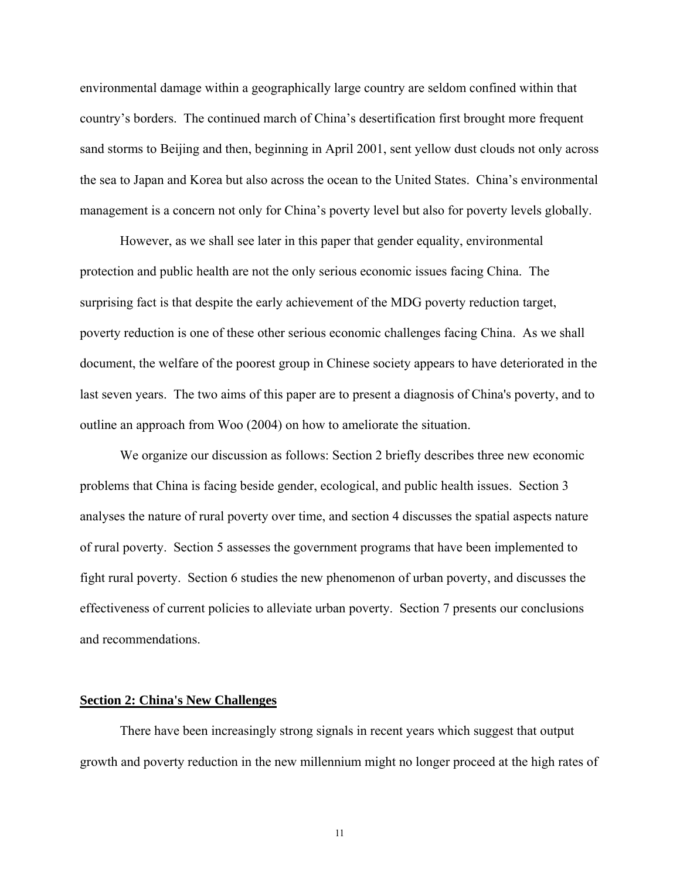environmental damage within a geographically large country are seldom confined within that country's borders. The continued march of China's desertification first brought more frequent sand storms to Beijing and then, beginning in April 2001, sent yellow dust clouds not only across the sea to Japan and Korea but also across the ocean to the United States. China's environmental management is a concern not only for China's poverty level but also for poverty levels globally.

 However, as we shall see later in this paper that gender equality, environmental protection and public health are not the only serious economic issues facing China. The surprising fact is that despite the early achievement of the MDG poverty reduction target, poverty reduction is one of these other serious economic challenges facing China. As we shall document, the welfare of the poorest group in Chinese society appears to have deteriorated in the last seven years. The two aims of this paper are to present a diagnosis of China's poverty, and to outline an approach from Woo (2004) on how to ameliorate the situation.

 We organize our discussion as follows: Section 2 briefly describes three new economic problems that China is facing beside gender, ecological, and public health issues. Section 3 analyses the nature of rural poverty over time, and section 4 discusses the spatial aspects nature of rural poverty. Section 5 assesses the government programs that have been implemented to fight rural poverty. Section 6 studies the new phenomenon of urban poverty, and discusses the effectiveness of current policies to alleviate urban poverty. Section 7 presents our conclusions and recommendations.

#### **Section 2: China's New Challenges**

 There have been increasingly strong signals in recent years which suggest that output growth and poverty reduction in the new millennium might no longer proceed at the high rates of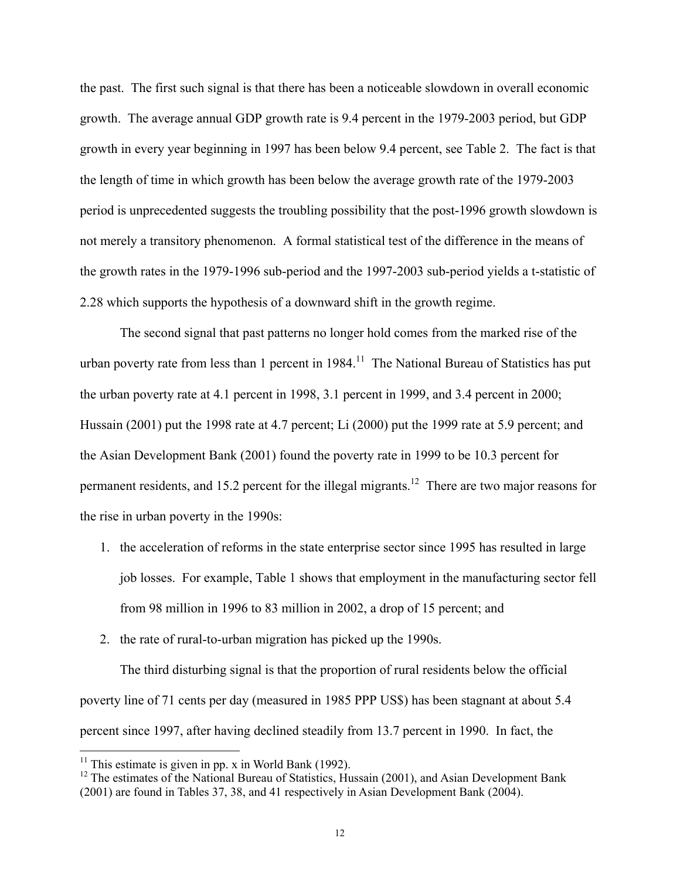the past. The first such signal is that there has been a noticeable slowdown in overall economic growth. The average annual GDP growth rate is 9.4 percent in the 1979-2003 period, but GDP growth in every year beginning in 1997 has been below 9.4 percent, see Table 2. The fact is that the length of time in which growth has been below the average growth rate of the 1979-2003 period is unprecedented suggests the troubling possibility that the post-1996 growth slowdown is not merely a transitory phenomenon. A formal statistical test of the difference in the means of the growth rates in the 1979-1996 sub-period and the 1997-2003 sub-period yields a t-statistic of 2.28 which supports the hypothesis of a downward shift in the growth regime.

 The second signal that past patterns no longer hold comes from the marked rise of the urban poverty rate from less than 1 percent in  $1984$ <sup>11</sup>. The National Bureau of Statistics has put the urban poverty rate at 4.1 percent in 1998, 3.1 percent in 1999, and 3.4 percent in 2000; Hussain (2001) put the 1998 rate at 4.7 percent; Li (2000) put the 1999 rate at 5.9 percent; and the Asian Development Bank (2001) found the poverty rate in 1999 to be 10.3 percent for permanent residents, and 15.2 percent for the illegal migrants.<sup>12</sup> There are two major reasons for the rise in urban poverty in the 1990s:

- 1. the acceleration of reforms in the state enterprise sector since 1995 has resulted in large job losses. For example, Table 1 shows that employment in the manufacturing sector fell from 98 million in 1996 to 83 million in 2002, a drop of 15 percent; and
- 2. the rate of rural-to-urban migration has picked up the 1990s.

 The third disturbing signal is that the proportion of rural residents below the official poverty line of 71 cents per day (measured in 1985 PPP US\$) has been stagnant at about 5.4 percent since 1997, after having declined steadily from 13.7 percent in 1990. In fact, the

<sup>&</sup>lt;sup>11</sup> This estimate is given in pp. x in World Bank (1992).

 $12$  The estimates of the National Bureau of Statistics, Hussain (2001), and Asian Development Bank (2001) are found in Tables 37, 38, and 41 respectively in Asian Development Bank (2004).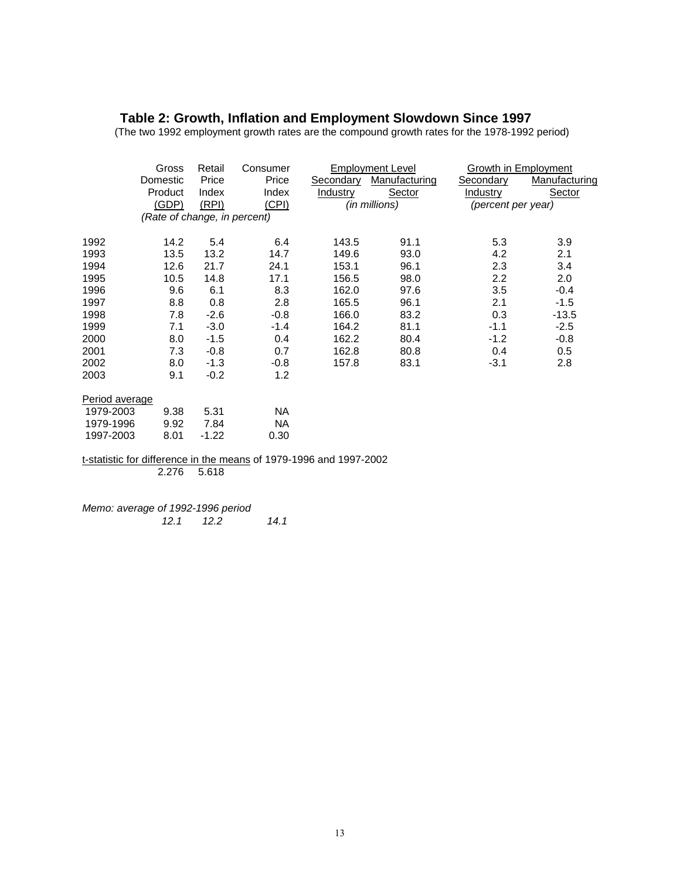#### **Table 2: Growth, Inflation and Employment Slowdown Since 1997**

(The two 1992 employment growth rates are the compound growth rates for the 1978-1992 period)

|                | Gross                        | Retail | Consumer |           | <b>Employment Level</b> | Growth in Employment |               |
|----------------|------------------------------|--------|----------|-----------|-------------------------|----------------------|---------------|
|                | Domestic                     | Price  | Price    | Secondary | Manufacturing           | Secondary            | Manufacturing |
|                | Product                      | Index  | Index    | Industry  | Sector                  | Industry             | Sector        |
|                | (GDP)                        | (RPI)  | (CPI)    |           | (in millions)           | (percent per year)   |               |
|                | (Rate of change, in percent) |        |          |           |                         |                      |               |
| 1992           | 14.2                         | 5.4    | 6.4      | 143.5     | 91.1                    | 5.3                  | 3.9           |
| 1993           | 13.5                         | 13.2   | 14.7     | 149.6     | 93.0                    | 4.2                  | 2.1           |
| 1994           | 12.6                         | 21.7   | 24.1     | 153.1     | 96.1                    | 2.3                  | 3.4           |
| 1995           | 10.5                         | 14.8   | 17.1     | 156.5     | 98.0                    | 2.2                  | 2.0           |
| 1996           | 9.6                          | 6.1    | 8.3      | 162.0     | 97.6                    | 3.5                  | $-0.4$        |
| 1997           | 8.8                          | 0.8    | 2.8      | 165.5     | 96.1                    | 2.1                  | $-1.5$        |
| 1998           | 7.8                          | $-2.6$ | $-0.8$   | 166.0     | 83.2                    | 0.3                  | $-13.5$       |
| 1999           | 7.1                          | $-3.0$ | $-1.4$   | 164.2     | 81.1                    | $-1.1$               | $-2.5$        |
| 2000           | 8.0                          | $-1.5$ | 0.4      | 162.2     | 80.4                    | $-1.2$               | $-0.8$        |
| 2001           | 7.3                          | $-0.8$ | 0.7      | 162.8     | 80.8                    | 0.4                  | 0.5           |
| 2002           | 8.0                          | $-1.3$ | $-0.8$   | 157.8     | 83.1                    | $-3.1$               | 2.8           |
| 2003           | 9.1                          | $-0.2$ | 1.2      |           |                         |                      |               |
| Period average |                              |        |          |           |                         |                      |               |
| 1979-2003      | 9.38                         | 5.31   | NA.      |           |                         |                      |               |
| 1979-1996      | 9.92                         | 7.84   | NA.      |           |                         |                      |               |
| 1997-2003      | 8.01                         | -1.22  | 0.30     |           |                         |                      |               |

t-statistic for difference in the means of 1979-1996 and 1997-2002 2.276 5.618

*Memo: average of 1992-1996 period 12.1 12.2 14.1*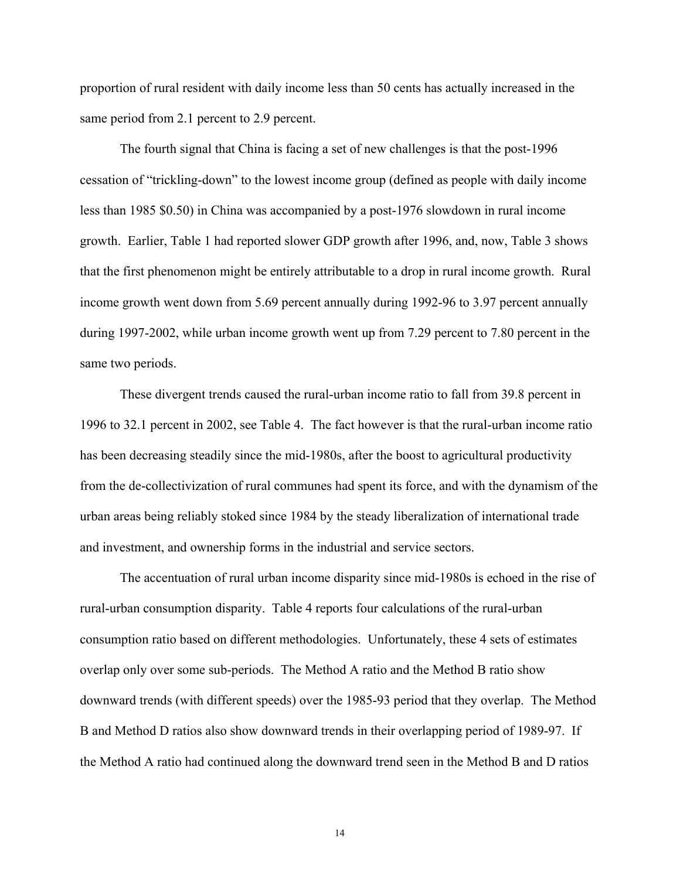proportion of rural resident with daily income less than 50 cents has actually increased in the same period from 2.1 percent to 2.9 percent.

The fourth signal that China is facing a set of new challenges is that the post-1996 cessation of "trickling-down" to the lowest income group (defined as people with daily income less than 1985 \$0.50) in China was accompanied by a post-1976 slowdown in rural income growth. Earlier, Table 1 had reported slower GDP growth after 1996, and, now, Table 3 shows that the first phenomenon might be entirely attributable to a drop in rural income growth. Rural income growth went down from 5.69 percent annually during 1992-96 to 3.97 percent annually during 1997-2002, while urban income growth went up from 7.29 percent to 7.80 percent in the same two periods.

These divergent trends caused the rural-urban income ratio to fall from 39.8 percent in 1996 to 32.1 percent in 2002, see Table 4. The fact however is that the rural-urban income ratio has been decreasing steadily since the mid-1980s, after the boost to agricultural productivity from the de-collectivization of rural communes had spent its force, and with the dynamism of the urban areas being reliably stoked since 1984 by the steady liberalization of international trade and investment, and ownership forms in the industrial and service sectors.

The accentuation of rural urban income disparity since mid-1980s is echoed in the rise of rural-urban consumption disparity. Table 4 reports four calculations of the rural-urban consumption ratio based on different methodologies. Unfortunately, these 4 sets of estimates overlap only over some sub-periods. The Method A ratio and the Method B ratio show downward trends (with different speeds) over the 1985-93 period that they overlap. The Method B and Method D ratios also show downward trends in their overlapping period of 1989-97. If the Method A ratio had continued along the downward trend seen in the Method B and D ratios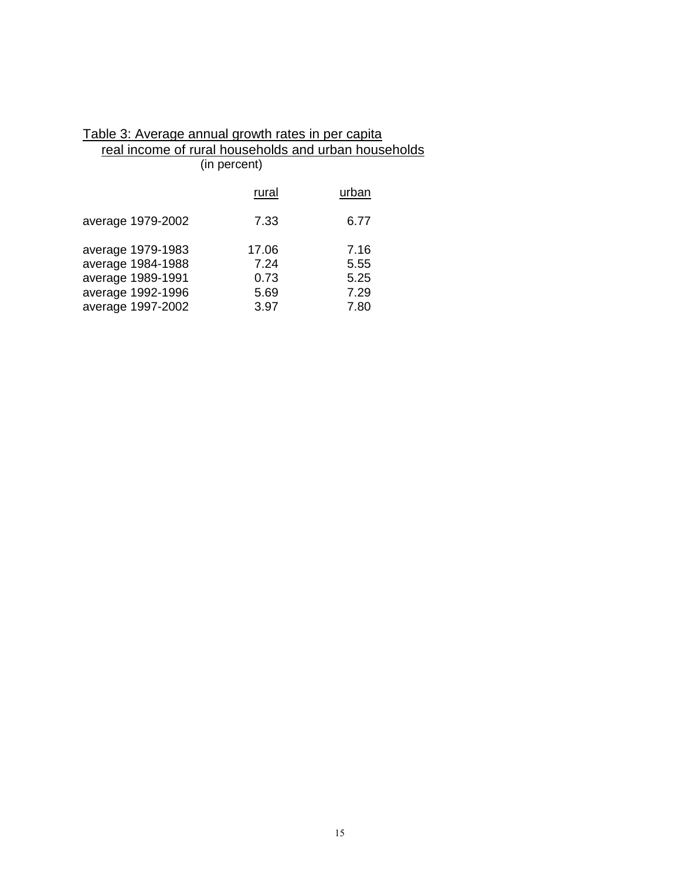| Table 3: Average annual growth rates in per capita   |              |       |  |
|------------------------------------------------------|--------------|-------|--|
| real income of rural households and urban households |              |       |  |
|                                                      | (in percent) |       |  |
|                                                      | rural        | urban |  |
| average 1979-2002                                    | 7.33         | 6.77  |  |
| average 1979-1983                                    | 17.06        | 7.16  |  |
| average 1984-1988                                    | 7.24         | 5.55  |  |
| average 1989-1991                                    | 0.73         | 5.25  |  |
| average 1992-1996                                    | 5.69         | 7.29  |  |
| average 1997-2002                                    | 3.97         | 7.80  |  |

# Table 3: Average annual growth rates in per capita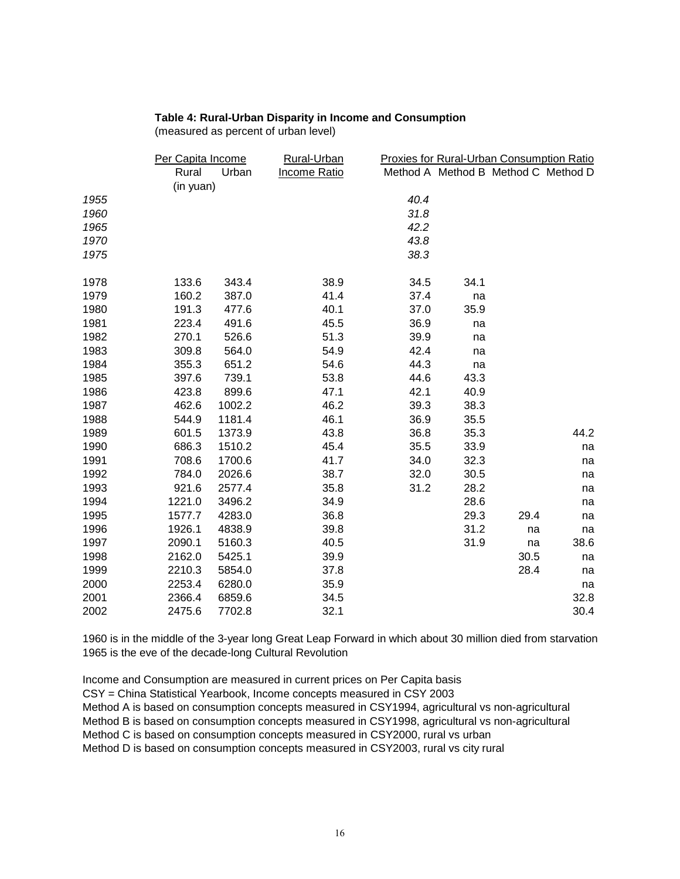#### **Table 4: Rural-Urban Disparity in Income and Consumption**

(measured as percent of urban level)

|      | Per Capita Income  |        | <b>Rural-Urban</b>  |      | <b>Proxies for Rural-Urban Consumption Ratio</b> |      |      |
|------|--------------------|--------|---------------------|------|--------------------------------------------------|------|------|
|      | Rural<br>(in yuan) | Urban  | <b>Income Ratio</b> |      | Method A Method B Method C Method D              |      |      |
| 1955 |                    |        |                     | 40.4 |                                                  |      |      |
| 1960 |                    |        |                     | 31.8 |                                                  |      |      |
| 1965 |                    |        |                     | 42.2 |                                                  |      |      |
| 1970 |                    |        |                     | 43.8 |                                                  |      |      |
| 1975 |                    |        |                     | 38.3 |                                                  |      |      |
| 1978 | 133.6              | 343.4  | 38.9                | 34.5 | 34.1                                             |      |      |
| 1979 | 160.2              | 387.0  | 41.4                | 37.4 | na                                               |      |      |
| 1980 | 191.3              | 477.6  | 40.1                | 37.0 | 35.9                                             |      |      |
| 1981 | 223.4              | 491.6  | 45.5                | 36.9 | na                                               |      |      |
| 1982 | 270.1              | 526.6  | 51.3                | 39.9 | na                                               |      |      |
| 1983 | 309.8              | 564.0  | 54.9                | 42.4 | na                                               |      |      |
| 1984 | 355.3              | 651.2  | 54.6                | 44.3 | na                                               |      |      |
| 1985 | 397.6              | 739.1  | 53.8                | 44.6 | 43.3                                             |      |      |
| 1986 | 423.8              | 899.6  | 47.1                | 42.1 | 40.9                                             |      |      |
| 1987 | 462.6              | 1002.2 | 46.2                | 39.3 | 38.3                                             |      |      |
| 1988 | 544.9              | 1181.4 | 46.1                | 36.9 | 35.5                                             |      |      |
| 1989 | 601.5              | 1373.9 | 43.8                | 36.8 | 35.3                                             |      | 44.2 |
| 1990 | 686.3              | 1510.2 | 45.4                | 35.5 | 33.9                                             |      | na   |
| 1991 | 708.6              | 1700.6 | 41.7                | 34.0 | 32.3                                             |      | na   |
| 1992 | 784.0              | 2026.6 | 38.7                | 32.0 | 30.5                                             |      | na   |
| 1993 | 921.6              | 2577.4 | 35.8                | 31.2 | 28.2                                             |      | na   |
| 1994 | 1221.0             | 3496.2 | 34.9                |      | 28.6                                             |      | na   |
| 1995 | 1577.7             | 4283.0 | 36.8                |      | 29.3                                             | 29.4 | na   |
| 1996 | 1926.1             | 4838.9 | 39.8                |      | 31.2                                             | na   | na   |
| 1997 | 2090.1             | 5160.3 | 40.5                |      | 31.9                                             | na   | 38.6 |
| 1998 | 2162.0             | 5425.1 | 39.9                |      |                                                  | 30.5 | na   |
| 1999 | 2210.3             | 5854.0 | 37.8                |      |                                                  | 28.4 | na   |
| 2000 | 2253.4             | 6280.0 | 35.9                |      |                                                  |      | na   |
| 2001 | 2366.4             | 6859.6 | 34.5                |      |                                                  |      | 32.8 |
| 2002 | 2475.6             | 7702.8 | 32.1                |      |                                                  |      | 30.4 |

1960 is in the middle of the 3-year long Great Leap Forward in which about 30 million died from starvation 1965 is the eve of the decade-long Cultural Revolution

Income and Consumption are measured in current prices on Per Capita basis CSY = China Statistical Yearbook, Income concepts measured in CSY 2003 Method A is based on consumption concepts measured in CSY1994, agricultural vs non-agricultural Method B is based on consumption concepts measured in CSY1998, agricultural vs non-agricultural Method C is based on consumption concepts measured in CSY2000, rural vs urban Method D is based on consumption concepts measured in CSY2003, rural vs city rural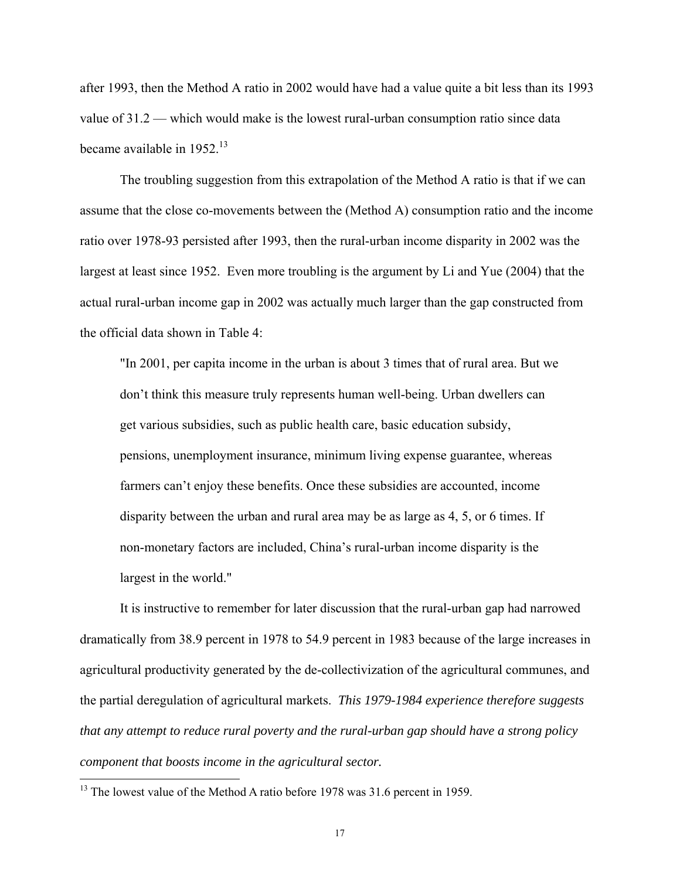after 1993, then the Method A ratio in 2002 would have had a value quite a bit less than its 1993 value of 31.2 — which would make is the lowest rural-urban consumption ratio since data became available in  $1952<sup>13</sup>$ 

 The troubling suggestion from this extrapolation of the Method A ratio is that if we can assume that the close co-movements between the (Method A) consumption ratio and the income ratio over 1978-93 persisted after 1993, then the rural-urban income disparity in 2002 was the largest at least since 1952. Even more troubling is the argument by Li and Yue (2004) that the actual rural-urban income gap in 2002 was actually much larger than the gap constructed from the official data shown in Table 4:

"In 2001, per capita income in the urban is about 3 times that of rural area. But we don't think this measure truly represents human well-being. Urban dwellers can get various subsidies, such as public health care, basic education subsidy, pensions, unemployment insurance, minimum living expense guarantee, whereas farmers can't enjoy these benefits. Once these subsidies are accounted, income disparity between the urban and rural area may be as large as 4, 5, or 6 times. If non-monetary factors are included, China's rural-urban income disparity is the largest in the world."

 It is instructive to remember for later discussion that the rural-urban gap had narrowed dramatically from 38.9 percent in 1978 to 54.9 percent in 1983 because of the large increases in agricultural productivity generated by the de-collectivization of the agricultural communes, and the partial deregulation of agricultural markets. *This 1979-1984 experience therefore suggests that any attempt to reduce rural poverty and the rural-urban gap should have a strong policy component that boosts income in the agricultural sector.* 

 $13$  The lowest value of the Method A ratio before 1978 was 31.6 percent in 1959.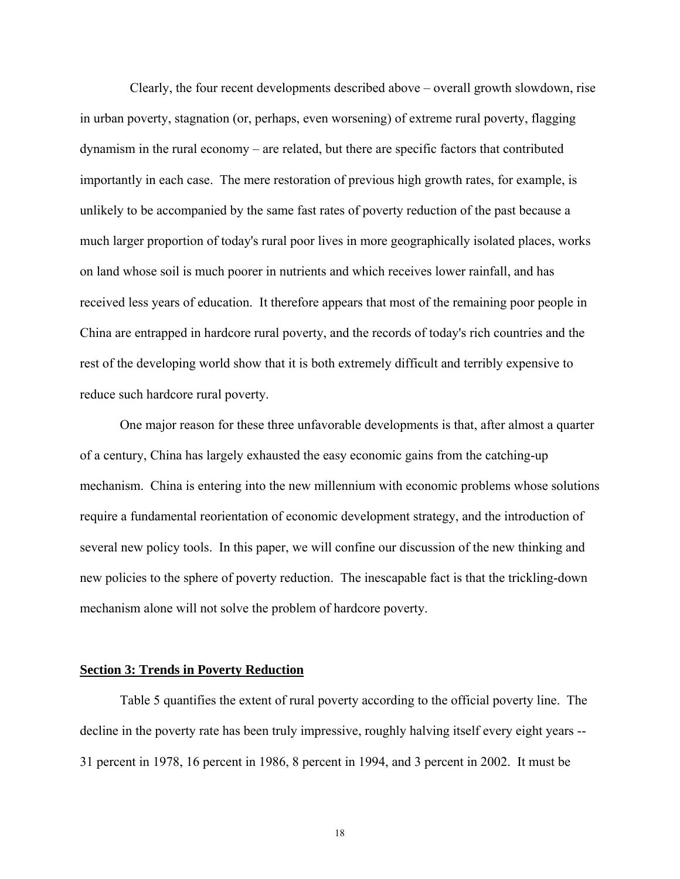Clearly, the four recent developments described above – overall growth slowdown, rise in urban poverty, stagnation (or, perhaps, even worsening) of extreme rural poverty, flagging dynamism in the rural economy – are related, but there are specific factors that contributed importantly in each case. The mere restoration of previous high growth rates, for example, is unlikely to be accompanied by the same fast rates of poverty reduction of the past because a much larger proportion of today's rural poor lives in more geographically isolated places, works on land whose soil is much poorer in nutrients and which receives lower rainfall, and has received less years of education. It therefore appears that most of the remaining poor people in China are entrapped in hardcore rural poverty, and the records of today's rich countries and the rest of the developing world show that it is both extremely difficult and terribly expensive to reduce such hardcore rural poverty.

 One major reason for these three unfavorable developments is that, after almost a quarter of a century, China has largely exhausted the easy economic gains from the catching-up mechanism. China is entering into the new millennium with economic problems whose solutions require a fundamental reorientation of economic development strategy, and the introduction of several new policy tools. In this paper, we will confine our discussion of the new thinking and new policies to the sphere of poverty reduction. The inescapable fact is that the trickling-down mechanism alone will not solve the problem of hardcore poverty.

#### **Section 3: Trends in Poverty Reduction**

 Table 5 quantifies the extent of rural poverty according to the official poverty line. The decline in the poverty rate has been truly impressive, roughly halving itself every eight years -- 31 percent in 1978, 16 percent in 1986, 8 percent in 1994, and 3 percent in 2002. It must be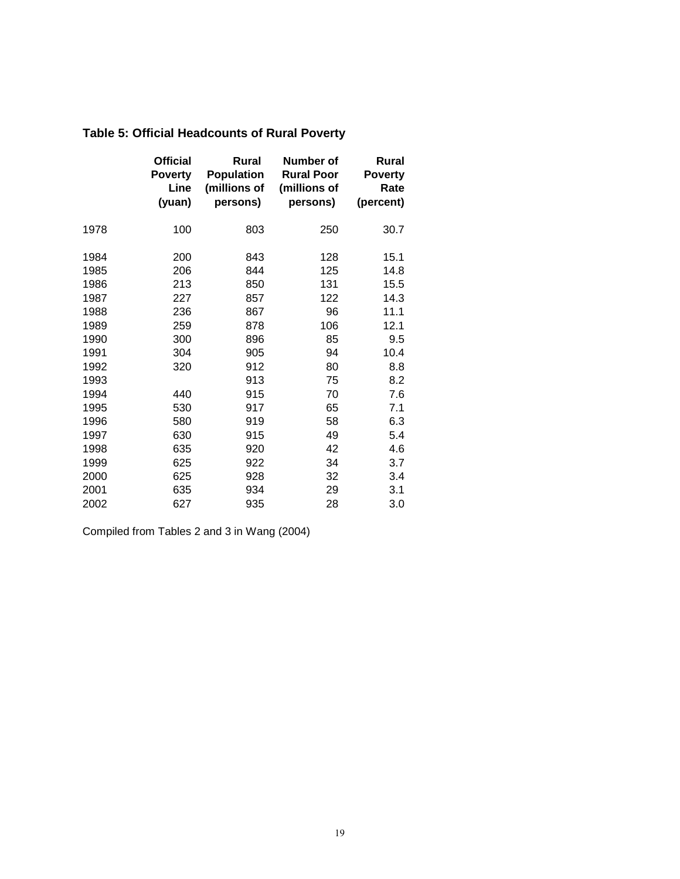|      | <b>Official</b><br><b>Poverty</b><br>Line<br>(yuan) | Rural<br><b>Population</b><br>(millions of<br>persons) | Number of<br><b>Rural Poor</b><br>(millions of<br>persons) | <b>Rural</b><br><b>Poverty</b><br>Rate<br>(percent) |
|------|-----------------------------------------------------|--------------------------------------------------------|------------------------------------------------------------|-----------------------------------------------------|
| 1978 | 100                                                 | 803                                                    | 250                                                        | 30.7                                                |
| 1984 | 200                                                 | 843                                                    | 128                                                        | 15.1                                                |
| 1985 | 206                                                 | 844                                                    | 125                                                        | 14.8                                                |
| 1986 | 213                                                 | 850                                                    | 131                                                        | 15.5                                                |
| 1987 | 227                                                 | 857                                                    | 122                                                        | 14.3                                                |
| 1988 | 236                                                 | 867                                                    | 96                                                         | 11.1                                                |
| 1989 | 259                                                 | 878                                                    | 106                                                        | 12.1                                                |
| 1990 | 300                                                 | 896                                                    | 85                                                         | 9.5                                                 |
| 1991 | 304                                                 | 905                                                    | 94                                                         | 10.4                                                |
| 1992 | 320                                                 | 912                                                    | 80                                                         | 8.8                                                 |
| 1993 |                                                     | 913                                                    | 75                                                         | 8.2                                                 |
| 1994 | 440                                                 | 915                                                    | 70                                                         | 7.6                                                 |
| 1995 | 530                                                 | 917                                                    | 65                                                         | 7.1                                                 |
| 1996 | 580                                                 | 919                                                    | 58                                                         | 6.3                                                 |
| 1997 | 630                                                 | 915                                                    | 49                                                         | 5.4                                                 |
| 1998 | 635                                                 | 920                                                    | 42                                                         | 4.6                                                 |
| 1999 | 625                                                 | 922                                                    | 34                                                         | 3.7                                                 |
| 2000 | 625                                                 | 928                                                    | 32                                                         | 3.4                                                 |
| 2001 | 635                                                 | 934                                                    | 29                                                         | 3.1                                                 |
| 2002 | 627                                                 | 935                                                    | 28                                                         | 3.0                                                 |

# **Table 5: Official Headcounts of Rural Poverty**

Compiled from Tables 2 and 3 in Wang (2004)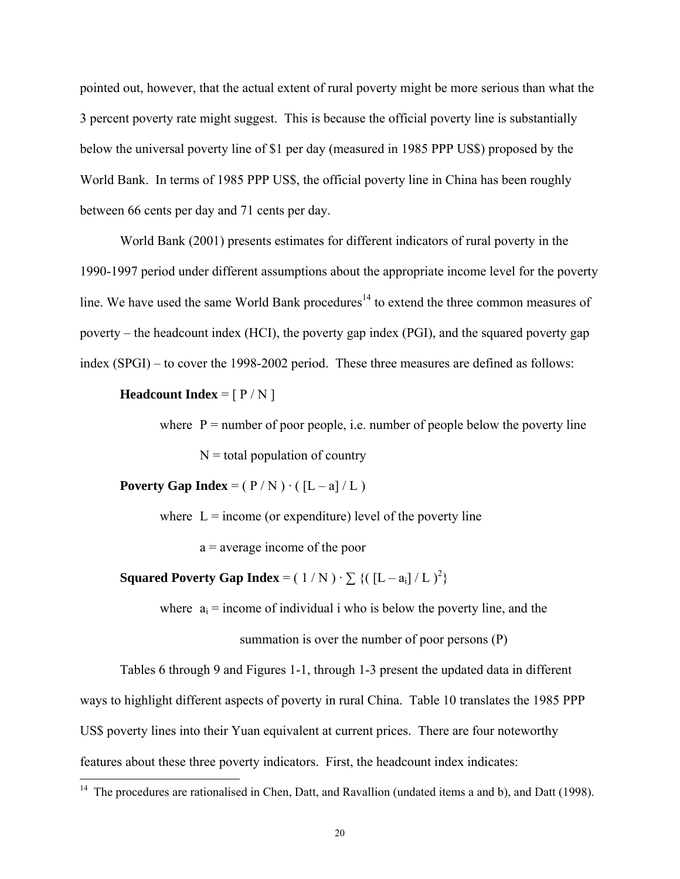pointed out, however, that the actual extent of rural poverty might be more serious than what the 3 percent poverty rate might suggest. This is because the official poverty line is substantially below the universal poverty line of \$1 per day (measured in 1985 PPP US\$) proposed by the World Bank. In terms of 1985 PPP US\$, the official poverty line in China has been roughly between 66 cents per day and 71 cents per day.

 World Bank (2001) presents estimates for different indicators of rural poverty in the 1990-1997 period under different assumptions about the appropriate income level for the poverty line. We have used the same World Bank procedures<sup>14</sup> to extend the three common measures of poverty – the headcount index (HCI), the poverty gap index (PGI), and the squared poverty gap index (SPGI) – to cover the 1998-2002 period. These three measures are defined as follows:

#### **Headcount Index** =  $[ P / N ]$

where  $P =$  number of poor people, i.e. number of people below the poverty line  $N =$  total population of country

**Poverty Gap Index** =  $(P/N) \cdot ( [L-a]/L)$ 

where  $L =$  income (or expenditure) level of the poverty line

a = average income of the poor

**Squared Poverty Gap Index** =  $( 1/N ) \cdot \sum \{ ( [L - a_i] / L )^2 \}$ 

where  $a_i$  = income of individual i who is below the poverty line, and the

summation is over the number of poor persons (P)

Tables 6 through 9 and Figures 1-1, through 1-3 present the updated data in different ways to highlight different aspects of poverty in rural China. Table 10 translates the 1985 PPP US\$ poverty lines into their Yuan equivalent at current prices. There are four noteworthy features about these three poverty indicators. First, the headcount index indicates:  $\overline{a}$ 

<sup>&</sup>lt;sup>14</sup> The procedures are rationalised in Chen, Datt, and Ravallion (undated items a and b), and Datt (1998).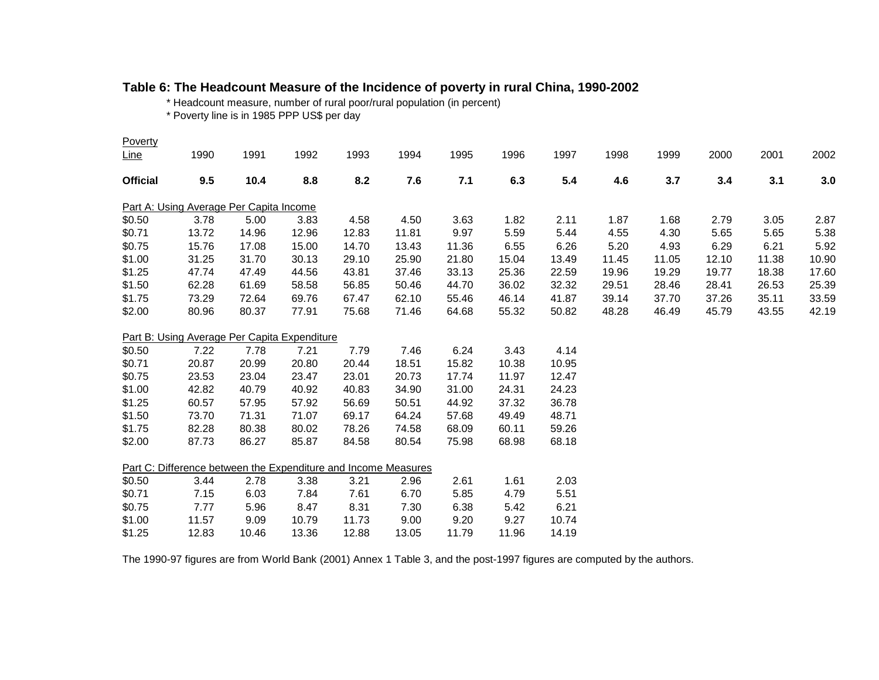## **Table 6: The Headcount Measure of the Incidence of poverty in rural China, 1990-2002**

\* Headcount measure, number of rural poor/rural population (in percent)

\* Poverty line is in 1985 PPP US\$ per day

| Poverty         |                                                                |       |       |       |       |       |       |       |       |       |       |       |       |
|-----------------|----------------------------------------------------------------|-------|-------|-------|-------|-------|-------|-------|-------|-------|-------|-------|-------|
| <u>Line</u>     | 1990                                                           | 1991  | 1992  | 1993  | 1994  | 1995  | 1996  | 1997  | 1998  | 1999  | 2000  | 2001  | 2002  |
| <b>Official</b> | 9.5                                                            | 10.4  | 8.8   | 8.2   | 7.6   | 7.1   | 6.3   | 5.4   | 4.6   | 3.7   | 3.4   | 3.1   | 3.0   |
|                 | Part A: Using Average Per Capita Income                        |       |       |       |       |       |       |       |       |       |       |       |       |
| \$0.50          | 3.78                                                           | 5.00  | 3.83  | 4.58  | 4.50  | 3.63  | 1.82  | 2.11  | 1.87  | 1.68  | 2.79  | 3.05  | 2.87  |
| \$0.71          | 13.72                                                          | 14.96 | 12.96 | 12.83 | 11.81 | 9.97  | 5.59  | 5.44  | 4.55  | 4.30  | 5.65  | 5.65  | 5.38  |
| \$0.75          | 15.76                                                          | 17.08 | 15.00 | 14.70 | 13.43 | 11.36 | 6.55  | 6.26  | 5.20  | 4.93  | 6.29  | 6.21  | 5.92  |
| \$1.00          | 31.25                                                          | 31.70 | 30.13 | 29.10 | 25.90 | 21.80 | 15.04 | 13.49 | 11.45 | 11.05 | 12.10 | 11.38 | 10.90 |
| \$1.25          | 47.74                                                          | 47.49 | 44.56 | 43.81 | 37.46 | 33.13 | 25.36 | 22.59 | 19.96 | 19.29 | 19.77 | 18.38 | 17.60 |
| \$1.50          | 62.28                                                          | 61.69 | 58.58 | 56.85 | 50.46 | 44.70 | 36.02 | 32.32 | 29.51 | 28.46 | 28.41 | 26.53 | 25.39 |
| \$1.75          | 73.29                                                          | 72.64 | 69.76 | 67.47 | 62.10 | 55.46 | 46.14 | 41.87 | 39.14 | 37.70 | 37.26 | 35.11 | 33.59 |
| \$2.00          | 80.96                                                          | 80.37 | 77.91 | 75.68 | 71.46 | 64.68 | 55.32 | 50.82 | 48.28 | 46.49 | 45.79 | 43.55 | 42.19 |
|                 | Part B: Using Average Per Capita Expenditure                   |       |       |       |       |       |       |       |       |       |       |       |       |
| \$0.50          | 7.22                                                           | 7.78  | 7.21  | 7.79  | 7.46  | 6.24  | 3.43  | 4.14  |       |       |       |       |       |
| \$0.71          | 20.87                                                          | 20.99 | 20.80 | 20.44 | 18.51 | 15.82 | 10.38 | 10.95 |       |       |       |       |       |
| \$0.75          | 23.53                                                          | 23.04 | 23.47 | 23.01 | 20.73 | 17.74 | 11.97 | 12.47 |       |       |       |       |       |
| \$1.00          | 42.82                                                          | 40.79 | 40.92 | 40.83 | 34.90 | 31.00 | 24.31 | 24.23 |       |       |       |       |       |
| \$1.25          | 60.57                                                          | 57.95 | 57.92 | 56.69 | 50.51 | 44.92 | 37.32 | 36.78 |       |       |       |       |       |
| \$1.50          | 73.70                                                          | 71.31 | 71.07 | 69.17 | 64.24 | 57.68 | 49.49 | 48.71 |       |       |       |       |       |
| \$1.75          | 82.28                                                          | 80.38 | 80.02 | 78.26 | 74.58 | 68.09 | 60.11 | 59.26 |       |       |       |       |       |
| \$2.00          | 87.73                                                          | 86.27 | 85.87 | 84.58 | 80.54 | 75.98 | 68.98 | 68.18 |       |       |       |       |       |
|                 | Part C: Difference between the Expenditure and Income Measures |       |       |       |       |       |       |       |       |       |       |       |       |
| \$0.50          | 3.44                                                           | 2.78  | 3.38  | 3.21  | 2.96  | 2.61  | 1.61  | 2.03  |       |       |       |       |       |
| \$0.71          | 7.15                                                           | 6.03  | 7.84  | 7.61  | 6.70  | 5.85  | 4.79  | 5.51  |       |       |       |       |       |
| \$0.75          | 7.77                                                           | 5.96  | 8.47  | 8.31  | 7.30  | 6.38  | 5.42  | 6.21  |       |       |       |       |       |
| \$1.00          | 11.57                                                          | 9.09  | 10.79 | 11.73 | 9.00  | 9.20  | 9.27  | 10.74 |       |       |       |       |       |
| \$1.25          | 12.83                                                          | 10.46 | 13.36 | 12.88 | 13.05 | 11.79 | 11.96 | 14.19 |       |       |       |       |       |
|                 |                                                                |       |       |       |       |       |       |       |       |       |       |       |       |

The 1990-97 figures are from World Bank (2001) Annex 1 Table 3, and the post-1997 figures are computed by the authors.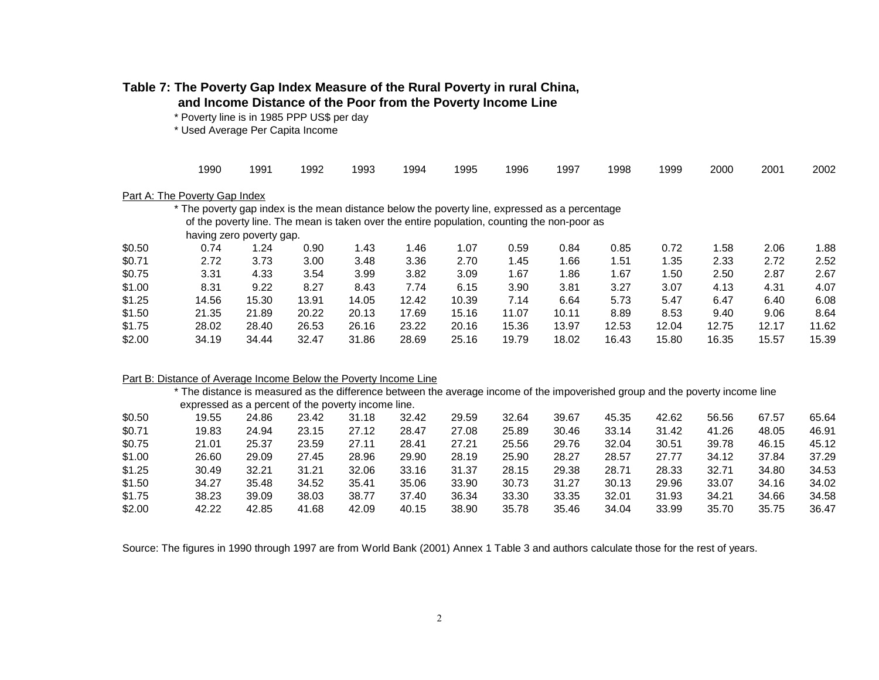# **Table 7: The Poverty Gap Index Measure of the Rural Poverty in rural China,**

 **and Income Distance of the Poor from the Poverty Income Line**

\* Poverty line is in 1985 PPP US\$ per day

\* Used Average Per Capita Income

|        | 1990                                                                                           | 1991                     | 1992                                                                                        | 1993  | 1994  | 1995  | 1996  | 1997  | 1998  | 1999  | 2000  | 2001  | 2002  |
|--------|------------------------------------------------------------------------------------------------|--------------------------|---------------------------------------------------------------------------------------------|-------|-------|-------|-------|-------|-------|-------|-------|-------|-------|
|        | Part A: The Poverty Gap Index                                                                  |                          |                                                                                             |       |       |       |       |       |       |       |       |       |       |
|        | * The poverty gap index is the mean distance below the poverty line, expressed as a percentage |                          |                                                                                             |       |       |       |       |       |       |       |       |       |       |
|        |                                                                                                |                          | of the poverty line. The mean is taken over the entire population, counting the non-poor as |       |       |       |       |       |       |       |       |       |       |
|        |                                                                                                | having zero poverty gap. |                                                                                             |       |       |       |       |       |       |       |       |       |       |
| \$0.50 | 0.74                                                                                           | 1.24                     | 0.90                                                                                        | 1.43  | 1.46  | 1.07  | 0.59  | 0.84  | 0.85  | 0.72  | 1.58  | 2.06  | 1.88  |
| \$0.71 | 2.72                                                                                           | 3.73                     | 3.00                                                                                        | 3.48  | 3.36  | 2.70  | 1.45  | 1.66  | 1.51  | 1.35  | 2.33  | 2.72  | 2.52  |
| \$0.75 | 3.31                                                                                           | 4.33                     | 3.54                                                                                        | 3.99  | 3.82  | 3.09  | 1.67  | 1.86  | 1.67  | 1.50  | 2.50  | 2.87  | 2.67  |
| \$1.00 | 8.31                                                                                           | 9.22                     | 8.27                                                                                        | 8.43  | 7.74  | 6.15  | 3.90  | 3.81  | 3.27  | 3.07  | 4.13  | 4.31  | 4.07  |
| \$1.25 | 14.56                                                                                          | 15.30                    | 13.91                                                                                       | 14.05 | 12.42 | 10.39 | 7.14  | 6.64  | 5.73  | 5.47  | 6.47  | 6.40  | 6.08  |
| \$1.50 | 21.35                                                                                          | 21.89                    | 20.22                                                                                       | 20.13 | 17.69 | 15.16 | 11.07 | 10.11 | 8.89  | 8.53  | 9.40  | 9.06  | 8.64  |
| \$1.75 | 28.02                                                                                          | 28.40                    | 26.53                                                                                       | 26.16 | 23.22 | 20.16 | 15.36 | 13.97 | 12.53 | 12.04 | 12.75 | 12.17 | 11.62 |
| \$2.00 | 34.19                                                                                          | 34.44                    | 32.47                                                                                       | 31.86 | 28.69 | 25.16 | 19.79 | 18.02 | 16.43 | 15.80 | 16.35 | 15.57 | 15.39 |
|        |                                                                                                |                          |                                                                                             |       |       |       |       |       |       |       |       |       |       |

#### Part B: Distance of Average Income Below the Poverty Income Line

\* The distance is measured as the difference between the average income of the impoverished group and the poverty income line expressed as a percent of the poverty income line.

| \$0.50 | 19.55 | 24.86 | 23.42 | 31.18 | 32.42 | 29.59 | 32.64 | 39.67 | 45.35 | 42.62 | 56.56 | 67.57 | 65.64 |
|--------|-------|-------|-------|-------|-------|-------|-------|-------|-------|-------|-------|-------|-------|
| \$0.71 | 19.83 | 24.94 | 23.15 | 27.12 | 28.47 | 27.08 | 25.89 | 30.46 | 33.14 | 31.42 | 41.26 | 48.05 | 46.91 |
| \$0.75 | 21.01 | 25.37 | 23.59 | 27.11 | 28.41 | 27.21 | 25.56 | 29.76 | 32.04 | 30.51 | 39.78 | 46.15 | 45.12 |
| \$1.00 | 26.60 | 29.09 | 27.45 | 28.96 | 29.90 | 28.19 | 25.90 | 28.27 | 28.57 | 27.77 | 34.12 | 37.84 | 37.29 |
| \$1.25 | 30.49 | 32.21 | 31.21 | 32.06 | 33.16 | 31.37 | 28.15 | 29.38 | 28.71 | 28.33 | 32.71 | 34.80 | 34.53 |
| \$1.50 | 34.27 | 35.48 | 34.52 | 35.41 | 35.06 | 33.90 | 30.73 | 31.27 | 30.13 | 29.96 | 33.07 | 34.16 | 34.02 |
| \$1.75 | 38.23 | 39.09 | 38.03 | 38.77 | 37.40 | 36.34 | 33.30 | 33.35 | 32.01 | 31.93 | 34.21 | 34.66 | 34.58 |
| \$2.00 | 42.22 | 42.85 | 41.68 | 42.09 | 40.15 | 38.90 | 35.78 | 35.46 | 34.04 | 33.99 | 35.70 | 35.75 | 36.47 |

Source: The figures in 1990 through 1997 are from World Bank (2001) Annex 1 Table 3 and authors calculate those for the rest of years.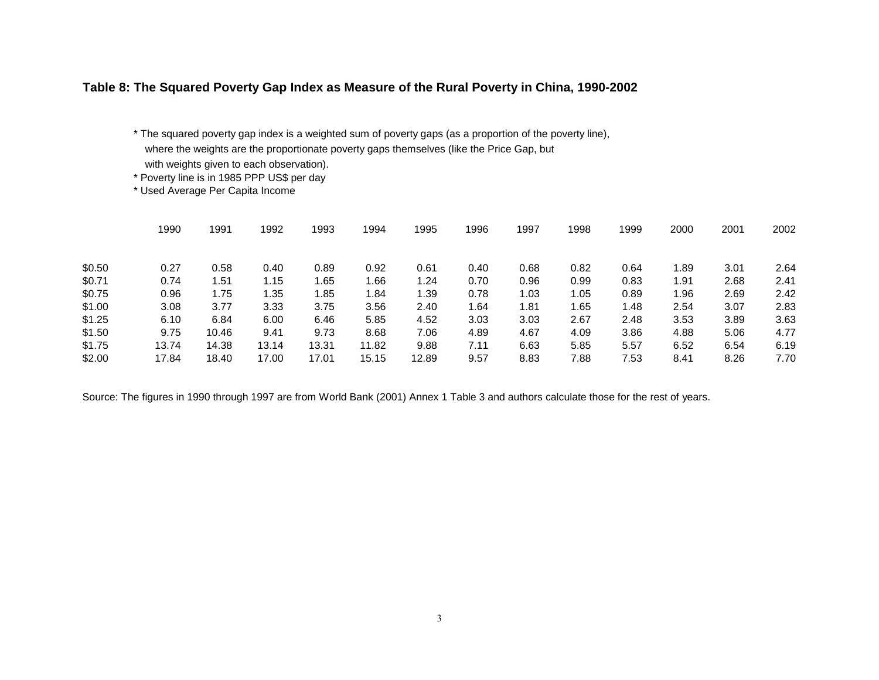#### **Table 8: The Squared Poverty Gap Index as Measure of the Rural Poverty in China, 1990-2002**

\* The squared poverty gap index is a weighted sum of poverty gaps (as a proportion of the poverty line), where the weights are the proportionate poverty gaps themselves (like the Price Gap, but with weights given to each observation).

\* Poverty line is in 1985 PPP US\$ per day

\* Used Average Per Capita Income

|        | 1990  | 1991  | 1992  | 1993  | 1994  | 1995  | 1996 | 1997 | 1998 | 1999 | 2000 | 2001 | 2002 |
|--------|-------|-------|-------|-------|-------|-------|------|------|------|------|------|------|------|
| \$0.50 | 0.27  | 0.58  | 0.40  | 0.89  | 0.92  | 0.61  | 0.40 | 0.68 | 0.82 | 0.64 | 1.89 | 3.01 | 2.64 |
| \$0.71 | 0.74  | l.51  | 1.15  | 1.65  | 1.66  | 1.24  | 0.70 | 0.96 | 0.99 | 0.83 | 1.91 | 2.68 | 2.41 |
| \$0.75 | 0.96  | 1.75  | 1.35  | 1.85  | 1.84  | 1.39  | 0.78 | 1.03 | 1.05 | 0.89 | 1.96 | 2.69 | 2.42 |
| \$1.00 | 3.08  | 3.77  | 3.33  | 3.75  | 3.56  | 2.40  | 1.64 | 1.81 | 1.65 | 1.48 | 2.54 | 3.07 | 2.83 |
| \$1.25 | 6.10  | 6.84  | 6.00  | 6.46  | 5.85  | 4.52  | 3.03 | 3.03 | 2.67 | 2.48 | 3.53 | 3.89 | 3.63 |
| \$1.50 | 9.75  | 10.46 | 9.41  | 9.73  | 8.68  | 7.06  | 4.89 | 4.67 | 4.09 | 3.86 | 4.88 | 5.06 | 4.77 |
| \$1.75 | 13.74 | 14.38 | 13.14 | 13.31 | 11.82 | 9.88  | 7.11 | 6.63 | 5.85 | 5.57 | 6.52 | 6.54 | 6.19 |
| \$2.00 | 17.84 | 18.40 | 17.00 | 17.01 | 15.15 | 12.89 | 9.57 | 8.83 | 7.88 | 7.53 | 8.41 | 8.26 | 7.70 |

Source: The figures in 1990 through 1997 are from World Bank (2001) Annex 1 Table 3 and authors calculate those for the rest of years.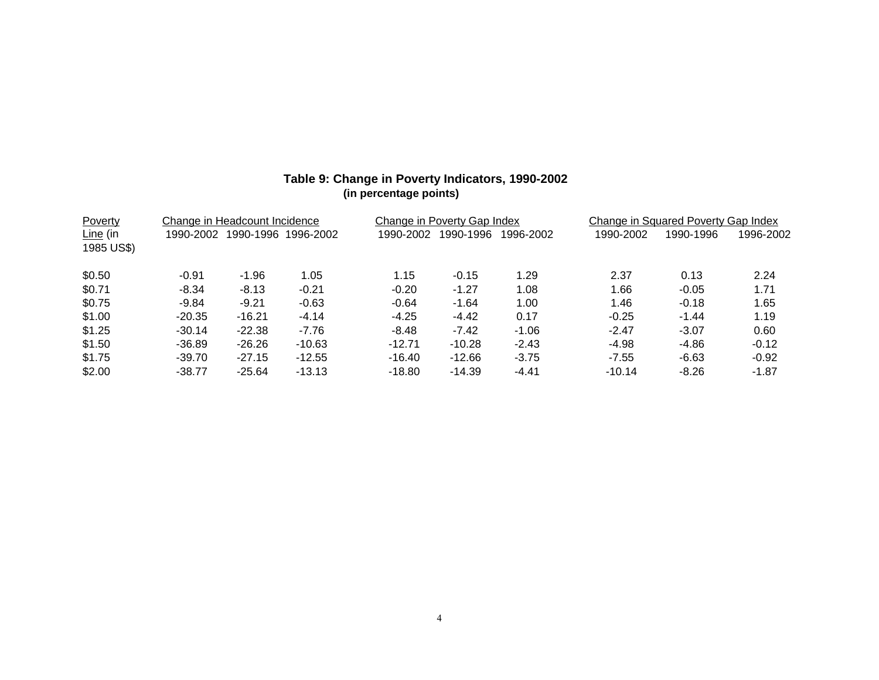| Poverty    |           | Change in Headcount Incidence |           |           | Change in Poverty Gap Index |           |           | Change in Squared Poverty Gap Index |           |
|------------|-----------|-------------------------------|-----------|-----------|-----------------------------|-----------|-----------|-------------------------------------|-----------|
| Line (in   | 1990-2002 | 1990-1996                     | 1996-2002 | 1990-2002 | 1990-1996                   | 1996-2002 | 1990-2002 | 1990-1996                           | 1996-2002 |
| 1985 US\$) |           |                               |           |           |                             |           |           |                                     |           |
| \$0.50     | $-0.91$   | $-1.96$                       | 1.05      | 1.15      | $-0.15$                     | 1.29      | 2.37      | 0.13                                | 2.24      |
| \$0.71     | $-8.34$   | $-8.13$                       | $-0.21$   | $-0.20$   | $-1.27$                     | 1.08      | 1.66      | $-0.05$                             | 1.71      |
| \$0.75     | $-9.84$   | $-9.21$                       | $-0.63$   | $-0.64$   | $-1.64$                     | 1.00      | 1.46      | $-0.18$                             | 1.65      |
| \$1.00     | $-20.35$  | $-16.21$                      | $-4.14$   | $-4.25$   | $-4.42$                     | 0.17      | $-0.25$   | $-1.44$                             | 1.19      |
| \$1.25     | $-30.14$  | $-22.38$                      | $-7.76$   | $-8.48$   | $-7.42$                     | $-1.06$   | $-2.47$   | $-3.07$                             | 0.60      |
| \$1.50     | -36.89    | $-26.26$                      | $-10.63$  | $-12.71$  | $-10.28$                    | $-2.43$   | $-4.98$   | $-4.86$                             | $-0.12$   |
| \$1.75     | $-39.70$  | $-27.15$                      | $-12.55$  | $-16.40$  | $-12.66$                    | $-3.75$   | $-7.55$   | $-6.63$                             | $-0.92$   |
| \$2.00     | $-38.77$  | $-25.64$                      | $-13.13$  | $-18.80$  | $-14.39$                    | $-4.41$   | $-10.14$  | $-8.26$                             | $-1.87$   |

#### **Table 9: Change in Poverty Indicators, 1990-2002 (in percentage points)**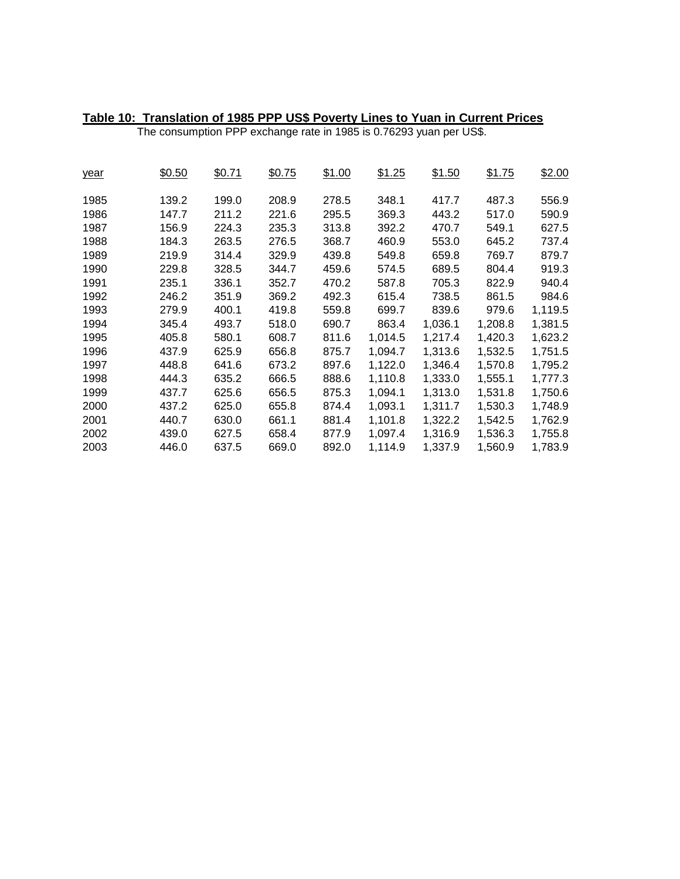| Table 10: Translation of 1985 PPP US\$ Poverty Lines to Yuan in Current Prices |
|--------------------------------------------------------------------------------|
|                                                                                |

The consumption PPP exchange rate in 1985 is 0.76293 yuan per US\$.

| year | \$0.50 | \$0.71 | \$0.75 | \$1.00 | \$1.25  | \$1.50  | \$1.75  | \$2.00  |
|------|--------|--------|--------|--------|---------|---------|---------|---------|
| 1985 | 139.2  | 199.0  | 208.9  | 278.5  | 348.1   | 417.7   | 487.3   | 556.9   |
| 1986 | 147.7  | 211.2  | 221.6  | 295.5  | 369.3   | 443.2   | 517.0   | 590.9   |
| 1987 | 156.9  | 224.3  | 235.3  | 313.8  | 392.2   | 470.7   | 549.1   | 627.5   |
| 1988 | 184.3  | 263.5  | 276.5  | 368.7  | 460.9   | 553.0   | 645.2   | 737.4   |
| 1989 | 219.9  | 314.4  | 329.9  | 439.8  | 549.8   | 659.8   | 769.7   | 879.7   |
| 1990 | 229.8  | 328.5  | 344.7  | 459.6  | 574.5   | 689.5   | 804.4   | 919.3   |
| 1991 | 235.1  | 336.1  | 352.7  | 470.2  | 587.8   | 705.3   | 822.9   | 940.4   |
| 1992 | 246.2  | 351.9  | 369.2  | 492.3  | 615.4   | 738.5   | 861.5   | 984.6   |
| 1993 | 279.9  | 400.1  | 419.8  | 559.8  | 699.7   | 839.6   | 979.6   | 1,119.5 |
| 1994 | 345.4  | 493.7  | 518.0  | 690.7  | 863.4   | 1,036.1 | 1,208.8 | 1,381.5 |
| 1995 | 405.8  | 580.1  | 608.7  | 811.6  | 1,014.5 | 1,217.4 | 1,420.3 | 1,623.2 |
| 1996 | 437.9  | 625.9  | 656.8  | 875.7  | 1,094.7 | 1,313.6 | 1,532.5 | 1,751.5 |
| 1997 | 448.8  | 641.6  | 673.2  | 897.6  | 1,122.0 | 1,346.4 | 1,570.8 | 1,795.2 |
| 1998 | 444.3  | 635.2  | 666.5  | 888.6  | 1,110.8 | 1,333.0 | 1,555.1 | 1,777.3 |
| 1999 | 437.7  | 625.6  | 656.5  | 875.3  | 1,094.1 | 1,313.0 | 1,531.8 | 1,750.6 |
| 2000 | 437.2  | 625.0  | 655.8  | 874.4  | 1,093.1 | 1,311.7 | 1,530.3 | 1,748.9 |
| 2001 | 440.7  | 630.0  | 661.1  | 881.4  | 1,101.8 | 1,322.2 | 1,542.5 | 1,762.9 |
| 2002 | 439.0  | 627.5  | 658.4  | 877.9  | 1,097.4 | 1,316.9 | 1,536.3 | 1,755.8 |
| 2003 | 446.0  | 637.5  | 669.0  | 892.0  | 1,114.9 | 1,337.9 | 1,560.9 | 1,783.9 |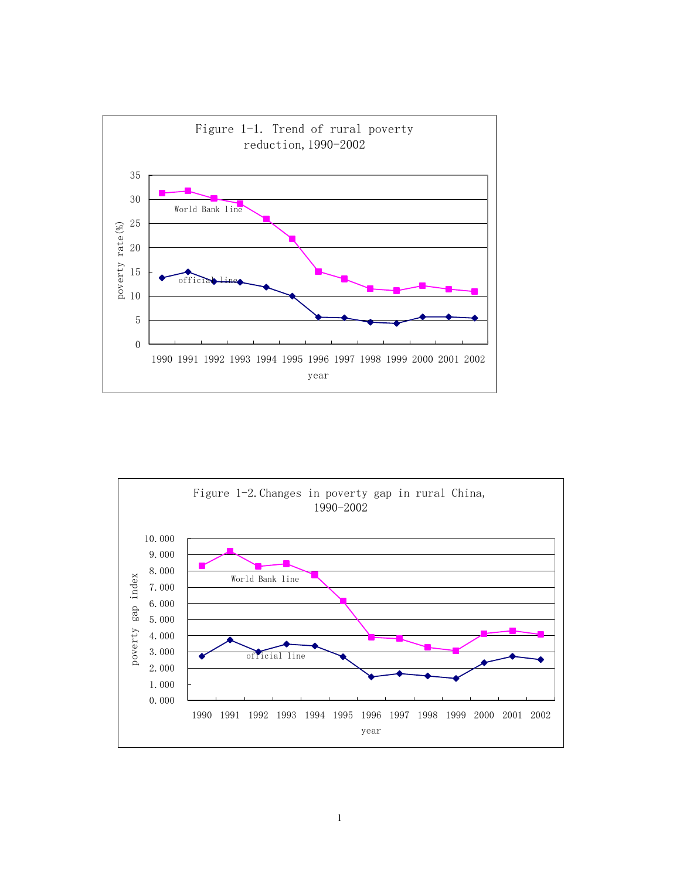

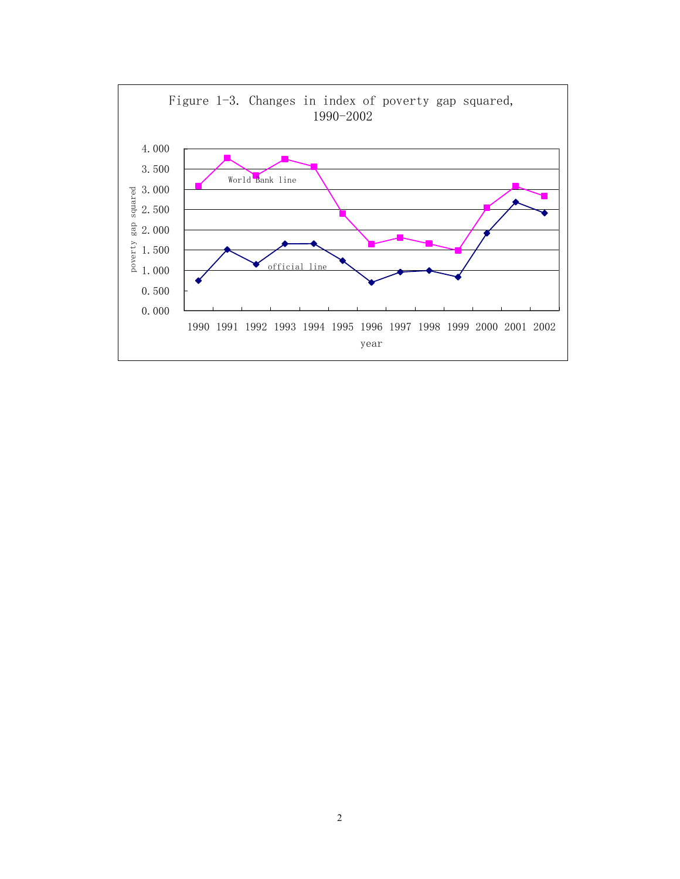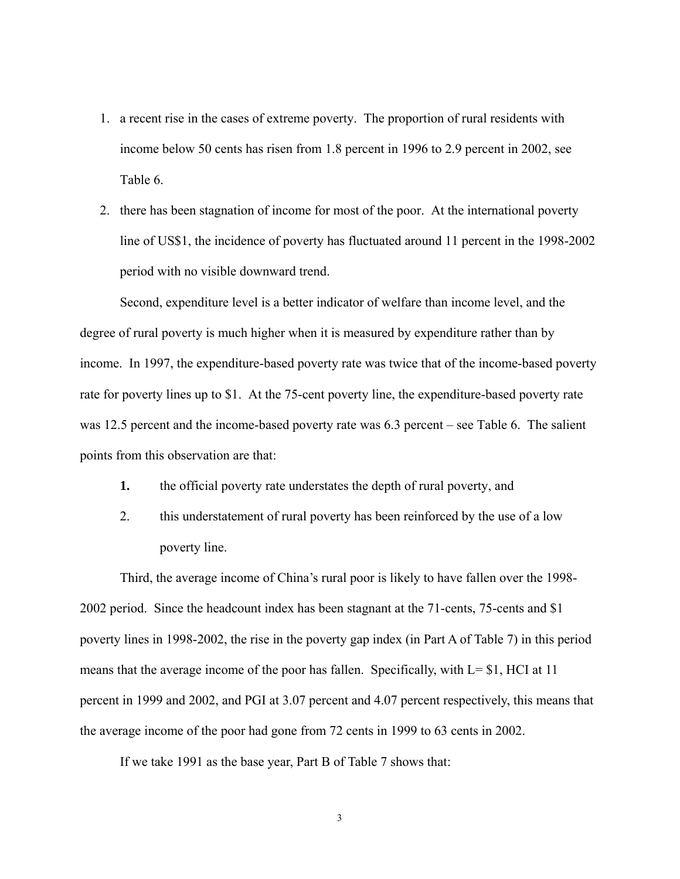- 1. a recent rise in the cases of extreme poverty. The proportion of rural residents with income below 50 cents has risen from 1.8 percent in 1996 to 2.9 percent in 2002, see Table 6.
- 2. there has been stagnation of income for most of the poor. At the international poverty line of US\$1, the incidence of poverty has fluctuated around 11 percent in the 1998-2002 period with no visible downward trend.

 Second, expenditure level is a better indicator of welfare than income level, and the degree of rural poverty is much higher when it is measured by expenditure rather than by income. In 1997, the expenditure-based poverty rate was twice that of the income-based poverty rate for poverty lines up to \$1. At the 75-cent poverty line, the expenditure-based poverty rate was 12.5 percent and the income-based poverty rate was 6.3 percent – see Table 6. The salient points from this observation are that:

- **1.** the official poverty rate understates the depth of rural poverty, and
- 2. this understatement of rural poverty has been reinforced by the use of a low poverty line.

 Third, the average income of China's rural poor is likely to have fallen over the 1998- 2002 period. Since the headcount index has been stagnant at the 71-cents, 75-cents and \$1 poverty lines in 1998-2002, the rise in the poverty gap index (in Part A of Table 7) in this period means that the average income of the poor has fallen. Specifically, with  $L = $1$ , HCI at 11 percent in 1999 and 2002, and PGI at 3.07 percent and 4.07 percent respectively, this means that the average income of the poor had gone from 72 cents in 1999 to 63 cents in 2002.

If we take 1991 as the base year, Part B of Table 7 shows that: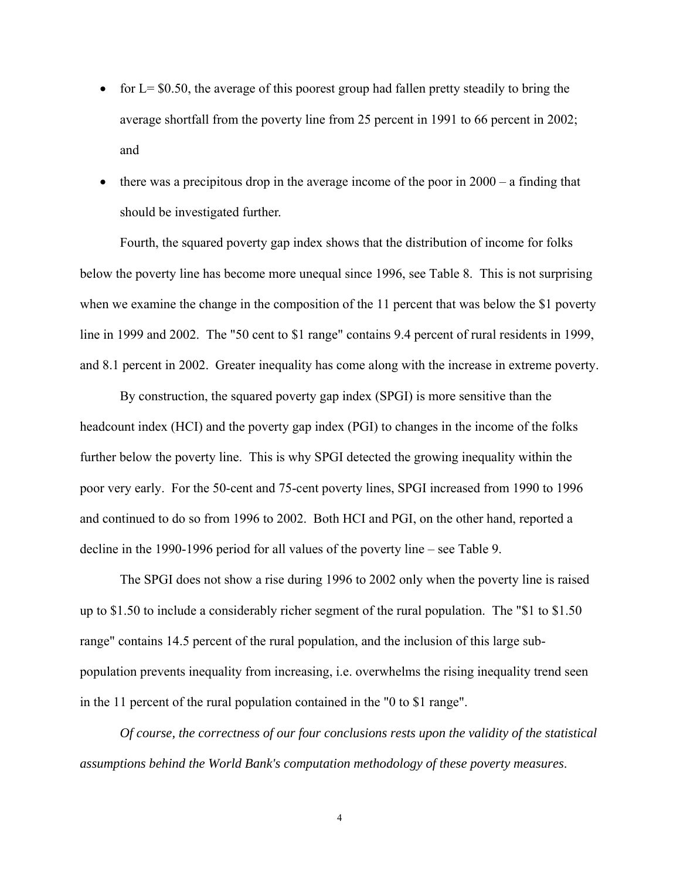- for  $L = $0.50$ , the average of this poorest group had fallen pretty steadily to bring the average shortfall from the poverty line from 25 percent in 1991 to 66 percent in 2002; and
- there was a precipitous drop in the average income of the poor in  $2000 a$  finding that should be investigated further.

 Fourth, the squared poverty gap index shows that the distribution of income for folks below the poverty line has become more unequal since 1996, see Table 8. This is not surprising when we examine the change in the composition of the 11 percent that was below the \$1 poverty line in 1999 and 2002. The "50 cent to \$1 range" contains 9.4 percent of rural residents in 1999, and 8.1 percent in 2002. Greater inequality has come along with the increase in extreme poverty.

By construction, the squared poverty gap index (SPGI) is more sensitive than the headcount index (HCI) and the poverty gap index (PGI) to changes in the income of the folks further below the poverty line. This is why SPGI detected the growing inequality within the poor very early. For the 50-cent and 75-cent poverty lines, SPGI increased from 1990 to 1996 and continued to do so from 1996 to 2002. Both HCI and PGI, on the other hand, reported a decline in the 1990-1996 period for all values of the poverty line – see Table 9.

 The SPGI does not show a rise during 1996 to 2002 only when the poverty line is raised up to \$1.50 to include a considerably richer segment of the rural population. The "\$1 to \$1.50 range" contains 14.5 percent of the rural population, and the inclusion of this large subpopulation prevents inequality from increasing, i.e. overwhelms the rising inequality trend seen in the 11 percent of the rural population contained in the "0 to \$1 range".

*Of course, the correctness of our four conclusions rests upon the validity of the statistical assumptions behind the World Bank's computation methodology of these poverty measures*.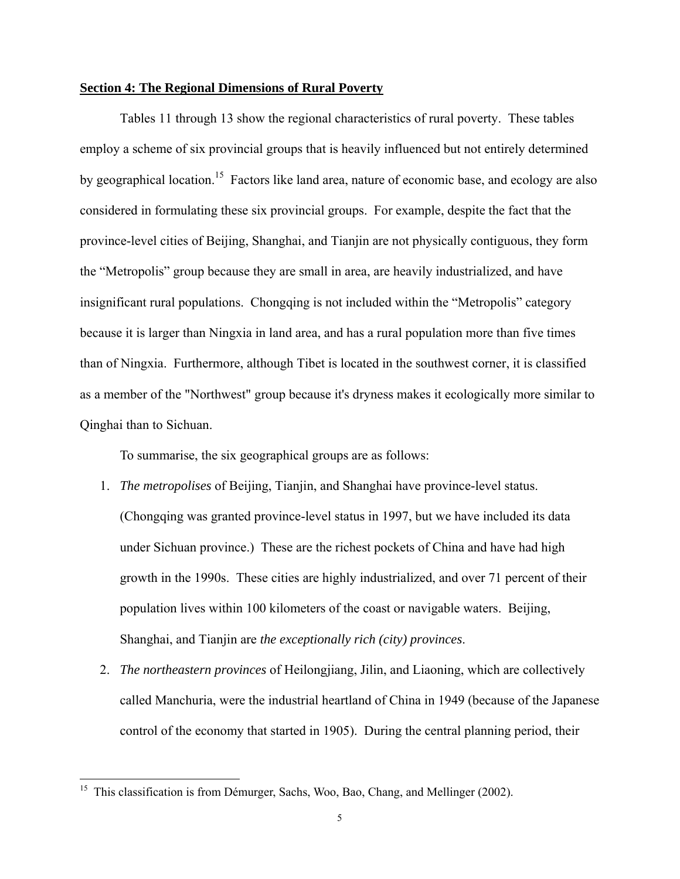#### **Section 4: The Regional Dimensions of Rural Poverty**

Tables 11 through 13 show the regional characteristics of rural poverty. These tables employ a scheme of six provincial groups that is heavily influenced but not entirely determined by geographical location.<sup>15</sup> Factors like land area, nature of economic base, and ecology are also considered in formulating these six provincial groups. For example, despite the fact that the province-level cities of Beijing, Shanghai, and Tianjin are not physically contiguous, they form the "Metropolis" group because they are small in area, are heavily industrialized, and have insignificant rural populations. Chongqing is not included within the "Metropolis" category because it is larger than Ningxia in land area, and has a rural population more than five times than of Ningxia. Furthermore, although Tibet is located in the southwest corner, it is classified as a member of the "Northwest" group because it's dryness makes it ecologically more similar to Qinghai than to Sichuan.

To summarise, the six geographical groups are as follows:

- 1. *The metropolises* of Beijing, Tianjin, and Shanghai have province-level status. (Chongqing was granted province-level status in 1997, but we have included its data under Sichuan province.) These are the richest pockets of China and have had high growth in the 1990s. These cities are highly industrialized, and over 71 percent of their population lives within 100 kilometers of the coast or navigable waters. Beijing, Shanghai, and Tianjin are *the exceptionally rich (city) provinces*.
- 2. *The northeastern provinces* of Heilongjiang, Jilin, and Liaoning, which are collectively called Manchuria, were the industrial heartland of China in 1949 (because of the Japanese control of the economy that started in 1905). During the central planning period, their

<sup>&</sup>lt;sup>15</sup> This classification is from Démurger, Sachs, Woo, Bao, Chang, and Mellinger (2002).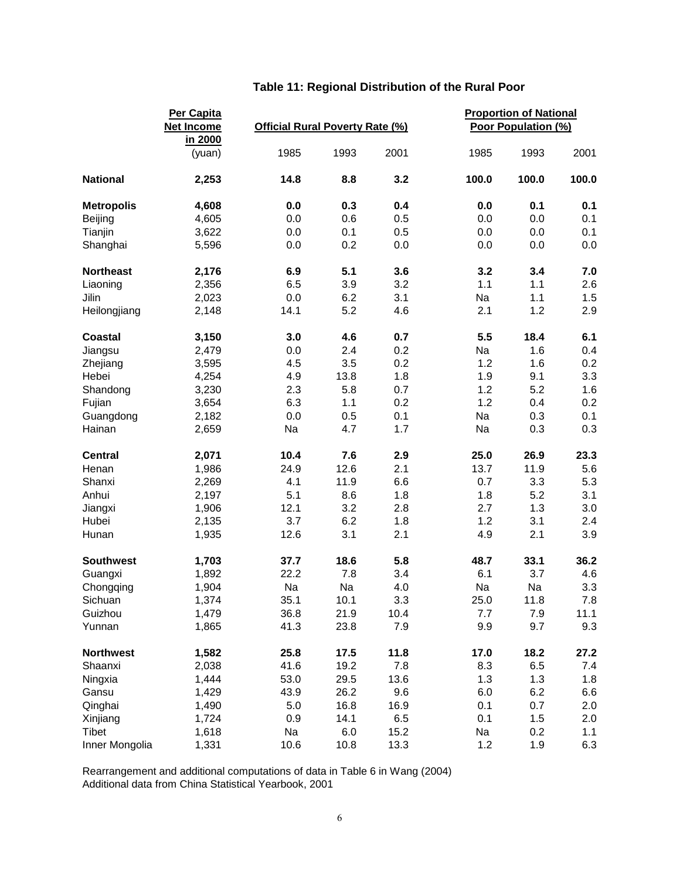| Poor Population (%)<br><b>Official Rural Poverty Rate (%)</b><br><b>Net Income</b><br>in 2000<br>1985<br>1993<br>2001<br>1985<br>1993<br>2001<br>(yuan)<br>3.2<br>100.0<br>100.0<br>100.0<br><b>National</b><br>2,253<br>14.8<br>8.8<br>0.0<br>0.3<br>0.4<br>0.1<br>0.1<br><b>Metropolis</b><br>4,608<br>0.0<br>0.5<br>4,605<br>0.0<br>0.6<br>0.0<br>0.0<br>0.1<br>Beijing<br>0.5<br>0.1<br>Tianjin<br>3,622<br>0.0<br>0.1<br>0.0<br>0.0<br>5,596<br>0.0<br>0.2<br>0.0<br>0.0<br>0.0<br>0.0<br>Shanghai<br>5.1<br><b>Northeast</b><br>2,176<br>6.9<br>3.6<br>3.2<br>3.4<br>7.0<br>3.9<br>3.2<br>1.1<br>2.6<br>2,356<br>6.5<br>1.1<br>3.1<br>Na<br>Jilin<br>2,023<br>0.0<br>6.2<br>1.1<br>1.5<br>5.2<br>2.1<br>1.2<br>2.9<br>Heilongjiang<br>2,148<br>14.1<br>4.6<br>4.6<br>0.7<br>5.5<br>18.4<br>6.1<br>Coastal<br>3,150<br>3.0<br>2.4<br>0.2<br>Na<br>0.4<br>2,479<br>0.0<br>1.6<br>Jiangsu<br>3.5<br>0.2<br>0.2<br>3,595<br>4.5<br>1.2<br>1.6<br>Zhejiang<br>13.8<br>1.8<br>1.9<br>9.1<br>3.3<br>Hebei<br>4,254<br>4.9<br>1.2<br>3,230<br>2.3<br>5.8<br>0.7<br>5.2<br>1.6<br>Shandong<br>1.2<br>0.2<br>Fujian<br>3,654<br>6.3<br>1.1<br>0.2<br>0.4<br>0.1<br>Na<br>0.3<br>0.1<br>2,182<br>0.0<br>0.5<br>Guangdong<br>Na<br>4.7<br>1.7<br>Na<br>0.3<br>0.3<br>Hainan<br>2,659<br><b>Central</b><br>2,071<br>10.4<br>7.6<br>2.9<br>25.0<br>26.9<br>23.3<br>2.1<br>13.7<br>11.9<br>Henan<br>1,986<br>24.9<br>12.6<br>5.6<br>6.6<br>3.3<br>5.3<br>Shanxi<br>2,269<br>4.1<br>11.9<br>0.7<br>Anhui<br>5.1<br>8.6<br>1.8<br>1.8<br>5.2<br>3.1<br>2,197<br>12.1<br>2.8<br>1.3<br>3.2<br>2.7<br>3.0<br>Jiangxi<br>1,906<br>3.7<br>6.2<br>1.8<br>1.2<br>3.1<br>Hubei<br>2,135<br>2.4<br>3.1<br>2.1<br>4.9<br>2.1<br>3.9<br>12.6<br>Hunan<br>1,935<br><b>Southwest</b><br>1,703<br>18.6<br>5.8<br>48.7<br>33.1<br>36.2<br>37.7<br>7.8<br>6.1<br>3.7<br>1,892<br>22.2<br>3.4<br>4.6<br>Guangxi<br>Na<br>Na<br>Na<br>Na<br>3.3<br>Chongqing<br>4.0<br>1,904<br>35.1<br>7.8<br>1,374<br>10.1<br>3.3<br>25.0<br>11.8<br>Sichuan<br>10.4<br>11.1<br>Guizhou<br>1,479<br>36.8<br>21.9<br>7.7<br>7.9<br>41.3<br>23.8<br>7.9<br>9.9<br>9.7<br>1,865<br>9.3<br>Yunnan<br>11.8<br><b>Northwest</b><br>1,582<br>25.8<br>17.5<br>17.0<br>18.2<br>27.2<br>41.6<br>7.8<br>8.3<br>6.5<br>2,038<br>19.2<br>7.4<br>Shaanxi<br>53.0<br>29.5<br>13.6<br>1.3<br>1.3<br>Ningxia<br>1,444<br>1.8<br>9.6<br>6.2<br>1,429<br>43.9<br>26.2<br>6.0<br>6.6<br>Gansu<br>1,490<br>5.0<br>16.8<br>16.9<br>0.1<br>0.7<br>2.0<br>Qinghai<br>6.5<br>1.5<br>1,724<br>0.9<br>14.1<br>0.1<br>2.0<br>Xinjiang<br>Tibet<br>1,618<br>Na<br>6.0<br>15.2<br>Na<br>0.2<br>1.1<br>1,331<br>1.2<br>6.3<br>Inner Mongolia<br>10.6<br>10.8<br>13.3<br>1.9 |          | Per Capita |  |  | <b>Proportion of National</b> |  |  |
|----------------------------------------------------------------------------------------------------------------------------------------------------------------------------------------------------------------------------------------------------------------------------------------------------------------------------------------------------------------------------------------------------------------------------------------------------------------------------------------------------------------------------------------------------------------------------------------------------------------------------------------------------------------------------------------------------------------------------------------------------------------------------------------------------------------------------------------------------------------------------------------------------------------------------------------------------------------------------------------------------------------------------------------------------------------------------------------------------------------------------------------------------------------------------------------------------------------------------------------------------------------------------------------------------------------------------------------------------------------------------------------------------------------------------------------------------------------------------------------------------------------------------------------------------------------------------------------------------------------------------------------------------------------------------------------------------------------------------------------------------------------------------------------------------------------------------------------------------------------------------------------------------------------------------------------------------------------------------------------------------------------------------------------------------------------------------------------------------------------------------------------------------------------------------------------------------------------------------------------------------------------------------------------------------------------------------------------------------------------------------------------------------------------------------------------------------------------------------------------------------------------------------------------------------------------------------------------------------------------------------------------------------------------------------------------------------|----------|------------|--|--|-------------------------------|--|--|
|                                                                                                                                                                                                                                                                                                                                                                                                                                                                                                                                                                                                                                                                                                                                                                                                                                                                                                                                                                                                                                                                                                                                                                                                                                                                                                                                                                                                                                                                                                                                                                                                                                                                                                                                                                                                                                                                                                                                                                                                                                                                                                                                                                                                                                                                                                                                                                                                                                                                                                                                                                                                                                                                                                    |          |            |  |  |                               |  |  |
|                                                                                                                                                                                                                                                                                                                                                                                                                                                                                                                                                                                                                                                                                                                                                                                                                                                                                                                                                                                                                                                                                                                                                                                                                                                                                                                                                                                                                                                                                                                                                                                                                                                                                                                                                                                                                                                                                                                                                                                                                                                                                                                                                                                                                                                                                                                                                                                                                                                                                                                                                                                                                                                                                                    |          |            |  |  |                               |  |  |
|                                                                                                                                                                                                                                                                                                                                                                                                                                                                                                                                                                                                                                                                                                                                                                                                                                                                                                                                                                                                                                                                                                                                                                                                                                                                                                                                                                                                                                                                                                                                                                                                                                                                                                                                                                                                                                                                                                                                                                                                                                                                                                                                                                                                                                                                                                                                                                                                                                                                                                                                                                                                                                                                                                    |          |            |  |  |                               |  |  |
|                                                                                                                                                                                                                                                                                                                                                                                                                                                                                                                                                                                                                                                                                                                                                                                                                                                                                                                                                                                                                                                                                                                                                                                                                                                                                                                                                                                                                                                                                                                                                                                                                                                                                                                                                                                                                                                                                                                                                                                                                                                                                                                                                                                                                                                                                                                                                                                                                                                                                                                                                                                                                                                                                                    |          |            |  |  |                               |  |  |
|                                                                                                                                                                                                                                                                                                                                                                                                                                                                                                                                                                                                                                                                                                                                                                                                                                                                                                                                                                                                                                                                                                                                                                                                                                                                                                                                                                                                                                                                                                                                                                                                                                                                                                                                                                                                                                                                                                                                                                                                                                                                                                                                                                                                                                                                                                                                                                                                                                                                                                                                                                                                                                                                                                    |          |            |  |  |                               |  |  |
|                                                                                                                                                                                                                                                                                                                                                                                                                                                                                                                                                                                                                                                                                                                                                                                                                                                                                                                                                                                                                                                                                                                                                                                                                                                                                                                                                                                                                                                                                                                                                                                                                                                                                                                                                                                                                                                                                                                                                                                                                                                                                                                                                                                                                                                                                                                                                                                                                                                                                                                                                                                                                                                                                                    |          |            |  |  |                               |  |  |
|                                                                                                                                                                                                                                                                                                                                                                                                                                                                                                                                                                                                                                                                                                                                                                                                                                                                                                                                                                                                                                                                                                                                                                                                                                                                                                                                                                                                                                                                                                                                                                                                                                                                                                                                                                                                                                                                                                                                                                                                                                                                                                                                                                                                                                                                                                                                                                                                                                                                                                                                                                                                                                                                                                    |          |            |  |  |                               |  |  |
|                                                                                                                                                                                                                                                                                                                                                                                                                                                                                                                                                                                                                                                                                                                                                                                                                                                                                                                                                                                                                                                                                                                                                                                                                                                                                                                                                                                                                                                                                                                                                                                                                                                                                                                                                                                                                                                                                                                                                                                                                                                                                                                                                                                                                                                                                                                                                                                                                                                                                                                                                                                                                                                                                                    |          |            |  |  |                               |  |  |
|                                                                                                                                                                                                                                                                                                                                                                                                                                                                                                                                                                                                                                                                                                                                                                                                                                                                                                                                                                                                                                                                                                                                                                                                                                                                                                                                                                                                                                                                                                                                                                                                                                                                                                                                                                                                                                                                                                                                                                                                                                                                                                                                                                                                                                                                                                                                                                                                                                                                                                                                                                                                                                                                                                    |          |            |  |  |                               |  |  |
|                                                                                                                                                                                                                                                                                                                                                                                                                                                                                                                                                                                                                                                                                                                                                                                                                                                                                                                                                                                                                                                                                                                                                                                                                                                                                                                                                                                                                                                                                                                                                                                                                                                                                                                                                                                                                                                                                                                                                                                                                                                                                                                                                                                                                                                                                                                                                                                                                                                                                                                                                                                                                                                                                                    | Liaoning |            |  |  |                               |  |  |
|                                                                                                                                                                                                                                                                                                                                                                                                                                                                                                                                                                                                                                                                                                                                                                                                                                                                                                                                                                                                                                                                                                                                                                                                                                                                                                                                                                                                                                                                                                                                                                                                                                                                                                                                                                                                                                                                                                                                                                                                                                                                                                                                                                                                                                                                                                                                                                                                                                                                                                                                                                                                                                                                                                    |          |            |  |  |                               |  |  |
|                                                                                                                                                                                                                                                                                                                                                                                                                                                                                                                                                                                                                                                                                                                                                                                                                                                                                                                                                                                                                                                                                                                                                                                                                                                                                                                                                                                                                                                                                                                                                                                                                                                                                                                                                                                                                                                                                                                                                                                                                                                                                                                                                                                                                                                                                                                                                                                                                                                                                                                                                                                                                                                                                                    |          |            |  |  |                               |  |  |
|                                                                                                                                                                                                                                                                                                                                                                                                                                                                                                                                                                                                                                                                                                                                                                                                                                                                                                                                                                                                                                                                                                                                                                                                                                                                                                                                                                                                                                                                                                                                                                                                                                                                                                                                                                                                                                                                                                                                                                                                                                                                                                                                                                                                                                                                                                                                                                                                                                                                                                                                                                                                                                                                                                    |          |            |  |  |                               |  |  |
|                                                                                                                                                                                                                                                                                                                                                                                                                                                                                                                                                                                                                                                                                                                                                                                                                                                                                                                                                                                                                                                                                                                                                                                                                                                                                                                                                                                                                                                                                                                                                                                                                                                                                                                                                                                                                                                                                                                                                                                                                                                                                                                                                                                                                                                                                                                                                                                                                                                                                                                                                                                                                                                                                                    |          |            |  |  |                               |  |  |
|                                                                                                                                                                                                                                                                                                                                                                                                                                                                                                                                                                                                                                                                                                                                                                                                                                                                                                                                                                                                                                                                                                                                                                                                                                                                                                                                                                                                                                                                                                                                                                                                                                                                                                                                                                                                                                                                                                                                                                                                                                                                                                                                                                                                                                                                                                                                                                                                                                                                                                                                                                                                                                                                                                    |          |            |  |  |                               |  |  |
|                                                                                                                                                                                                                                                                                                                                                                                                                                                                                                                                                                                                                                                                                                                                                                                                                                                                                                                                                                                                                                                                                                                                                                                                                                                                                                                                                                                                                                                                                                                                                                                                                                                                                                                                                                                                                                                                                                                                                                                                                                                                                                                                                                                                                                                                                                                                                                                                                                                                                                                                                                                                                                                                                                    |          |            |  |  |                               |  |  |
|                                                                                                                                                                                                                                                                                                                                                                                                                                                                                                                                                                                                                                                                                                                                                                                                                                                                                                                                                                                                                                                                                                                                                                                                                                                                                                                                                                                                                                                                                                                                                                                                                                                                                                                                                                                                                                                                                                                                                                                                                                                                                                                                                                                                                                                                                                                                                                                                                                                                                                                                                                                                                                                                                                    |          |            |  |  |                               |  |  |
|                                                                                                                                                                                                                                                                                                                                                                                                                                                                                                                                                                                                                                                                                                                                                                                                                                                                                                                                                                                                                                                                                                                                                                                                                                                                                                                                                                                                                                                                                                                                                                                                                                                                                                                                                                                                                                                                                                                                                                                                                                                                                                                                                                                                                                                                                                                                                                                                                                                                                                                                                                                                                                                                                                    |          |            |  |  |                               |  |  |
|                                                                                                                                                                                                                                                                                                                                                                                                                                                                                                                                                                                                                                                                                                                                                                                                                                                                                                                                                                                                                                                                                                                                                                                                                                                                                                                                                                                                                                                                                                                                                                                                                                                                                                                                                                                                                                                                                                                                                                                                                                                                                                                                                                                                                                                                                                                                                                                                                                                                                                                                                                                                                                                                                                    |          |            |  |  |                               |  |  |
|                                                                                                                                                                                                                                                                                                                                                                                                                                                                                                                                                                                                                                                                                                                                                                                                                                                                                                                                                                                                                                                                                                                                                                                                                                                                                                                                                                                                                                                                                                                                                                                                                                                                                                                                                                                                                                                                                                                                                                                                                                                                                                                                                                                                                                                                                                                                                                                                                                                                                                                                                                                                                                                                                                    |          |            |  |  |                               |  |  |
|                                                                                                                                                                                                                                                                                                                                                                                                                                                                                                                                                                                                                                                                                                                                                                                                                                                                                                                                                                                                                                                                                                                                                                                                                                                                                                                                                                                                                                                                                                                                                                                                                                                                                                                                                                                                                                                                                                                                                                                                                                                                                                                                                                                                                                                                                                                                                                                                                                                                                                                                                                                                                                                                                                    |          |            |  |  |                               |  |  |
|                                                                                                                                                                                                                                                                                                                                                                                                                                                                                                                                                                                                                                                                                                                                                                                                                                                                                                                                                                                                                                                                                                                                                                                                                                                                                                                                                                                                                                                                                                                                                                                                                                                                                                                                                                                                                                                                                                                                                                                                                                                                                                                                                                                                                                                                                                                                                                                                                                                                                                                                                                                                                                                                                                    |          |            |  |  |                               |  |  |
|                                                                                                                                                                                                                                                                                                                                                                                                                                                                                                                                                                                                                                                                                                                                                                                                                                                                                                                                                                                                                                                                                                                                                                                                                                                                                                                                                                                                                                                                                                                                                                                                                                                                                                                                                                                                                                                                                                                                                                                                                                                                                                                                                                                                                                                                                                                                                                                                                                                                                                                                                                                                                                                                                                    |          |            |  |  |                               |  |  |
|                                                                                                                                                                                                                                                                                                                                                                                                                                                                                                                                                                                                                                                                                                                                                                                                                                                                                                                                                                                                                                                                                                                                                                                                                                                                                                                                                                                                                                                                                                                                                                                                                                                                                                                                                                                                                                                                                                                                                                                                                                                                                                                                                                                                                                                                                                                                                                                                                                                                                                                                                                                                                                                                                                    |          |            |  |  |                               |  |  |
|                                                                                                                                                                                                                                                                                                                                                                                                                                                                                                                                                                                                                                                                                                                                                                                                                                                                                                                                                                                                                                                                                                                                                                                                                                                                                                                                                                                                                                                                                                                                                                                                                                                                                                                                                                                                                                                                                                                                                                                                                                                                                                                                                                                                                                                                                                                                                                                                                                                                                                                                                                                                                                                                                                    |          |            |  |  |                               |  |  |
|                                                                                                                                                                                                                                                                                                                                                                                                                                                                                                                                                                                                                                                                                                                                                                                                                                                                                                                                                                                                                                                                                                                                                                                                                                                                                                                                                                                                                                                                                                                                                                                                                                                                                                                                                                                                                                                                                                                                                                                                                                                                                                                                                                                                                                                                                                                                                                                                                                                                                                                                                                                                                                                                                                    |          |            |  |  |                               |  |  |
|                                                                                                                                                                                                                                                                                                                                                                                                                                                                                                                                                                                                                                                                                                                                                                                                                                                                                                                                                                                                                                                                                                                                                                                                                                                                                                                                                                                                                                                                                                                                                                                                                                                                                                                                                                                                                                                                                                                                                                                                                                                                                                                                                                                                                                                                                                                                                                                                                                                                                                                                                                                                                                                                                                    |          |            |  |  |                               |  |  |
|                                                                                                                                                                                                                                                                                                                                                                                                                                                                                                                                                                                                                                                                                                                                                                                                                                                                                                                                                                                                                                                                                                                                                                                                                                                                                                                                                                                                                                                                                                                                                                                                                                                                                                                                                                                                                                                                                                                                                                                                                                                                                                                                                                                                                                                                                                                                                                                                                                                                                                                                                                                                                                                                                                    |          |            |  |  |                               |  |  |
|                                                                                                                                                                                                                                                                                                                                                                                                                                                                                                                                                                                                                                                                                                                                                                                                                                                                                                                                                                                                                                                                                                                                                                                                                                                                                                                                                                                                                                                                                                                                                                                                                                                                                                                                                                                                                                                                                                                                                                                                                                                                                                                                                                                                                                                                                                                                                                                                                                                                                                                                                                                                                                                                                                    |          |            |  |  |                               |  |  |
|                                                                                                                                                                                                                                                                                                                                                                                                                                                                                                                                                                                                                                                                                                                                                                                                                                                                                                                                                                                                                                                                                                                                                                                                                                                                                                                                                                                                                                                                                                                                                                                                                                                                                                                                                                                                                                                                                                                                                                                                                                                                                                                                                                                                                                                                                                                                                                                                                                                                                                                                                                                                                                                                                                    |          |            |  |  |                               |  |  |
|                                                                                                                                                                                                                                                                                                                                                                                                                                                                                                                                                                                                                                                                                                                                                                                                                                                                                                                                                                                                                                                                                                                                                                                                                                                                                                                                                                                                                                                                                                                                                                                                                                                                                                                                                                                                                                                                                                                                                                                                                                                                                                                                                                                                                                                                                                                                                                                                                                                                                                                                                                                                                                                                                                    |          |            |  |  |                               |  |  |
|                                                                                                                                                                                                                                                                                                                                                                                                                                                                                                                                                                                                                                                                                                                                                                                                                                                                                                                                                                                                                                                                                                                                                                                                                                                                                                                                                                                                                                                                                                                                                                                                                                                                                                                                                                                                                                                                                                                                                                                                                                                                                                                                                                                                                                                                                                                                                                                                                                                                                                                                                                                                                                                                                                    |          |            |  |  |                               |  |  |
|                                                                                                                                                                                                                                                                                                                                                                                                                                                                                                                                                                                                                                                                                                                                                                                                                                                                                                                                                                                                                                                                                                                                                                                                                                                                                                                                                                                                                                                                                                                                                                                                                                                                                                                                                                                                                                                                                                                                                                                                                                                                                                                                                                                                                                                                                                                                                                                                                                                                                                                                                                                                                                                                                                    |          |            |  |  |                               |  |  |
|                                                                                                                                                                                                                                                                                                                                                                                                                                                                                                                                                                                                                                                                                                                                                                                                                                                                                                                                                                                                                                                                                                                                                                                                                                                                                                                                                                                                                                                                                                                                                                                                                                                                                                                                                                                                                                                                                                                                                                                                                                                                                                                                                                                                                                                                                                                                                                                                                                                                                                                                                                                                                                                                                                    |          |            |  |  |                               |  |  |
|                                                                                                                                                                                                                                                                                                                                                                                                                                                                                                                                                                                                                                                                                                                                                                                                                                                                                                                                                                                                                                                                                                                                                                                                                                                                                                                                                                                                                                                                                                                                                                                                                                                                                                                                                                                                                                                                                                                                                                                                                                                                                                                                                                                                                                                                                                                                                                                                                                                                                                                                                                                                                                                                                                    |          |            |  |  |                               |  |  |
|                                                                                                                                                                                                                                                                                                                                                                                                                                                                                                                                                                                                                                                                                                                                                                                                                                                                                                                                                                                                                                                                                                                                                                                                                                                                                                                                                                                                                                                                                                                                                                                                                                                                                                                                                                                                                                                                                                                                                                                                                                                                                                                                                                                                                                                                                                                                                                                                                                                                                                                                                                                                                                                                                                    |          |            |  |  |                               |  |  |
|                                                                                                                                                                                                                                                                                                                                                                                                                                                                                                                                                                                                                                                                                                                                                                                                                                                                                                                                                                                                                                                                                                                                                                                                                                                                                                                                                                                                                                                                                                                                                                                                                                                                                                                                                                                                                                                                                                                                                                                                                                                                                                                                                                                                                                                                                                                                                                                                                                                                                                                                                                                                                                                                                                    |          |            |  |  |                               |  |  |
|                                                                                                                                                                                                                                                                                                                                                                                                                                                                                                                                                                                                                                                                                                                                                                                                                                                                                                                                                                                                                                                                                                                                                                                                                                                                                                                                                                                                                                                                                                                                                                                                                                                                                                                                                                                                                                                                                                                                                                                                                                                                                                                                                                                                                                                                                                                                                                                                                                                                                                                                                                                                                                                                                                    |          |            |  |  |                               |  |  |
|                                                                                                                                                                                                                                                                                                                                                                                                                                                                                                                                                                                                                                                                                                                                                                                                                                                                                                                                                                                                                                                                                                                                                                                                                                                                                                                                                                                                                                                                                                                                                                                                                                                                                                                                                                                                                                                                                                                                                                                                                                                                                                                                                                                                                                                                                                                                                                                                                                                                                                                                                                                                                                                                                                    |          |            |  |  |                               |  |  |
|                                                                                                                                                                                                                                                                                                                                                                                                                                                                                                                                                                                                                                                                                                                                                                                                                                                                                                                                                                                                                                                                                                                                                                                                                                                                                                                                                                                                                                                                                                                                                                                                                                                                                                                                                                                                                                                                                                                                                                                                                                                                                                                                                                                                                                                                                                                                                                                                                                                                                                                                                                                                                                                                                                    |          |            |  |  |                               |  |  |
|                                                                                                                                                                                                                                                                                                                                                                                                                                                                                                                                                                                                                                                                                                                                                                                                                                                                                                                                                                                                                                                                                                                                                                                                                                                                                                                                                                                                                                                                                                                                                                                                                                                                                                                                                                                                                                                                                                                                                                                                                                                                                                                                                                                                                                                                                                                                                                                                                                                                                                                                                                                                                                                                                                    |          |            |  |  |                               |  |  |

# **Table 11: Regional Distribution of the Rural Poor**

Rearrangement and additional computations of data in Table 6 in Wang (2004) Additional data from China Statistical Yearbook, 2001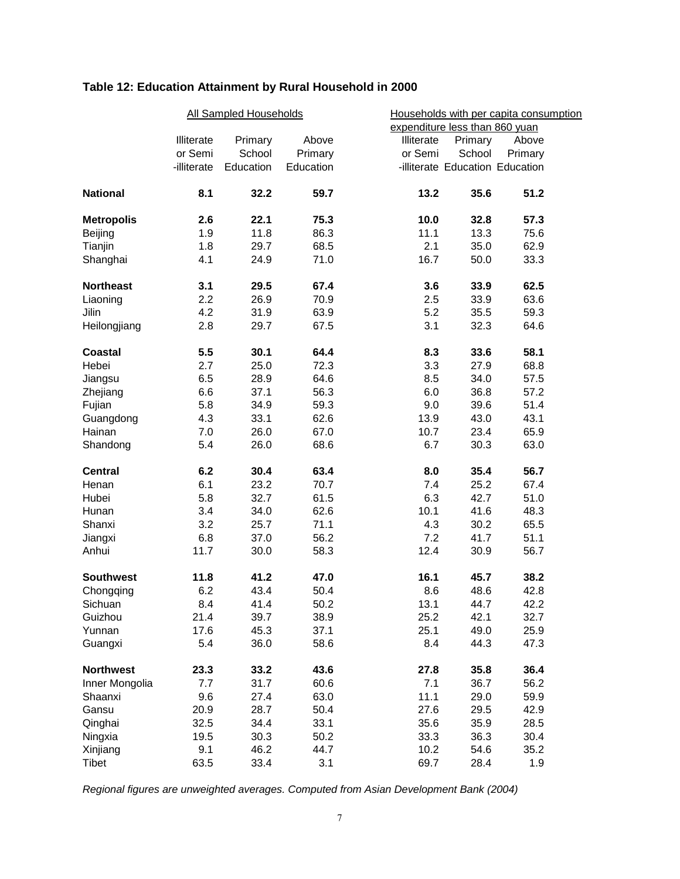# **Table 12: Education Attainment by Rural Household in 2000**

|                   | <b>All Sampled Households</b> |           |           |                                | Households with per capita consumption |         |  |
|-------------------|-------------------------------|-----------|-----------|--------------------------------|----------------------------------------|---------|--|
|                   |                               |           |           | expenditure less than 860 yuan |                                        |         |  |
|                   | Illiterate                    | Primary   | Above     | Illiterate                     | Primary                                | Above   |  |
|                   | or Semi                       | School    | Primary   | or Semi                        | School                                 | Primary |  |
|                   | -illiterate                   | Education | Education |                                | -illiterate Education Education        |         |  |
| <b>National</b>   | 8.1                           | 32.2      | 59.7      | 13.2                           | 35.6                                   | 51.2    |  |
| <b>Metropolis</b> | 2.6                           | 22.1      | 75.3      | 10.0                           | 32.8                                   | 57.3    |  |
| Beijing           | 1.9                           | 11.8      | 86.3      | 11.1                           | 13.3                                   | 75.6    |  |
| Tianjin           | 1.8                           | 29.7      | 68.5      | 2.1                            | 35.0                                   | 62.9    |  |
| Shanghai          | 4.1                           | 24.9      | 71.0      | 16.7                           | 50.0                                   | 33.3    |  |
| <b>Northeast</b>  | 3.1                           | 29.5      | 67.4      | 3.6                            | 33.9                                   | 62.5    |  |
| Liaoning          | 2.2                           | 26.9      | 70.9      | 2.5                            | 33.9                                   | 63.6    |  |
| Jilin             | 4.2                           | 31.9      | 63.9      | 5.2                            | 35.5                                   | 59.3    |  |
| Heilongjiang      | 2.8                           | 29.7      | 67.5      | 3.1                            | 32.3                                   | 64.6    |  |
| Coastal           | 5.5                           | 30.1      | 64.4      | 8.3                            | 33.6                                   | 58.1    |  |
| Hebei             | 2.7                           | 25.0      | 72.3      | 3.3                            | 27.9                                   | 68.8    |  |
| Jiangsu           | 6.5                           | 28.9      | 64.6      | 8.5                            | 34.0                                   | 57.5    |  |
| Zhejiang          | 6.6                           | 37.1      | 56.3      | 6.0                            | 36.8                                   | 57.2    |  |
| Fujian            | 5.8                           | 34.9      | 59.3      | 9.0                            | 39.6                                   | 51.4    |  |
| Guangdong         | 4.3                           | 33.1      | 62.6      | 13.9                           | 43.0                                   | 43.1    |  |
| Hainan            | 7.0                           | 26.0      | 67.0      | 10.7                           | 23.4                                   | 65.9    |  |
| Shandong          | 5.4                           | 26.0      | 68.6      | 6.7                            | 30.3                                   | 63.0    |  |
| <b>Central</b>    | 6.2                           | 30.4      | 63.4      | 8.0                            | 35.4                                   | 56.7    |  |
| Henan             | 6.1                           | 23.2      | 70.7      | 7.4                            | 25.2                                   | 67.4    |  |
| Hubei             | 5.8                           | 32.7      | 61.5      | 6.3                            | 42.7                                   | 51.0    |  |
| Hunan             | 3.4                           | 34.0      | 62.6      | 10.1                           | 41.6                                   | 48.3    |  |
| Shanxi            | 3.2                           | 25.7      | 71.1      | 4.3                            | 30.2                                   | 65.5    |  |
| Jiangxi           | 6.8                           | 37.0      | 56.2      | 7.2                            | 41.7                                   | 51.1    |  |
| Anhui             | 11.7                          | 30.0      | 58.3      | 12.4                           | 30.9                                   | 56.7    |  |
| <b>Southwest</b>  | 11.8                          | 41.2      | 47.0      | 16.1                           | 45.7                                   | 38.2    |  |
| Chongqing         | 6.2                           | 43.4      | 50.4      | 8.6                            | 48.6                                   | 42.8    |  |
| Sichuan           | 8.4                           | 41.4      | 50.2      | 13.1                           | 44.7                                   | 42.2    |  |
| Guizhou           | 21.4                          | 39.7      | 38.9      | 25.2                           | 42.1                                   | 32.7    |  |
| Yunnan            | 17.6                          | 45.3      | 37.1      | 25.1                           | 49.0                                   | 25.9    |  |
| Guangxi           | 5.4                           | 36.0      | 58.6      | 8.4                            | 44.3                                   | 47.3    |  |
| <b>Northwest</b>  | 23.3                          | 33.2      | 43.6      | 27.8                           | 35.8                                   | 36.4    |  |
| Inner Mongolia    | 7.7                           | 31.7      | 60.6      | 7.1                            | 36.7                                   | 56.2    |  |
| Shaanxi           | 9.6                           | 27.4      | 63.0      | 11.1                           | 29.0                                   | 59.9    |  |
| Gansu             | 20.9                          | 28.7      | 50.4      | 27.6                           | 29.5                                   | 42.9    |  |
| Qinghai           | 32.5                          | 34.4      | 33.1      | 35.6                           | 35.9                                   | 28.5    |  |
| Ningxia           | 19.5                          | 30.3      | 50.2      | 33.3                           | 36.3                                   | 30.4    |  |
| Xinjiang          | 9.1                           | 46.2      | 44.7      | 10.2                           | 54.6                                   | 35.2    |  |
| Tibet             | 63.5                          | 33.4      | 3.1       | 69.7                           | 28.4                                   | 1.9     |  |

*Regional figures are unweighted averages. Computed from Asian Development Bank (2004)*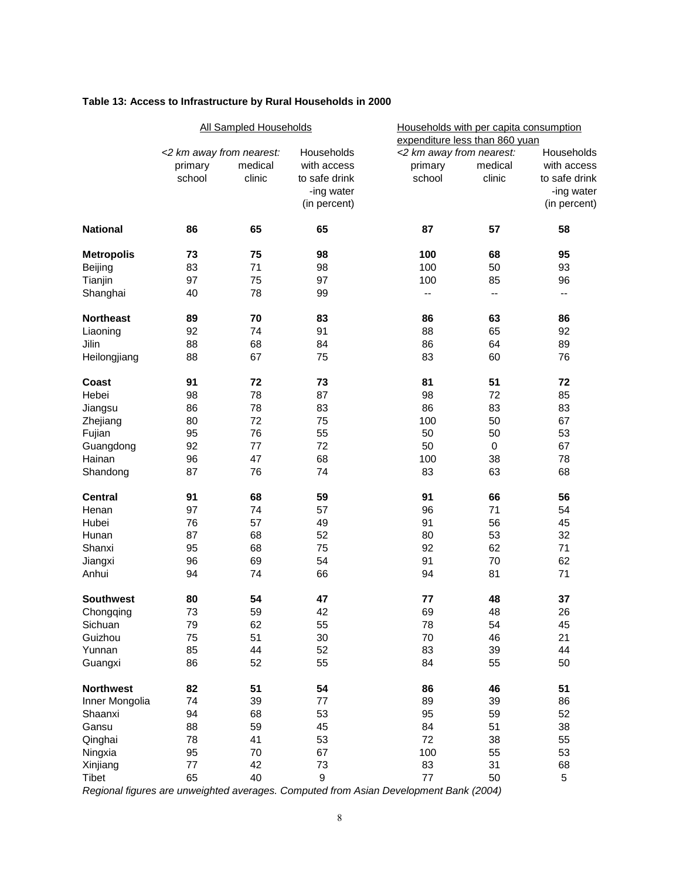| Table 13: Access to Infrastructure by Rural Households in 2000 |  |
|----------------------------------------------------------------|--|
|----------------------------------------------------------------|--|

|                   | <b>All Sampled Households</b> |         |                  | Households with per capita consumption<br>expenditure less than 860 yuan |           |               |  |
|-------------------|-------------------------------|---------|------------------|--------------------------------------------------------------------------|-----------|---------------|--|
|                   | <2 km away from nearest:      |         | Households       | <2 km away from nearest:                                                 |           | Households    |  |
|                   | primary                       | medical | with access      | primary                                                                  | medical   | with access   |  |
|                   | school                        | clinic  | to safe drink    | school                                                                   | clinic    | to safe drink |  |
|                   |                               |         | -ing water       |                                                                          |           | -ing water    |  |
|                   |                               |         | (in percent)     |                                                                          |           | (in percent)  |  |
| <b>National</b>   | 86                            | 65      | 65               | 87                                                                       | 57        | 58            |  |
| <b>Metropolis</b> | 73                            | 75      | 98               | 100                                                                      | 68        | 95            |  |
| Beijing           | 83                            | 71      | 98               | 100                                                                      | 50        | 93            |  |
| Tianjin           | 97                            | 75      | 97               | 100                                                                      | 85        | 96            |  |
| Shanghai          | 40                            | 78      | 99               | $\overline{\phantom{a}}$                                                 | $-$       | $-$           |  |
| <b>Northeast</b>  | 89                            | 70      | 83               | 86                                                                       | 63        | 86            |  |
| Liaoning          | 92                            | 74      | 91               | 88                                                                       | 65        | 92            |  |
| Jilin             | 88                            | 68      | 84               | 86                                                                       | 64        | 89            |  |
| Heilongjiang      | 88                            | 67      | 75               | 83                                                                       | 60        | 76            |  |
| Coast             | 91                            | 72      | 73               | 81                                                                       | 51        | 72            |  |
| Hebei             | 98                            | 78      | 87               | 98                                                                       | 72        | 85            |  |
| Jiangsu           | 86                            | 78      | 83               | 86                                                                       | 83        | 83            |  |
| Zhejiang          | 80                            | 72      | 75               | 100                                                                      | 50        | 67            |  |
| Fujian            | 95                            | 76      | 55               | 50                                                                       | 50        | 53            |  |
| Guangdong         | 92                            | 77      | 72               | 50                                                                       | $\pmb{0}$ | 67            |  |
| Hainan            | 96                            | 47      | 68               | 100                                                                      | 38        | 78            |  |
| Shandong          | 87                            | 76      | 74               | 83                                                                       | 63        | 68            |  |
| <b>Central</b>    | 91                            | 68      | 59               | 91                                                                       | 66        | 56            |  |
| Henan             | 97                            | 74      | 57               | 96                                                                       | 71        | 54            |  |
| Hubei             | 76                            | 57      | 49               | 91                                                                       | 56        | 45            |  |
| Hunan             | 87                            | 68      | 52               | 80                                                                       | 53        | 32            |  |
| Shanxi            | 95                            | 68      | 75               | 92                                                                       | 62        | 71            |  |
| Jiangxi           | 96                            | 69      | 54               | 91                                                                       | 70        | 62            |  |
| Anhui             | 94                            | 74      | 66               | 94                                                                       | 81        | 71            |  |
| <b>Southwest</b>  | 80                            | 54      | 47               | 77                                                                       | 48        | 37            |  |
| Chongqing         | 73                            | 59      | 42               | 69                                                                       | 48        | 26            |  |
| Sichuan           | 79                            | 62      | 55               | 78                                                                       | 54        | 45            |  |
| Guizhou           | 75                            | 51      | 30               | 70                                                                       | 46        | 21            |  |
| Yunnan            | 85                            | 44      | 52               | 83                                                                       | 39        | 44            |  |
| Guangxi           | 86                            | 52      | 55               | 84                                                                       | 55        | 50            |  |
| <b>Northwest</b>  | 82                            | 51      | 54               | 86                                                                       | 46        | 51            |  |
| Inner Mongolia    | 74                            | 39      | 77               | 89                                                                       | 39        | 86            |  |
| Shaanxi           | 94                            | 68      | 53               | 95                                                                       | 59        | 52            |  |
| Gansu             | 88                            | 59      | 45               | 84                                                                       | 51        | 38            |  |
| Qinghai           | 78                            | 41      | 53               | 72                                                                       | 38        | 55            |  |
| Ningxia           | 95                            | $70\,$  | 67               | 100                                                                      | 55        | 53            |  |
| Xinjiang          | $77$                          | 42      | 73               | 83                                                                       | 31        | 68            |  |
| Tibet             | 65                            | 40      | $\boldsymbol{9}$ | 77                                                                       | 50        | 5             |  |

*Regional figures are unweighted averages. Computed from Asian Development Bank (2004)*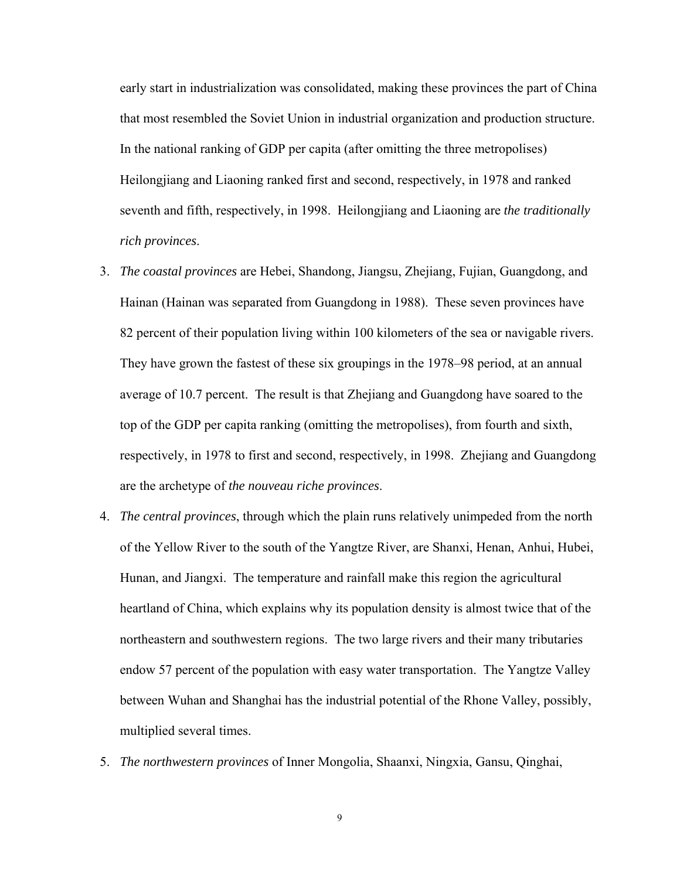early start in industrialization was consolidated, making these provinces the part of China that most resembled the Soviet Union in industrial organization and production structure. In the national ranking of GDP per capita (after omitting the three metropolises) Heilongjiang and Liaoning ranked first and second, respectively, in 1978 and ranked seventh and fifth, respectively, in 1998. Heilongjiang and Liaoning are *the traditionally rich provinces*.

- 3. *The coastal provinces* are Hebei, Shandong, Jiangsu, Zhejiang, Fujian, Guangdong, and Hainan (Hainan was separated from Guangdong in 1988). These seven provinces have 82 percent of their population living within 100 kilometers of the sea or navigable rivers. They have grown the fastest of these six groupings in the 1978–98 period, at an annual average of 10.7 percent. The result is that Zhejiang and Guangdong have soared to the top of the GDP per capita ranking (omitting the metropolises), from fourth and sixth, respectively, in 1978 to first and second, respectively, in 1998. Zhejiang and Guangdong are the archetype of *the nouveau riche provinces*.
- 4. *The central provinces*, through which the plain runs relatively unimpeded from the north of the Yellow River to the south of the Yangtze River, are Shanxi, Henan, Anhui, Hubei, Hunan, and Jiangxi. The temperature and rainfall make this region the agricultural heartland of China, which explains why its population density is almost twice that of the northeastern and southwestern regions. The two large rivers and their many tributaries endow 57 percent of the population with easy water transportation. The Yangtze Valley between Wuhan and Shanghai has the industrial potential of the Rhone Valley, possibly, multiplied several times.
- 5. *The northwestern provinces* of Inner Mongolia, Shaanxi, Ningxia, Gansu, Qinghai,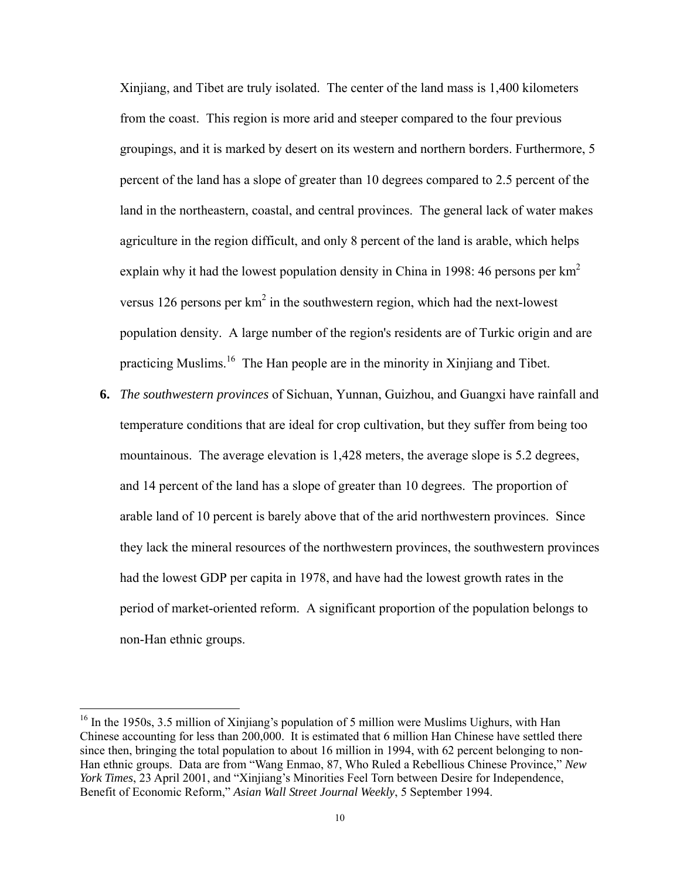Xinjiang, and Tibet are truly isolated. The center of the land mass is 1,400 kilometers from the coast. This region is more arid and steeper compared to the four previous groupings, and it is marked by desert on its western and northern borders. Furthermore, 5 percent of the land has a slope of greater than 10 degrees compared to 2.5 percent of the land in the northeastern, coastal, and central provinces. The general lack of water makes agriculture in the region difficult, and only 8 percent of the land is arable, which helps explain why it had the lowest population density in China in 1998: 46 persons per  $km<sup>2</sup>$ versus 126 persons per  $km^2$  in the southwestern region, which had the next-lowest population density. A large number of the region's residents are of Turkic origin and are practicing Muslims.16 The Han people are in the minority in Xinjiang and Tibet.

**6.** *The southwestern provinces* of Sichuan, Yunnan, Guizhou, and Guangxi have rainfall and temperature conditions that are ideal for crop cultivation, but they suffer from being too mountainous. The average elevation is 1,428 meters, the average slope is 5.2 degrees, and 14 percent of the land has a slope of greater than 10 degrees. The proportion of arable land of 10 percent is barely above that of the arid northwestern provinces. Since they lack the mineral resources of the northwestern provinces, the southwestern provinces had the lowest GDP per capita in 1978, and have had the lowest growth rates in the period of market-oriented reform. A significant proportion of the population belongs to non-Han ethnic groups.

 $16$  In the 1950s, 3.5 million of Xinjiang's population of 5 million were Muslims Uighurs, with Han Chinese accounting for less than 200,000. It is estimated that 6 million Han Chinese have settled there since then, bringing the total population to about 16 million in 1994, with 62 percent belonging to non-Han ethnic groups. Data are from "Wang Enmao, 87, Who Ruled a Rebellious Chinese Province," *New York Times*, 23 April 2001, and "Xinjiang's Minorities Feel Torn between Desire for Independence, Benefit of Economic Reform," *Asian Wall Street Journal Weekly*, 5 September 1994.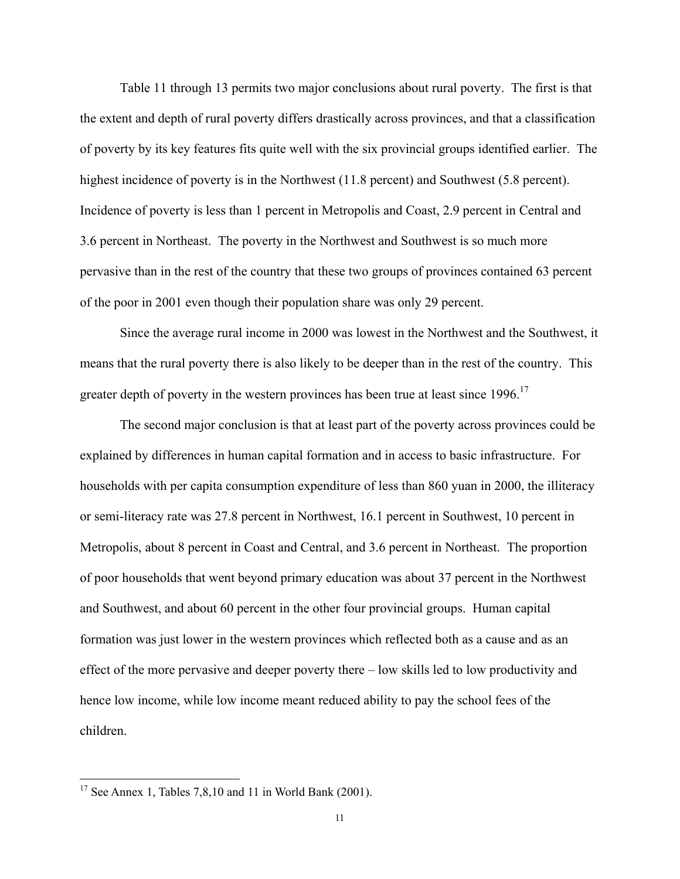Table 11 through 13 permits two major conclusions about rural poverty. The first is that the extent and depth of rural poverty differs drastically across provinces, and that a classification of poverty by its key features fits quite well with the six provincial groups identified earlier. The highest incidence of poverty is in the Northwest (11.8 percent) and Southwest (5.8 percent). Incidence of poverty is less than 1 percent in Metropolis and Coast, 2.9 percent in Central and 3.6 percent in Northeast. The poverty in the Northwest and Southwest is so much more pervasive than in the rest of the country that these two groups of provinces contained 63 percent of the poor in 2001 even though their population share was only 29 percent.

Since the average rural income in 2000 was lowest in the Northwest and the Southwest, it means that the rural poverty there is also likely to be deeper than in the rest of the country. This greater depth of poverty in the western provinces has been true at least since 1996.<sup>17</sup>

The second major conclusion is that at least part of the poverty across provinces could be explained by differences in human capital formation and in access to basic infrastructure. For households with per capita consumption expenditure of less than 860 yuan in 2000, the illiteracy or semi-literacy rate was 27.8 percent in Northwest, 16.1 percent in Southwest, 10 percent in Metropolis, about 8 percent in Coast and Central, and 3.6 percent in Northeast. The proportion of poor households that went beyond primary education was about 37 percent in the Northwest and Southwest, and about 60 percent in the other four provincial groups. Human capital formation was just lower in the western provinces which reflected both as a cause and as an effect of the more pervasive and deeper poverty there – low skills led to low productivity and hence low income, while low income meant reduced ability to pay the school fees of the children.

<sup>&</sup>lt;sup>17</sup> See Annex 1, Tables 7,8,10 and 11 in World Bank (2001).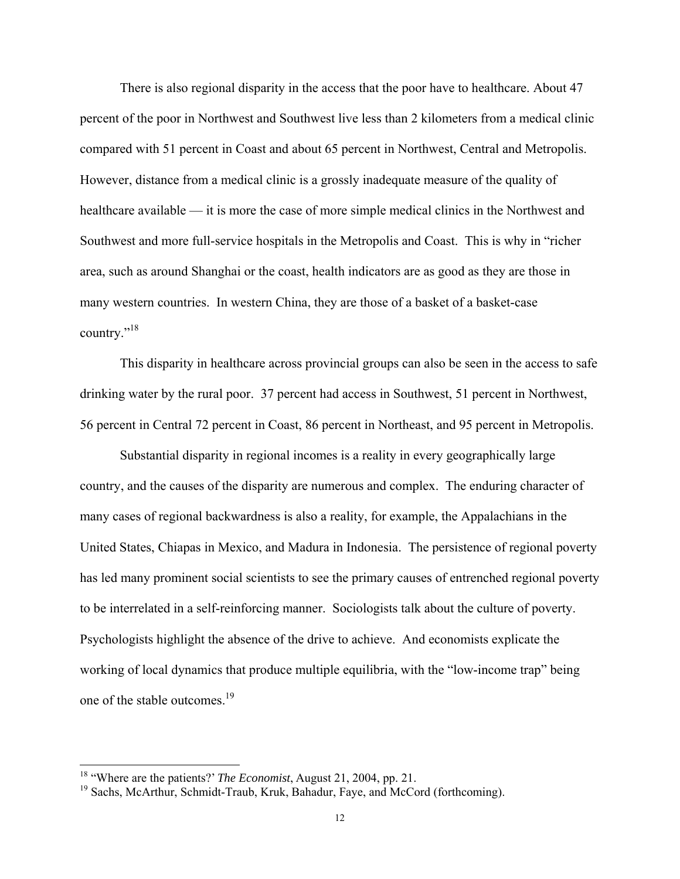There is also regional disparity in the access that the poor have to healthcare. About 47 percent of the poor in Northwest and Southwest live less than 2 kilometers from a medical clinic compared with 51 percent in Coast and about 65 percent in Northwest, Central and Metropolis. However, distance from a medical clinic is a grossly inadequate measure of the quality of healthcare available — it is more the case of more simple medical clinics in the Northwest and Southwest and more full-service hospitals in the Metropolis and Coast. This is why in "richer area, such as around Shanghai or the coast, health indicators are as good as they are those in many western countries. In western China, they are those of a basket of a basket-case country."<sup>18</sup>

This disparity in healthcare across provincial groups can also be seen in the access to safe drinking water by the rural poor. 37 percent had access in Southwest, 51 percent in Northwest, 56 percent in Central 72 percent in Coast, 86 percent in Northeast, and 95 percent in Metropolis.

Substantial disparity in regional incomes is a reality in every geographically large country, and the causes of the disparity are numerous and complex. The enduring character of many cases of regional backwardness is also a reality, for example, the Appalachians in the United States, Chiapas in Mexico, and Madura in Indonesia. The persistence of regional poverty has led many prominent social scientists to see the primary causes of entrenched regional poverty to be interrelated in a self-reinforcing manner. Sociologists talk about the culture of poverty. Psychologists highlight the absence of the drive to achieve. And economists explicate the working of local dynamics that produce multiple equilibria, with the "low-income trap" being one of the stable outcomes.<sup>19</sup>

<sup>18 &</sup>quot;Where are the patients?' *The Economist*, August 21, 2004, pp. 21.

<sup>&</sup>lt;sup>19</sup> Sachs, McArthur, Schmidt-Traub, Kruk, Bahadur, Faye, and McCord (forthcoming).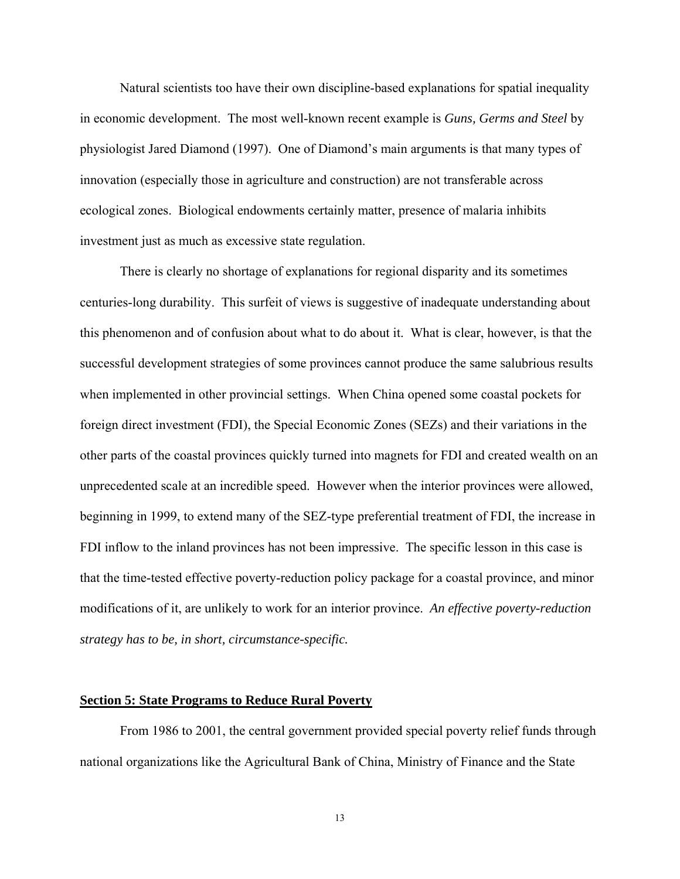Natural scientists too have their own discipline-based explanations for spatial inequality in economic development. The most well-known recent example is *Guns, Germs and Steel* by physiologist Jared Diamond (1997). One of Diamond's main arguments is that many types of innovation (especially those in agriculture and construction) are not transferable across ecological zones. Biological endowments certainly matter, presence of malaria inhibits investment just as much as excessive state regulation.

There is clearly no shortage of explanations for regional disparity and its sometimes centuries-long durability. This surfeit of views is suggestive of inadequate understanding about this phenomenon and of confusion about what to do about it. What is clear, however, is that the successful development strategies of some provinces cannot produce the same salubrious results when implemented in other provincial settings. When China opened some coastal pockets for foreign direct investment (FDI), the Special Economic Zones (SEZs) and their variations in the other parts of the coastal provinces quickly turned into magnets for FDI and created wealth on an unprecedented scale at an incredible speed. However when the interior provinces were allowed, beginning in 1999, to extend many of the SEZ-type preferential treatment of FDI, the increase in FDI inflow to the inland provinces has not been impressive. The specific lesson in this case is that the time-tested effective poverty-reduction policy package for a coastal province, and minor modifications of it, are unlikely to work for an interior province. *An effective poverty-reduction strategy has to be, in short, circumstance-specific.*

#### **Section 5: State Programs to Reduce Rural Poverty**

 From 1986 to 2001, the central government provided special poverty relief funds through national organizations like the Agricultural Bank of China, Ministry of Finance and the State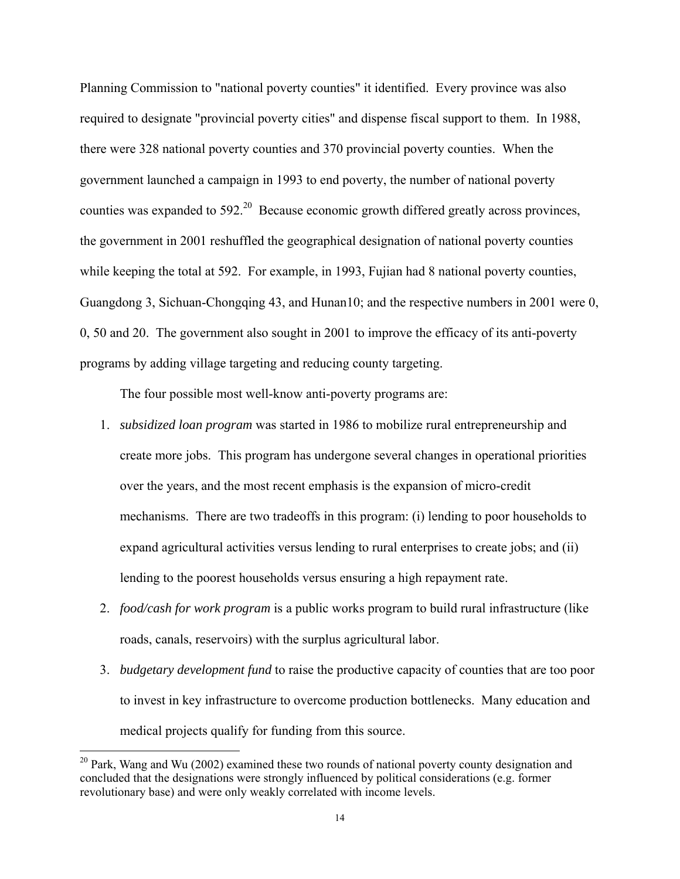Planning Commission to "national poverty counties" it identified. Every province was also required to designate "provincial poverty cities" and dispense fiscal support to them. In 1988, there were 328 national poverty counties and 370 provincial poverty counties. When the government launched a campaign in 1993 to end poverty, the number of national poverty counties was expanded to 592<sup>20</sup> Because economic growth differed greatly across provinces, the government in 2001 reshuffled the geographical designation of national poverty counties while keeping the total at 592. For example, in 1993, Fujian had 8 national poverty counties, Guangdong 3, Sichuan-Chongqing 43, and Hunan10; and the respective numbers in 2001 were 0, 0, 50 and 20. The government also sought in 2001 to improve the efficacy of its anti-poverty programs by adding village targeting and reducing county targeting.

The four possible most well-know anti-poverty programs are:

- 1. *subsidized loan program* was started in 1986 to mobilize rural entrepreneurship and create more jobs. This program has undergone several changes in operational priorities over the years, and the most recent emphasis is the expansion of micro-credit mechanisms. There are two tradeoffs in this program: (i) lending to poor households to expand agricultural activities versus lending to rural enterprises to create jobs; and (ii) lending to the poorest households versus ensuring a high repayment rate.
- 2. *food/cash for work program* is a public works program to build rural infrastructure (like roads, canals, reservoirs) with the surplus agricultural labor.
- 3. *budgetary development fund* to raise the productive capacity of counties that are too poor to invest in key infrastructure to overcome production bottlenecks. Many education and medical projects qualify for funding from this source.

 $20$  Park, Wang and Wu (2002) examined these two rounds of national poverty county designation and concluded that the designations were strongly influenced by political considerations (e.g. former revolutionary base) and were only weakly correlated with income levels.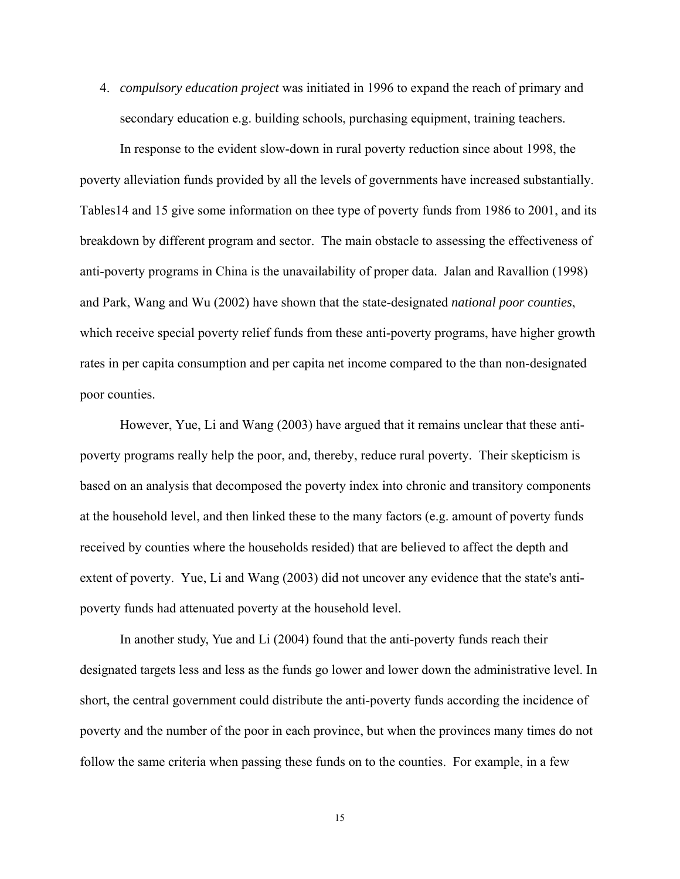4. *compulsory education project* was initiated in 1996 to expand the reach of primary and secondary education e.g. building schools, purchasing equipment, training teachers.

In response to the evident slow-down in rural poverty reduction since about 1998, the poverty alleviation funds provided by all the levels of governments have increased substantially. Tables14 and 15 give some information on thee type of poverty funds from 1986 to 2001, and its breakdown by different program and sector. The main obstacle to assessing the effectiveness of anti-poverty programs in China is the unavailability of proper data. Jalan and Ravallion (1998) and Park, Wang and Wu (2002) have shown that the state-designated *national poor counties*, which receive special poverty relief funds from these anti-poverty programs, have higher growth rates in per capita consumption and per capita net income compared to the than non-designated poor counties.

However, Yue, Li and Wang (2003) have argued that it remains unclear that these antipoverty programs really help the poor, and, thereby, reduce rural poverty. Their skepticism is based on an analysis that decomposed the poverty index into chronic and transitory components at the household level, and then linked these to the many factors (e.g. amount of poverty funds received by counties where the households resided) that are believed to affect the depth and extent of poverty. Yue, Li and Wang (2003) did not uncover any evidence that the state's antipoverty funds had attenuated poverty at the household level.

In another study, Yue and Li (2004) found that the anti-poverty funds reach their designated targets less and less as the funds go lower and lower down the administrative level. In short, the central government could distribute the anti-poverty funds according the incidence of poverty and the number of the poor in each province, but when the provinces many times do not follow the same criteria when passing these funds on to the counties. For example, in a few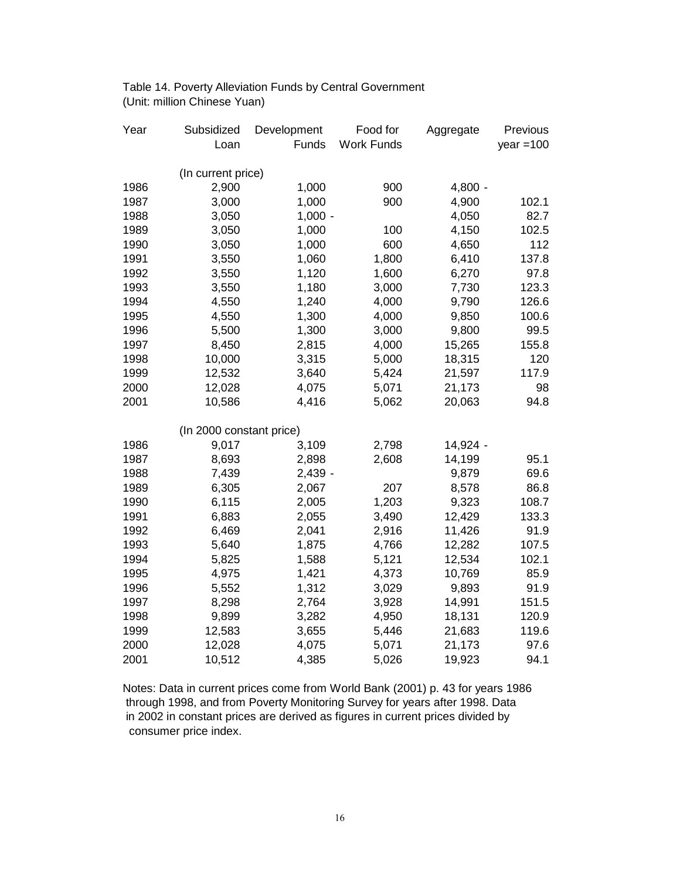Table 14. Poverty Alleviation Funds by Central Government (Unit: million Chinese Yuan)

| Year | Subsidized               | Development | Food for          | Aggregate | Previous    |
|------|--------------------------|-------------|-------------------|-----------|-------------|
|      | Loan                     | Funds       | <b>Work Funds</b> |           | year $=100$ |
|      |                          |             |                   |           |             |
|      | (In current price)       |             |                   |           |             |
| 1986 | 2,900                    | 1,000       | 900               | $4,800 -$ |             |
| 1987 | 3,000                    | 1,000       | 900               | 4,900     | 102.1       |
| 1988 | 3,050                    | $1,000 -$   |                   | 4,050     | 82.7        |
| 1989 | 3,050                    | 1,000       | 100               | 4,150     | 102.5       |
| 1990 | 3,050                    | 1,000       | 600               | 4,650     | 112         |
| 1991 | 3,550                    | 1,060       | 1,800             | 6,410     | 137.8       |
| 1992 | 3,550                    | 1,120       | 1,600             | 6,270     | 97.8        |
| 1993 | 3,550                    | 1,180       | 3,000             | 7,730     | 123.3       |
| 1994 | 4,550                    | 1,240       | 4,000             | 9,790     | 126.6       |
| 1995 | 4,550                    | 1,300       | 4,000             | 9,850     | 100.6       |
| 1996 | 5,500                    | 1,300       | 3,000             | 9,800     | 99.5        |
| 1997 | 8,450                    | 2,815       | 4,000             | 15,265    | 155.8       |
| 1998 | 10,000                   | 3,315       | 5,000             | 18,315    | 120         |
| 1999 | 12,532                   | 3,640       | 5,424             | 21,597    | 117.9       |
| 2000 | 12,028                   | 4,075       | 5,071             | 21,173    | 98          |
| 2001 | 10,586                   | 4,416       | 5,062             | 20,063    | 94.8        |
|      |                          |             |                   |           |             |
|      | (In 2000 constant price) |             |                   |           |             |
| 1986 | 9,017                    | 3,109       | 2,798             | 14,924 -  |             |
| 1987 | 8,693                    | 2,898       | 2,608             | 14,199    | 95.1        |
| 1988 | 7,439                    | $2,439 -$   |                   | 9,879     | 69.6        |
| 1989 | 6,305                    | 2,067       | 207               | 8,578     | 86.8        |
| 1990 | 6,115                    | 2,005       | 1,203             | 9,323     | 108.7       |
| 1991 | 6,883                    | 2,055       | 3,490             | 12,429    | 133.3       |
| 1992 | 6,469                    | 2,041       | 2,916             | 11,426    | 91.9        |
| 1993 | 5,640                    | 1,875       | 4,766             | 12,282    | 107.5       |
| 1994 | 5,825                    | 1,588       | 5,121             | 12,534    | 102.1       |
| 1995 | 4,975                    | 1,421       | 4,373             | 10,769    | 85.9        |
| 1996 | 5,552                    | 1,312       | 3,029             | 9,893     | 91.9        |
| 1997 | 8,298                    | 2,764       | 3,928             | 14,991    | 151.5       |
| 1998 | 9,899                    | 3,282       | 4,950             | 18,131    | 120.9       |
| 1999 | 12,583                   | 3,655       | 5,446             | 21,683    | 119.6       |
| 2000 | 12,028                   | 4,075       | 5,071             | 21,173    | 97.6        |
| 2001 | 10,512                   | 4,385       | 5,026             | 19,923    | 94.1        |

Notes: Data in current prices come from World Bank (2001) p. 43 for years 1986 through 1998, and from Poverty Monitoring Survey for years after 1998. Data in 2002 in constant prices are derived as figures in current prices divided by consumer price index.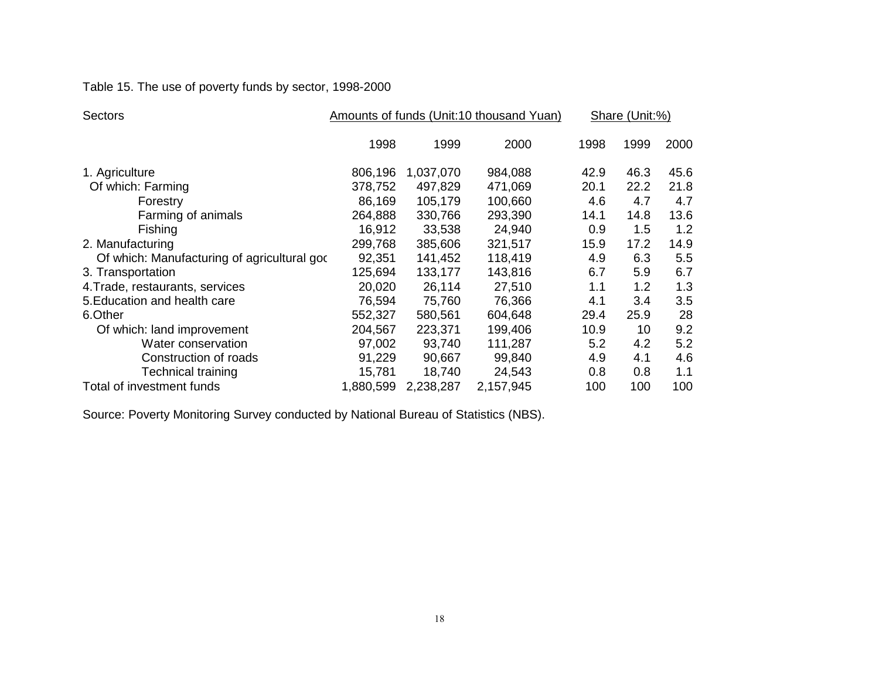Table 15. The use of poverty funds by sector, 1998-2000

| <b>Sectors</b>                              |           |           | Amounts of funds (Unit:10 thousand Yuan) | Share (Unit:%) |      |      |
|---------------------------------------------|-----------|-----------|------------------------------------------|----------------|------|------|
|                                             | 1998      | 1999      | 2000                                     | 1998           | 1999 | 2000 |
| 1. Agriculture                              | 806,196   | 1,037,070 | 984,088                                  | 42.9           | 46.3 | 45.6 |
| Of which: Farming                           | 378,752   | 497,829   | 471,069                                  | 20.1           | 22.2 | 21.8 |
| Forestry                                    | 86,169    | 105,179   | 100,660                                  | 4.6            | 4.7  | 4.7  |
| Farming of animals                          | 264,888   | 330,766   | 293,390                                  | 14.1           | 14.8 | 13.6 |
| Fishing                                     | 16,912    | 33,538    | 24,940                                   | 0.9            | 1.5  | 1.2  |
| 2. Manufacturing                            | 299,768   | 385,606   | 321,517                                  | 15.9           | 17.2 | 14.9 |
| Of which: Manufacturing of agricultural god | 92,351    | 141,452   | 118,419                                  | 4.9            | 6.3  | 5.5  |
| 3. Transportation                           | 125,694   | 133,177   | 143,816                                  | 6.7            | 5.9  | 6.7  |
| 4. Trade, restaurants, services             | 20,020    | 26,114    | 27,510                                   | 1.1            | 1.2  | 1.3  |
| 5. Education and health care                | 76,594    | 75,760    | 76,366                                   | 4.1            | 3.4  | 3.5  |
| 6.Other                                     | 552,327   | 580,561   | 604,648                                  | 29.4           | 25.9 | 28   |
| Of which: land improvement                  | 204,567   | 223,371   | 199,406                                  | 10.9           | 10   | 9.2  |
| Water conservation                          | 97,002    | 93,740    | 111,287                                  | 5.2            | 4.2  | 5.2  |
| Construction of roads                       | 91,229    | 90,667    | 99,840                                   | 4.9            | 4.1  | 4.6  |
| Technical training                          | 15,781    | 18,740    | 24,543                                   | 0.8            | 0.8  | 1.1  |
| Total of investment funds                   | 1,880,599 | 2,238,287 | 2,157,945                                | 100            | 100  | 100  |

Source: Poverty Monitoring Survey conducted by National Bureau of Statistics (NBS).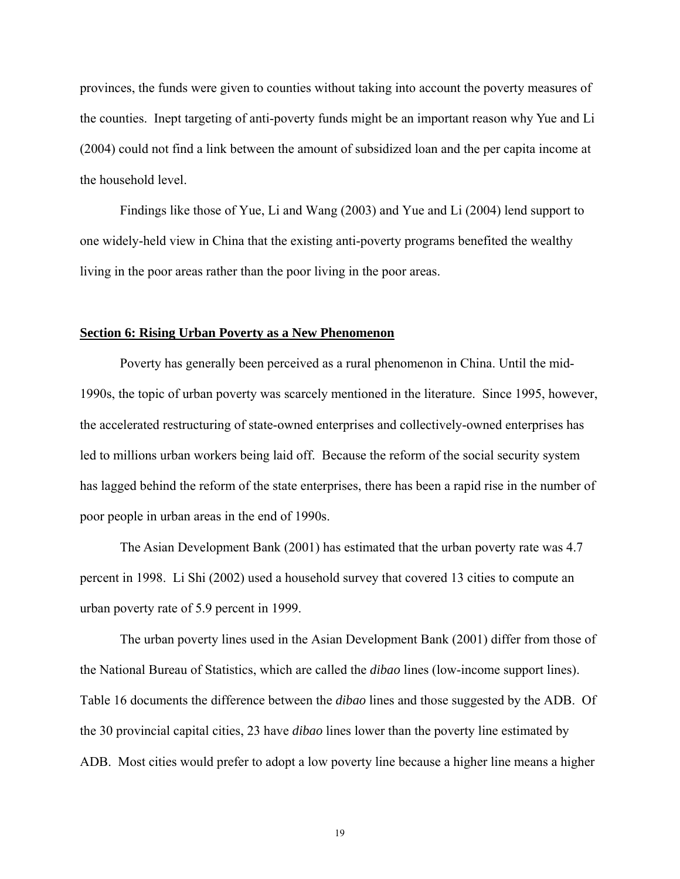provinces, the funds were given to counties without taking into account the poverty measures of the counties. Inept targeting of anti-poverty funds might be an important reason why Yue and Li (2004) could not find a link between the amount of subsidized loan and the per capita income at the household level.

Findings like those of Yue, Li and Wang (2003) and Yue and Li (2004) lend support to one widely-held view in China that the existing anti-poverty programs benefited the wealthy living in the poor areas rather than the poor living in the poor areas.

#### **Section 6: Rising Urban Poverty as a New Phenomenon**

Poverty has generally been perceived as a rural phenomenon in China. Until the mid-1990s, the topic of urban poverty was scarcely mentioned in the literature. Since 1995, however, the accelerated restructuring of state-owned enterprises and collectively-owned enterprises has led to millions urban workers being laid off. Because the reform of the social security system has lagged behind the reform of the state enterprises, there has been a rapid rise in the number of poor people in urban areas in the end of 1990s.

The Asian Development Bank (2001) has estimated that the urban poverty rate was 4.7 percent in 1998. Li Shi (2002) used a household survey that covered 13 cities to compute an urban poverty rate of 5.9 percent in 1999.

 The urban poverty lines used in the Asian Development Bank (2001) differ from those of the National Bureau of Statistics, which are called the *dibao* lines (low-income support lines). Table 16 documents the difference between the *dibao* lines and those suggested by the ADB. Of the 30 provincial capital cities, 23 have *dibao* lines lower than the poverty line estimated by ADB. Most cities would prefer to adopt a low poverty line because a higher line means a higher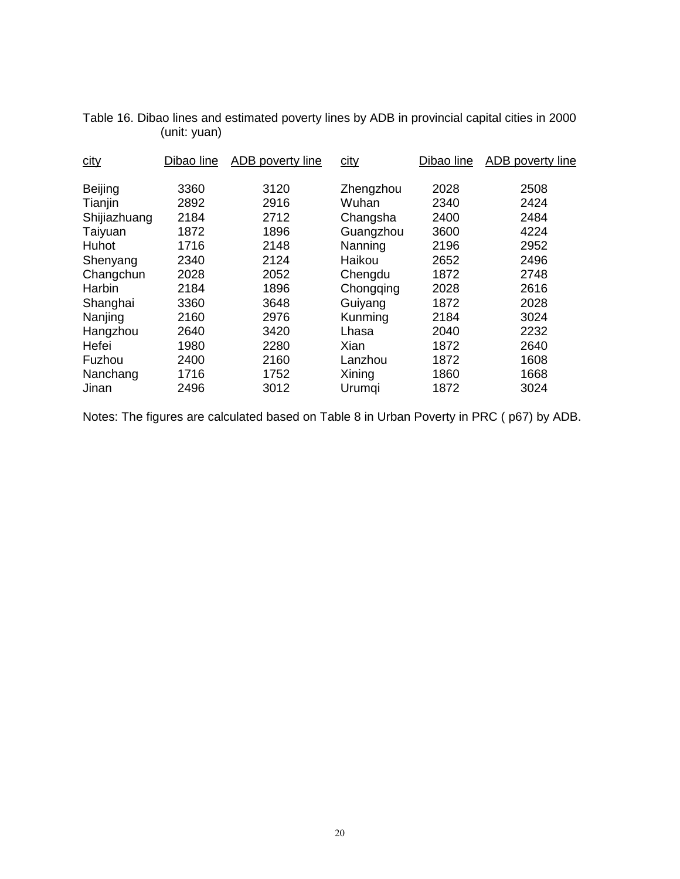| Dibao line | ADB poverty line | city        | Dibao line | ADB poverty line |
|------------|------------------|-------------|------------|------------------|
| 3360       | 3120             | Zhengzhou   | 2028       | 2508             |
| 2892       | 2916             | Wuhan       | 2340       | 2424             |
| 2184       | 2712             | Changsha    | 2400       | 2484             |
| 1872       | 1896             | Guangzhou   | 3600       | 4224             |
| 1716       | 2148             | Nanning     | 2196       | 2952             |
| 2340       | 2124             | Haikou      | 2652       | 2496             |
| 2028       | 2052             | Chengdu     | 1872       | 2748             |
| 2184       | 1896             | Chongqing   | 2028       | 2616             |
| 3360       | 3648             | Guiyang     | 1872       | 2028             |
| 2160       | 2976             | Kunming     | 2184       | 3024             |
| 2640       | 3420             | Lhasa       | 2040       | 2232             |
| 1980       | 2280             | <b>Xian</b> | 1872       | 2640             |
| 2400       | 2160             | Lanzhou     | 1872       | 1608             |
| 1716       | 1752             | Xining      | 1860       | 1668             |
| 2496       | 3012             | Urumqi      | 1872       | 3024             |
|            |                  |             |            |                  |

Table 16. Dibao lines and estimated poverty lines by ADB in provincial capital cities in 2000 (unit: yuan)

Notes: The figures are calculated based on Table 8 in Urban Poverty in PRC ( p67) by ADB.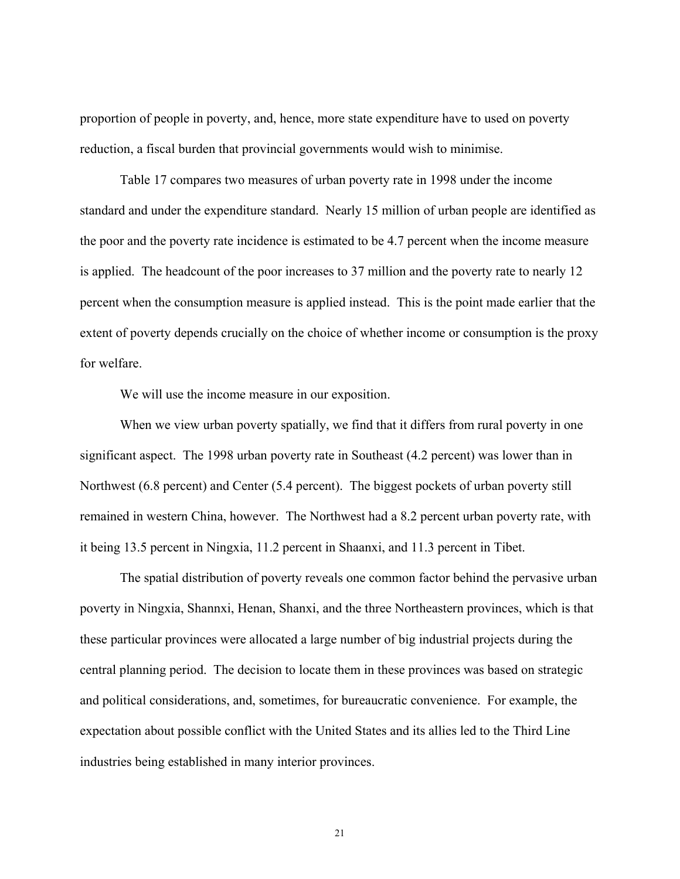proportion of people in poverty, and, hence, more state expenditure have to used on poverty reduction, a fiscal burden that provincial governments would wish to minimise.

Table 17 compares two measures of urban poverty rate in 1998 under the income standard and under the expenditure standard. Nearly 15 million of urban people are identified as the poor and the poverty rate incidence is estimated to be 4.7 percent when the income measure is applied. The headcount of the poor increases to 37 million and the poverty rate to nearly 12 percent when the consumption measure is applied instead. This is the point made earlier that the extent of poverty depends crucially on the choice of whether income or consumption is the proxy for welfare.

We will use the income measure in our exposition.

When we view urban poverty spatially, we find that it differs from rural poverty in one significant aspect. The 1998 urban poverty rate in Southeast (4.2 percent) was lower than in Northwest (6.8 percent) and Center (5.4 percent). The biggest pockets of urban poverty still remained in western China, however. The Northwest had a 8.2 percent urban poverty rate, with it being 13.5 percent in Ningxia, 11.2 percent in Shaanxi, and 11.3 percent in Tibet.

 The spatial distribution of poverty reveals one common factor behind the pervasive urban poverty in Ningxia, Shannxi, Henan, Shanxi, and the three Northeastern provinces, which is that these particular provinces were allocated a large number of big industrial projects during the central planning period. The decision to locate them in these provinces was based on strategic and political considerations, and, sometimes, for bureaucratic convenience. For example, the expectation about possible conflict with the United States and its allies led to the Third Line industries being established in many interior provinces.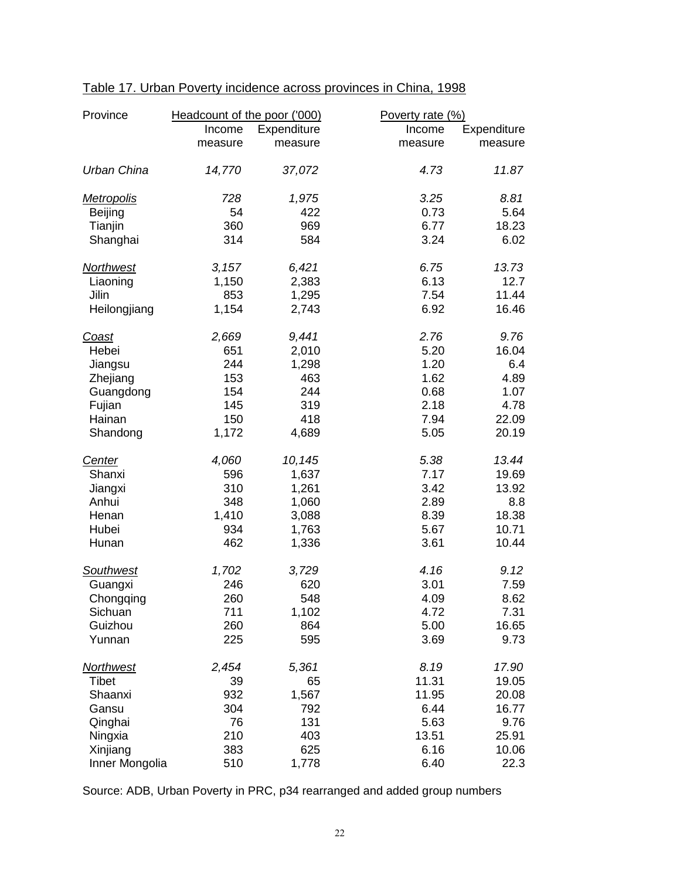| Province          | Headcount of the poor ('000) |             | Poverty rate (%) |             |
|-------------------|------------------------------|-------------|------------------|-------------|
|                   | Income                       | Expenditure | Income           | Expenditure |
|                   | measure                      | measure     | measure          | measure     |
| Urban China       | 14,770                       | 37,072      | 4.73             | 11.87       |
| <b>Metropolis</b> | 728                          | 1,975       | 3.25             | 8.81        |
| Beijing           | 54                           | 422         | 0.73             | 5.64        |
| Tianjin           | 360                          | 969         | 6.77             | 18.23       |
| Shanghai          | 314                          | 584         | 3.24             | 6.02        |
| <b>Northwest</b>  | 3,157                        | 6,421       | 6.75             | 13.73       |
| Liaoning          | 1,150                        | 2,383       | 6.13             | 12.7        |
| Jilin             | 853                          | 1,295       | 7.54             | 11.44       |
| Heilongjiang      | 1,154                        | 2,743       | 6.92             | 16.46       |
| Coast             | 2,669                        | 9,441       | 2.76             | 9.76        |
| Hebei             | 651                          | 2,010       | 5.20             | 16.04       |
| Jiangsu           | 244                          | 1,298       | 1.20             | 6.4         |
| Zhejiang          | 153                          | 463         | 1.62             | 4.89        |
| Guangdong         | 154                          | 244         | 0.68             | 1.07        |
| Fujian            | 145                          | 319         | 2.18             | 4.78        |
| Hainan            | 150                          | 418         | 7.94             | 22.09       |
| Shandong          | 1,172                        | 4,689       | 5.05             | 20.19       |
| Center            | 4,060                        | 10,145      | 5.38             | 13.44       |
| Shanxi            | 596                          | 1,637       | 7.17             | 19.69       |
| Jiangxi           | 310                          | 1,261       | 3.42             | 13.92       |
| Anhui             | 348                          | 1,060       | 2.89             | 8.8         |
| Henan             | 1,410                        | 3,088       | 8.39             | 18.38       |
| Hubei             | 934                          | 1,763       | 5.67             | 10.71       |
| Hunan             | 462                          | 1,336       | 3.61             | 10.44       |
| <b>Southwest</b>  | 1,702                        | 3,729       | 4.16             | 9.12        |
| Guangxi           | 246                          | 620         | 3.01             | 7.59        |
| Chongqing         | 260                          | 548         | 4.09             | 8.62        |
| Sichuan           | 711                          | 1,102       | 4.72             | 7.31        |
| Guizhou           | 260                          | 864         | 5.00             | 16.65       |
| Yunnan            | 225                          | 595         | 3.69             | 9.73        |
| <u>Northwest</u>  | 2,454                        | 5,361       | 8.19             | 17.90       |
| Tibet             | 39                           | 65          | 11.31            | 19.05       |
| Shaanxi           | 932                          | 1,567       | 11.95            | 20.08       |
| Gansu             | 304                          | 792         | 6.44             | 16.77       |
| Qinghai           | 76                           | 131         | 5.63             | 9.76        |
| Ningxia           | 210                          | 403         | 13.51            | 25.91       |
| Xinjiang          | 383                          | 625         | 6.16             | 10.06       |
| Inner Mongolia    | 510                          | 1,778       | 6.40             | 22.3        |

# Table 17. Urban Poverty incidence across provinces in China, 1998

Source: ADB, Urban Poverty in PRC, p34 rearranged and added group numbers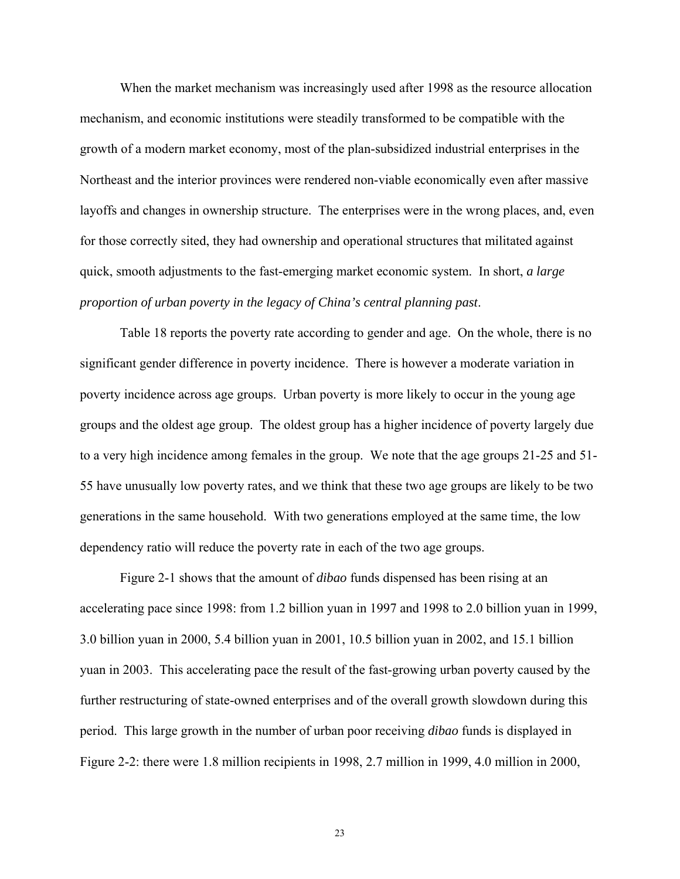When the market mechanism was increasingly used after 1998 as the resource allocation mechanism, and economic institutions were steadily transformed to be compatible with the growth of a modern market economy, most of the plan-subsidized industrial enterprises in the Northeast and the interior provinces were rendered non-viable economically even after massive layoffs and changes in ownership structure. The enterprises were in the wrong places, and, even for those correctly sited, they had ownership and operational structures that militated against quick, smooth adjustments to the fast-emerging market economic system. In short, *a large proportion of urban poverty in the legacy of China's central planning past*.

Table 18 reports the poverty rate according to gender and age. On the whole, there is no significant gender difference in poverty incidence. There is however a moderate variation in poverty incidence across age groups. Urban poverty is more likely to occur in the young age groups and the oldest age group. The oldest group has a higher incidence of poverty largely due to a very high incidence among females in the group. We note that the age groups 21-25 and 51- 55 have unusually low poverty rates, and we think that these two age groups are likely to be two generations in the same household. With two generations employed at the same time, the low dependency ratio will reduce the poverty rate in each of the two age groups.

 Figure 2-1 shows that the amount of *dibao* funds dispensed has been rising at an accelerating pace since 1998: from 1.2 billion yuan in 1997 and 1998 to 2.0 billion yuan in 1999, 3.0 billion yuan in 2000, 5.4 billion yuan in 2001, 10.5 billion yuan in 2002, and 15.1 billion yuan in 2003. This accelerating pace the result of the fast-growing urban poverty caused by the further restructuring of state-owned enterprises and of the overall growth slowdown during this period. This large growth in the number of urban poor receiving *dibao* funds is displayed in Figure 2-2: there were 1.8 million recipients in 1998, 2.7 million in 1999, 4.0 million in 2000,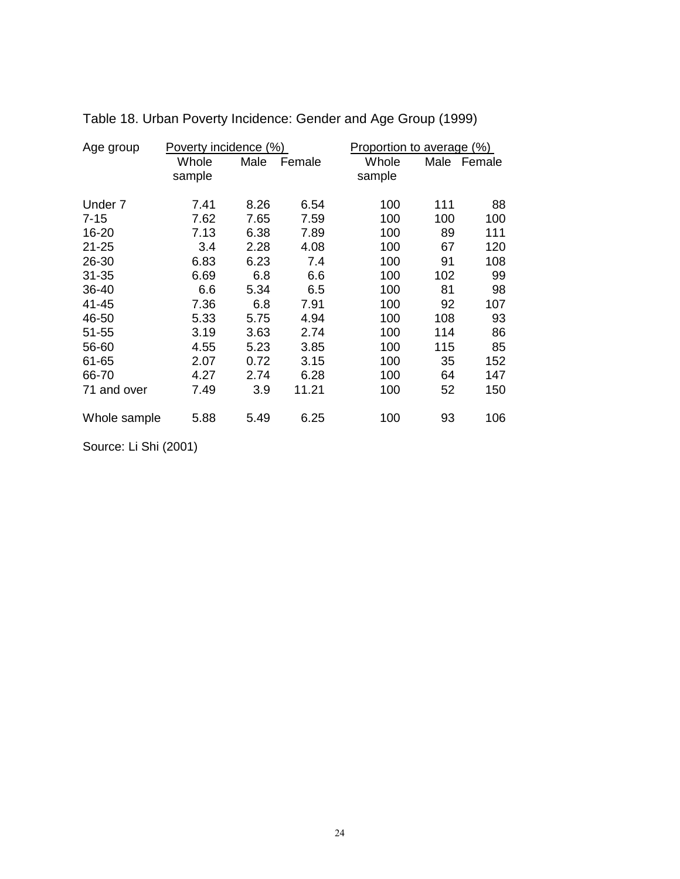| Age group    | Poverty incidence (%) |      |        | Proportion to average (%) |      |        |
|--------------|-----------------------|------|--------|---------------------------|------|--------|
|              | Whole                 | Male | Female | Whole                     | Male | Female |
|              | sample                |      |        | sample                    |      |        |
| Under 7      | 7.41                  | 8.26 | 6.54   | 100                       | 111  | 88     |
|              |                       |      |        |                           |      |        |
| $7 - 15$     | 7.62                  | 7.65 | 7.59   | 100                       | 100  | 100    |
| 16-20        | 7.13                  | 6.38 | 7.89   | 100                       | 89   | 111    |
| $21 - 25$    | 3.4                   | 2.28 | 4.08   | 100                       | 67   | 120    |
| 26-30        | 6.83                  | 6.23 | 7.4    | 100                       | 91   | 108    |
| $31 - 35$    | 6.69                  | 6.8  | 6.6    | 100                       | 102  | 99     |
| 36-40        | 6.6                   | 5.34 | 6.5    | 100                       | 81   | 98     |
| 41-45        | 7.36                  | 6.8  | 7.91   | 100                       | 92   | 107    |
| 46-50        | 5.33                  | 5.75 | 4.94   | 100                       | 108  | 93     |
| $51 - 55$    | 3.19                  | 3.63 | 2.74   | 100                       | 114  | 86     |
| 56-60        | 4.55                  | 5.23 | 3.85   | 100                       | 115  | 85     |
| 61-65        | 2.07                  | 0.72 | 3.15   | 100                       | 35   | 152    |
| 66-70        | 4.27                  | 2.74 | 6.28   | 100                       | 64   | 147    |
| 71 and over  | 7.49                  | 3.9  | 11.21  | 100                       | 52   | 150    |
| Whole sample | 5.88                  | 5.49 | 6.25   | 100                       | 93   | 106    |

Table 18. Urban Poverty Incidence: Gender and Age Group (1999)

Source: Li Shi (2001)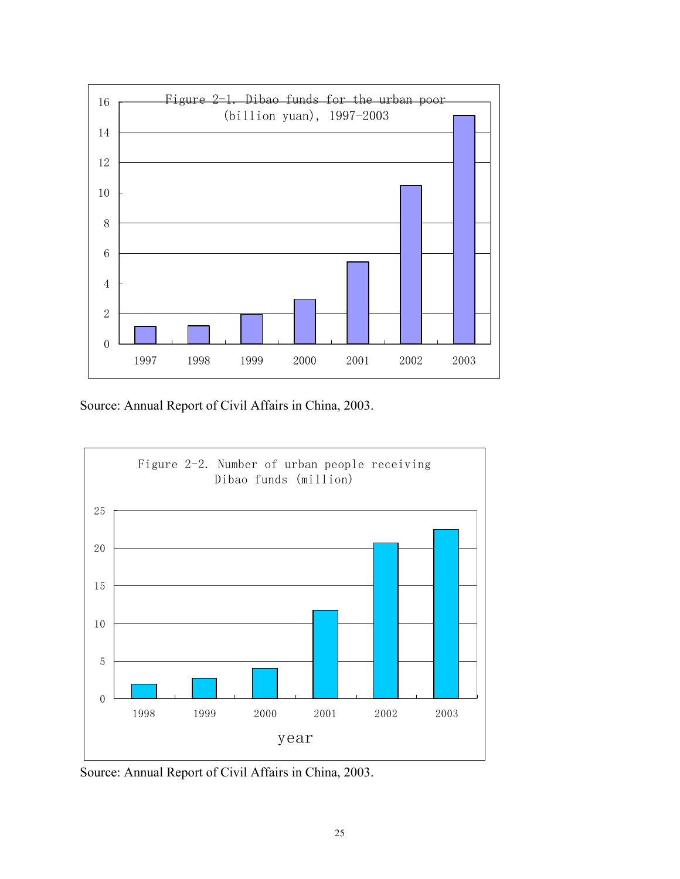

Source: Annual Report of Civil Affairs in China, 2003.



Source: Annual Report of Civil Affairs in China, 2003.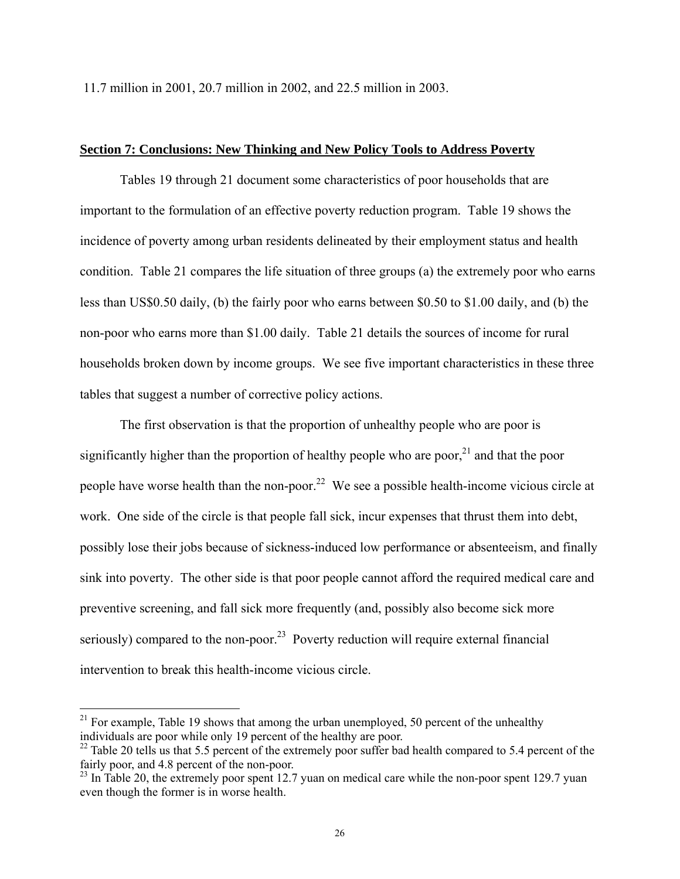11.7 million in 2001, 20.7 million in 2002, and 22.5 million in 2003.

## **Section 7: Conclusions: New Thinking and New Policy Tools to Address Poverty**

 Tables 19 through 21 document some characteristics of poor households that are important to the formulation of an effective poverty reduction program. Table 19 shows the incidence of poverty among urban residents delineated by their employment status and health condition. Table 21 compares the life situation of three groups (a) the extremely poor who earns less than US\$0.50 daily, (b) the fairly poor who earns between \$0.50 to \$1.00 daily, and (b) the non-poor who earns more than \$1.00 daily. Table 21 details the sources of income for rural households broken down by income groups. We see five important characteristics in these three tables that suggest a number of corrective policy actions.

 The first observation is that the proportion of unhealthy people who are poor is significantly higher than the proportion of healthy people who are poor,  $21$  and that the poor people have worse health than the non-poor.<sup>22</sup> We see a possible health-income vicious circle at work. One side of the circle is that people fall sick, incur expenses that thrust them into debt, possibly lose their jobs because of sickness-induced low performance or absenteeism, and finally sink into poverty. The other side is that poor people cannot afford the required medical care and preventive screening, and fall sick more frequently (and, possibly also become sick more seriously) compared to the non-poor.<sup>23</sup> Poverty reduction will require external financial intervention to break this health-income vicious circle.

 $21$  For example, Table 19 shows that among the urban unemployed, 50 percent of the unhealthy individuals are poor while only 19 percent of the healthy are poor.

 $^{22}$  Table 20 tells us that 5.5 percent of the extremely poor suffer bad health compared to 5.4 percent of the fairly poor, and 4.8 percent of the non-poor.

 $^{23}$  In Table 20, the extremely poor spent 12.7 yuan on medical care while the non-poor spent 129.7 yuan even though the former is in worse health.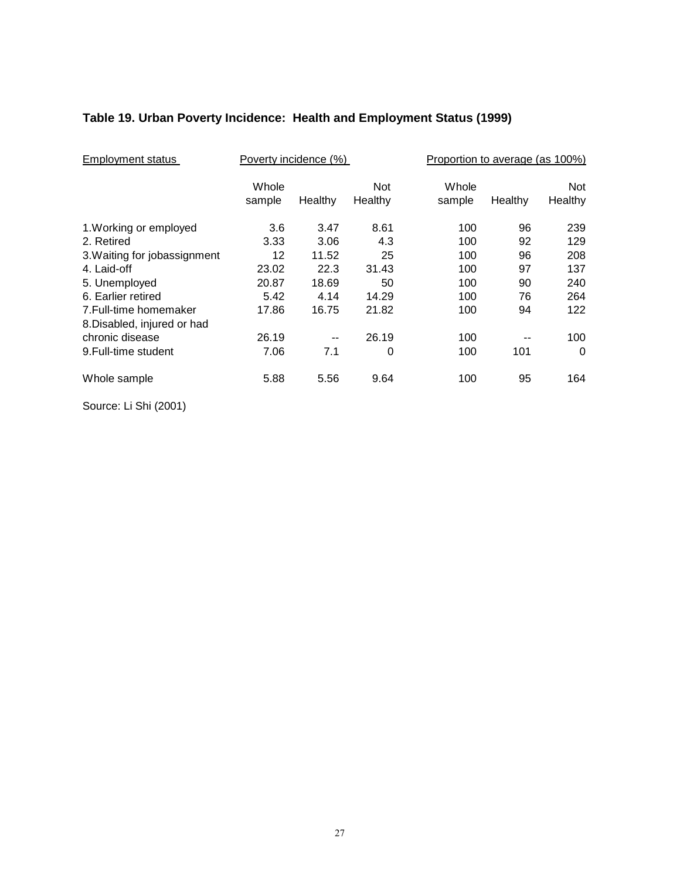# **Table 19. Urban Poverty Incidence: Health and Employment Status (1999)**

| <b>Employment status</b>     | Poverty incidence (%)<br>Proportion to average (as 100%) |         |            |        |         |          |
|------------------------------|----------------------------------------------------------|---------|------------|--------|---------|----------|
|                              | Whole                                                    |         | <b>Not</b> | Whole  |         | Not      |
|                              | sample                                                   | Healthy | Healthy    | sample | Healthy | Healthy  |
| 1. Working or employed       | 3.6                                                      | 3.47    | 8.61       | 100    | 96      | 239      |
| 2. Retired                   | 3.33                                                     | 3.06    | 4.3        | 100    | 92      | 129      |
| 3. Waiting for jobassignment | 12                                                       | 11.52   | 25         | 100    | 96      | 208      |
| 4. Laid-off                  | 23.02                                                    | 22.3    | 31.43      | 100    | 97      | 137      |
| 5. Unemployed                | 20.87                                                    | 18.69   | 50         | 100    | 90      | 240      |
| 6. Earlier retired           | 5.42                                                     | 4.14    | 14.29      | 100    | 76      | 264      |
| 7. Full-time homemaker       | 17.86                                                    | 16.75   | 21.82      | 100    | 94      | 122      |
| 8. Disabled, injured or had  |                                                          |         |            |        |         |          |
| chronic disease              | 26.19                                                    | --      | 26.19      | 100    |         | 100      |
| 9. Full-time student         | 7.06                                                     | 7.1     | 0          | 100    | 101     | $\Omega$ |
| Whole sample                 | 5.88                                                     | 5.56    | 9.64       | 100    | 95      | 164      |

Source: Li Shi (2001)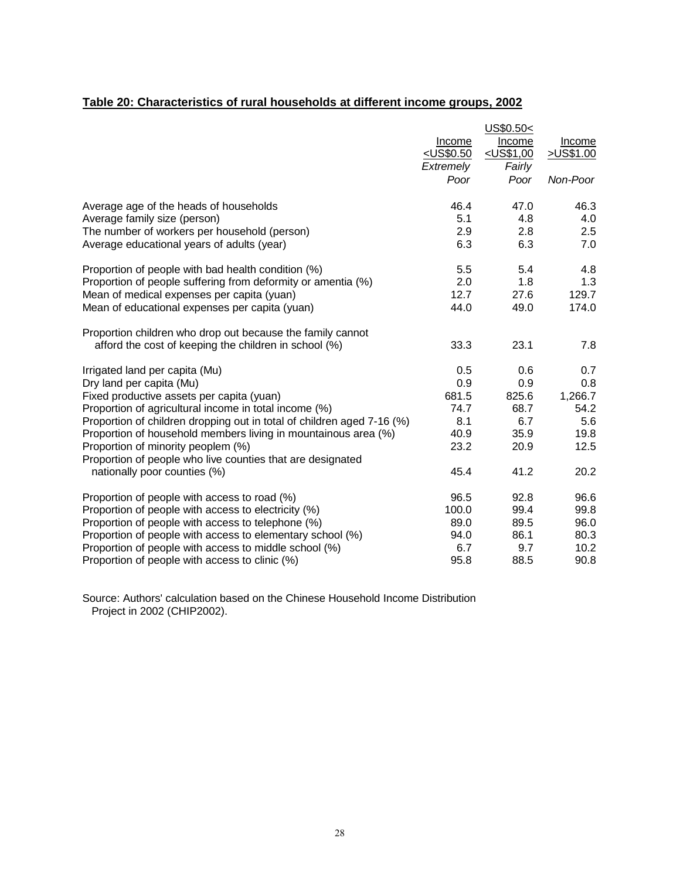# **Table 20: Characteristics of rural households at different income groups, 2002**

|                                                                        |                                     | US\$0.50<    |           |
|------------------------------------------------------------------------|-------------------------------------|--------------|-----------|
|                                                                        | Income                              | Income       | Income    |
|                                                                        | <u><us\$0.50< u=""></us\$0.50<></u> | $<$ US\$1,00 | >US\$1.00 |
|                                                                        | Extremely                           | Fairly       |           |
|                                                                        | Poor                                | Poor         | Non-Poor  |
| Average age of the heads of households                                 | 46.4                                | 47.0         | 46.3      |
| Average family size (person)                                           | 5.1                                 | 4.8          | 4.0       |
| The number of workers per household (person)                           | 2.9                                 | 2.8          | 2.5       |
| Average educational years of adults (year)                             | 6.3                                 | 6.3          | 7.0       |
| Proportion of people with bad health condition (%)                     | 5.5                                 | 5.4          | 4.8       |
| Proportion of people suffering from deformity or amentia (%)           | 2.0                                 | 1.8          | 1.3       |
| Mean of medical expenses per capita (yuan)                             | 12.7                                | 27.6         | 129.7     |
| Mean of educational expenses per capita (yuan)                         | 44.0                                | 49.0         | 174.0     |
| Proportion children who drop out because the family cannot             |                                     |              |           |
| afford the cost of keeping the children in school (%)                  | 33.3                                | 23.1         | 7.8       |
| Irrigated land per capita (Mu)                                         | 0.5                                 | 0.6          | 0.7       |
| Dry land per capita (Mu)                                               | 0.9                                 | 0.9          | 0.8       |
| Fixed productive assets per capita (yuan)                              | 681.5                               | 825.6        | 1,266.7   |
| Proportion of agricultural income in total income (%)                  | 74.7                                | 68.7         | 54.2      |
| Proportion of children dropping out in total of children aged 7-16 (%) | 8.1                                 | 6.7          | 5.6       |
| Proportion of household members living in mountainous area (%)         | 40.9                                | 35.9         | 19.8      |
| Proportion of minority peoplem (%)                                     | 23.2                                | 20.9         | 12.5      |
| Proportion of people who live counties that are designated             |                                     |              |           |
| nationally poor counties (%)                                           | 45.4                                | 41.2         | 20.2      |
| Proportion of people with access to road (%)                           | 96.5                                | 92.8         | 96.6      |
| Proportion of people with access to electricity (%)                    | 100.0                               | 99.4         | 99.8      |
| Proportion of people with access to telephone (%)                      | 89.0                                | 89.5         | 96.0      |
| Proportion of people with access to elementary school (%)              | 94.0                                | 86.1         | 80.3      |
| Proportion of people with access to middle school (%)                  | 6.7                                 | 9.7          | 10.2      |
| Proportion of people with access to clinic (%)                         | 95.8                                | 88.5         | 90.8      |

Source: Authors' calculation based on the Chinese Household Income Distribution Project in 2002 (CHIP2002).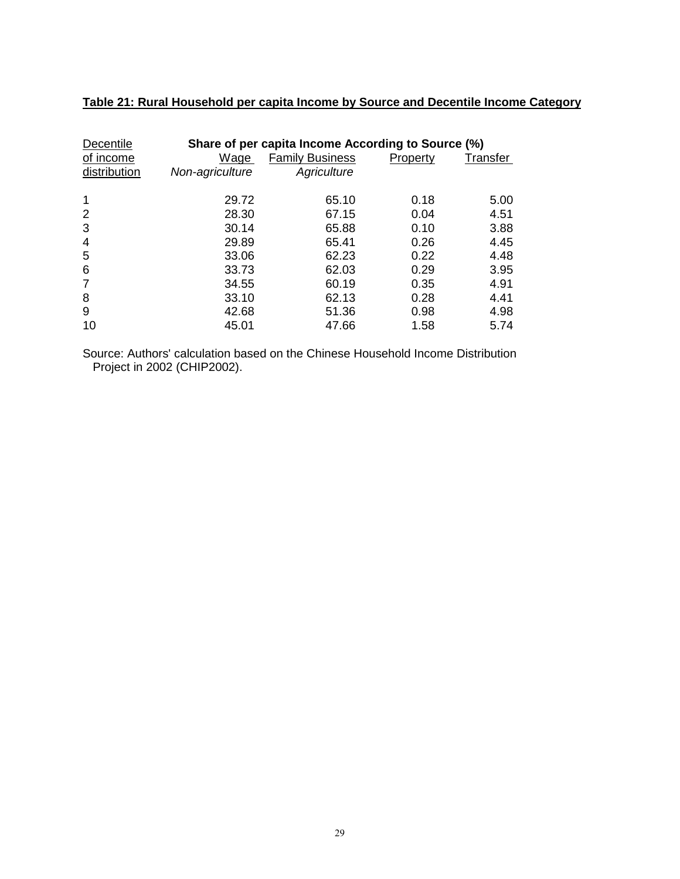| Decentile      |                 | Share of per capita Income According to Source (%) |          |          |
|----------------|-----------------|----------------------------------------------------|----------|----------|
| of income      | Wage            | <b>Family Business</b>                             | Property | Transfer |
| distribution   | Non-agriculture | Agriculture                                        |          |          |
| 1              | 29.72           | 65.10                                              | 0.18     | 5.00     |
| 2              | 28.30           | 67.15                                              | 0.04     | 4.51     |
| 3              | 30.14           | 65.88                                              | 0.10     | 3.88     |
| $\overline{4}$ | 29.89           | 65.41                                              | 0.26     | 4.45     |
| 5              | 33.06           | 62.23                                              | 0.22     | 4.48     |
| 6              | 33.73           | 62.03                                              | 0.29     | 3.95     |
| 7              | 34.55           | 60.19                                              | 0.35     | 4.91     |
| 8              | 33.10           | 62.13                                              | 0.28     | 4.41     |
| 9              | 42.68           | 51.36                                              | 0.98     | 4.98     |
| 10             | 45.01           | 47.66                                              | 1.58     | 5.74     |

# **Table 21: Rural Household per capita Income by Source and Decentile Income Category**

Source: Authors' calculation based on the Chinese Household Income Distribution Project in 2002 (CHIP2002).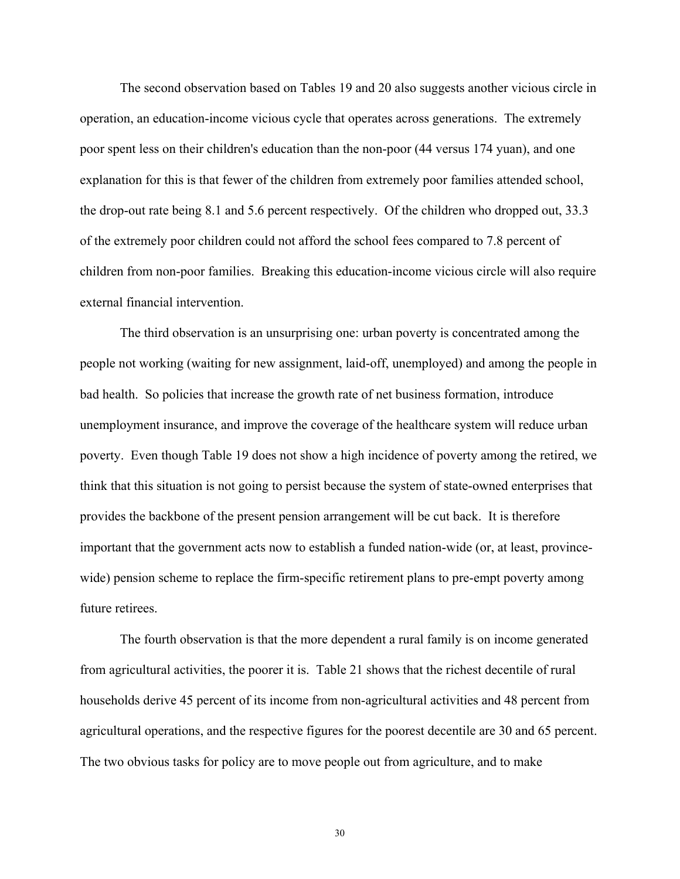The second observation based on Tables 19 and 20 also suggests another vicious circle in operation, an education-income vicious cycle that operates across generations. The extremely poor spent less on their children's education than the non-poor (44 versus 174 yuan), and one explanation for this is that fewer of the children from extremely poor families attended school, the drop-out rate being 8.1 and 5.6 percent respectively. Of the children who dropped out, 33.3 of the extremely poor children could not afford the school fees compared to 7.8 percent of children from non-poor families. Breaking this education-income vicious circle will also require external financial intervention.

 The third observation is an unsurprising one: urban poverty is concentrated among the people not working (waiting for new assignment, laid-off, unemployed) and among the people in bad health. So policies that increase the growth rate of net business formation, introduce unemployment insurance, and improve the coverage of the healthcare system will reduce urban poverty. Even though Table 19 does not show a high incidence of poverty among the retired, we think that this situation is not going to persist because the system of state-owned enterprises that provides the backbone of the present pension arrangement will be cut back. It is therefore important that the government acts now to establish a funded nation-wide (or, at least, provincewide) pension scheme to replace the firm-specific retirement plans to pre-empt poverty among future retirees.

 The fourth observation is that the more dependent a rural family is on income generated from agricultural activities, the poorer it is. Table 21 shows that the richest decentile of rural households derive 45 percent of its income from non-agricultural activities and 48 percent from agricultural operations, and the respective figures for the poorest decentile are 30 and 65 percent. The two obvious tasks for policy are to move people out from agriculture, and to make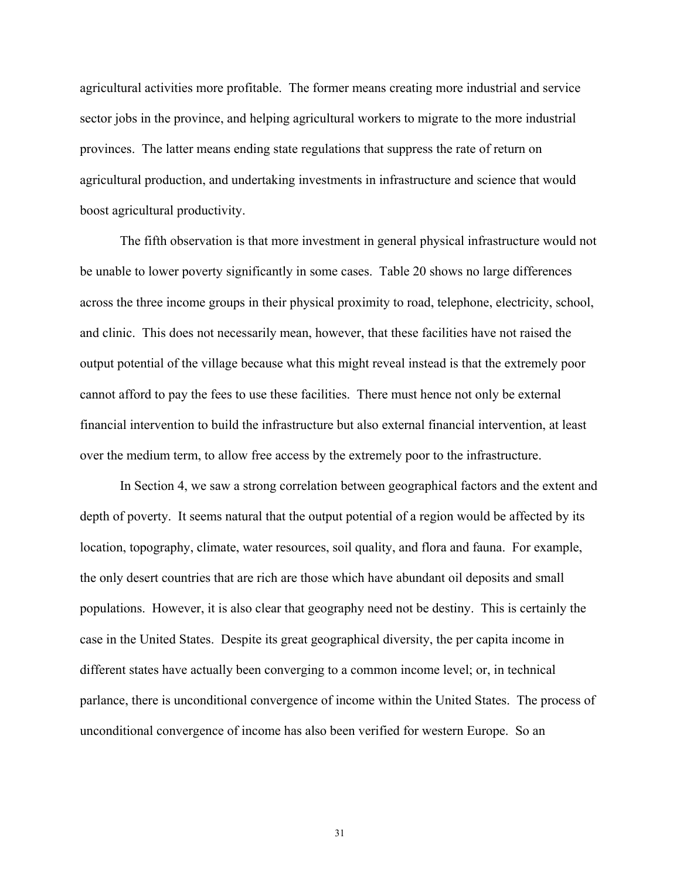agricultural activities more profitable. The former means creating more industrial and service sector jobs in the province, and helping agricultural workers to migrate to the more industrial provinces. The latter means ending state regulations that suppress the rate of return on agricultural production, and undertaking investments in infrastructure and science that would boost agricultural productivity.

 The fifth observation is that more investment in general physical infrastructure would not be unable to lower poverty significantly in some cases. Table 20 shows no large differences across the three income groups in their physical proximity to road, telephone, electricity, school, and clinic. This does not necessarily mean, however, that these facilities have not raised the output potential of the village because what this might reveal instead is that the extremely poor cannot afford to pay the fees to use these facilities. There must hence not only be external financial intervention to build the infrastructure but also external financial intervention, at least over the medium term, to allow free access by the extremely poor to the infrastructure.

 In Section 4, we saw a strong correlation between geographical factors and the extent and depth of poverty. It seems natural that the output potential of a region would be affected by its location, topography, climate, water resources, soil quality, and flora and fauna. For example, the only desert countries that are rich are those which have abundant oil deposits and small populations. However, it is also clear that geography need not be destiny. This is certainly the case in the United States. Despite its great geographical diversity, the per capita income in different states have actually been converging to a common income level; or, in technical parlance, there is unconditional convergence of income within the United States. The process of unconditional convergence of income has also been verified for western Europe. So an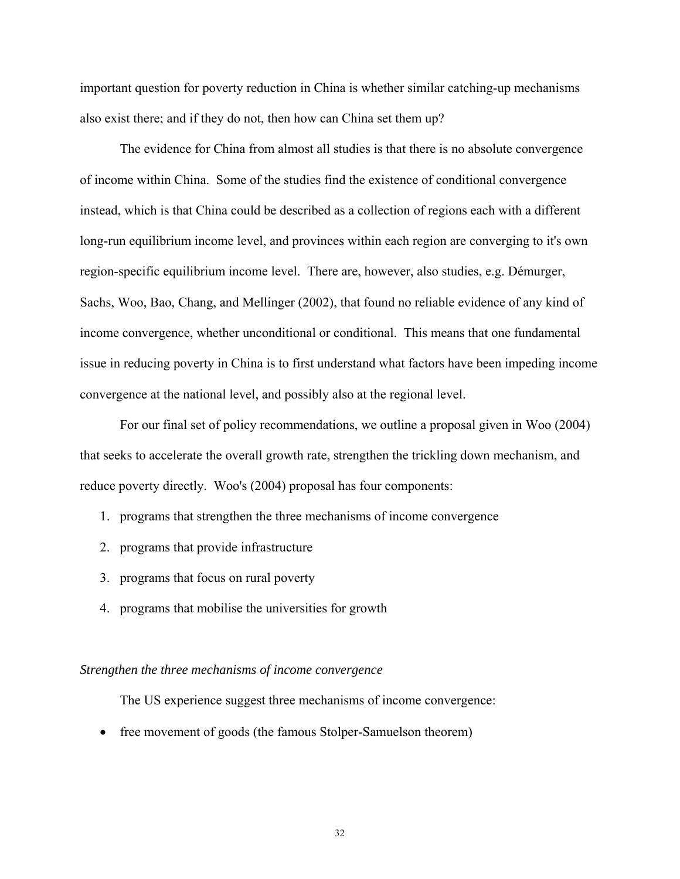important question for poverty reduction in China is whether similar catching-up mechanisms also exist there; and if they do not, then how can China set them up?

 The evidence for China from almost all studies is that there is no absolute convergence of income within China. Some of the studies find the existence of conditional convergence instead, which is that China could be described as a collection of regions each with a different long-run equilibrium income level, and provinces within each region are converging to it's own region-specific equilibrium income level. There are, however, also studies, e.g. Démurger, Sachs, Woo, Bao, Chang, and Mellinger (2002), that found no reliable evidence of any kind of income convergence, whether unconditional or conditional. This means that one fundamental issue in reducing poverty in China is to first understand what factors have been impeding income convergence at the national level, and possibly also at the regional level.

 For our final set of policy recommendations, we outline a proposal given in Woo (2004) that seeks to accelerate the overall growth rate, strengthen the trickling down mechanism, and reduce poverty directly. Woo's (2004) proposal has four components:

- 1. programs that strengthen the three mechanisms of income convergence
- 2. programs that provide infrastructure
- 3. programs that focus on rural poverty
- 4. programs that mobilise the universities for growth

#### *Strengthen the three mechanisms of income convergence*

The US experience suggest three mechanisms of income convergence:

• free movement of goods (the famous Stolper-Samuelson theorem)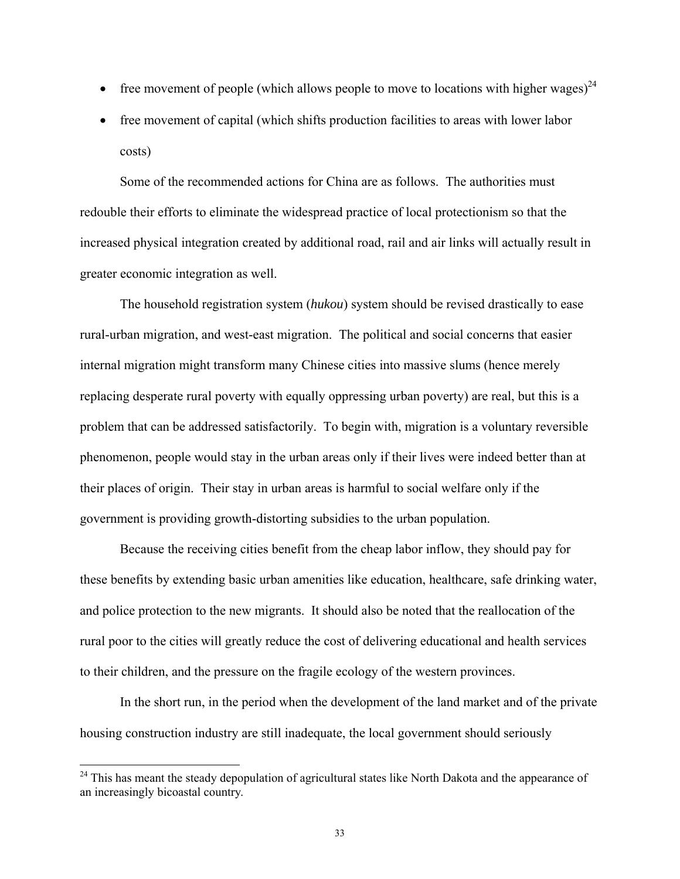- free movement of people (which allows people to move to locations with higher wages)<sup>24</sup>
- free movement of capital (which shifts production facilities to areas with lower labor costs)

 Some of the recommended actions for China are as follows. The authorities must redouble their efforts to eliminate the widespread practice of local protectionism so that the increased physical integration created by additional road, rail and air links will actually result in greater economic integration as well.

 The household registration system (*hukou*) system should be revised drastically to ease rural-urban migration, and west-east migration. The political and social concerns that easier internal migration might transform many Chinese cities into massive slums (hence merely replacing desperate rural poverty with equally oppressing urban poverty) are real, but this is a problem that can be addressed satisfactorily. To begin with, migration is a voluntary reversible phenomenon, people would stay in the urban areas only if their lives were indeed better than at their places of origin. Their stay in urban areas is harmful to social welfare only if the government is providing growth-distorting subsidies to the urban population.

 Because the receiving cities benefit from the cheap labor inflow, they should pay for these benefits by extending basic urban amenities like education, healthcare, safe drinking water, and police protection to the new migrants. It should also be noted that the reallocation of the rural poor to the cities will greatly reduce the cost of delivering educational and health services to their children, and the pressure on the fragile ecology of the western provinces.

 In the short run, in the period when the development of the land market and of the private housing construction industry are still inadequate, the local government should seriously

 $24$  This has meant the steady depopulation of agricultural states like North Dakota and the appearance of an increasingly bicoastal country.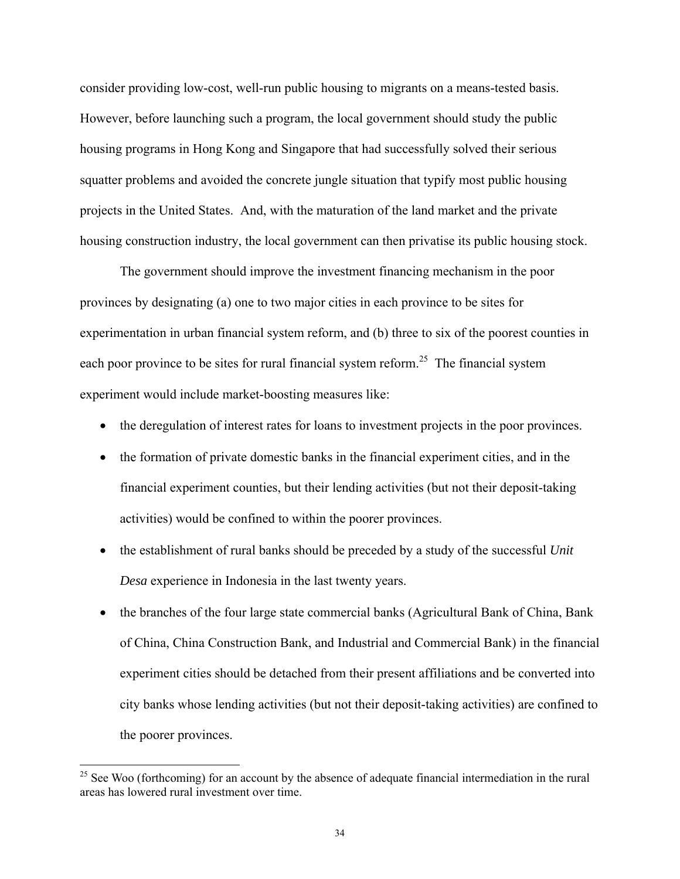consider providing low-cost, well-run public housing to migrants on a means-tested basis. However, before launching such a program, the local government should study the public housing programs in Hong Kong and Singapore that had successfully solved their serious squatter problems and avoided the concrete jungle situation that typify most public housing projects in the United States. And, with the maturation of the land market and the private housing construction industry, the local government can then privatise its public housing stock.

 The government should improve the investment financing mechanism in the poor provinces by designating (a) one to two major cities in each province to be sites for experimentation in urban financial system reform, and (b) three to six of the poorest counties in each poor province to be sites for rural financial system reform.<sup>25</sup> The financial system experiment would include market-boosting measures like:

- the deregulation of interest rates for loans to investment projects in the poor provinces.
- the formation of private domestic banks in the financial experiment cities, and in the financial experiment counties, but their lending activities (but not their deposit-taking activities) would be confined to within the poorer provinces.
- the establishment of rural banks should be preceded by a study of the successful *Unit Desa* experience in Indonesia in the last twenty years.
- the branches of the four large state commercial banks (Agricultural Bank of China, Bank of China, China Construction Bank, and Industrial and Commercial Bank) in the financial experiment cities should be detached from their present affiliations and be converted into city banks whose lending activities (but not their deposit-taking activities) are confined to the poorer provinces.

 $25$  See Woo (forthcoming) for an account by the absence of adequate financial intermediation in the rural areas has lowered rural investment over time.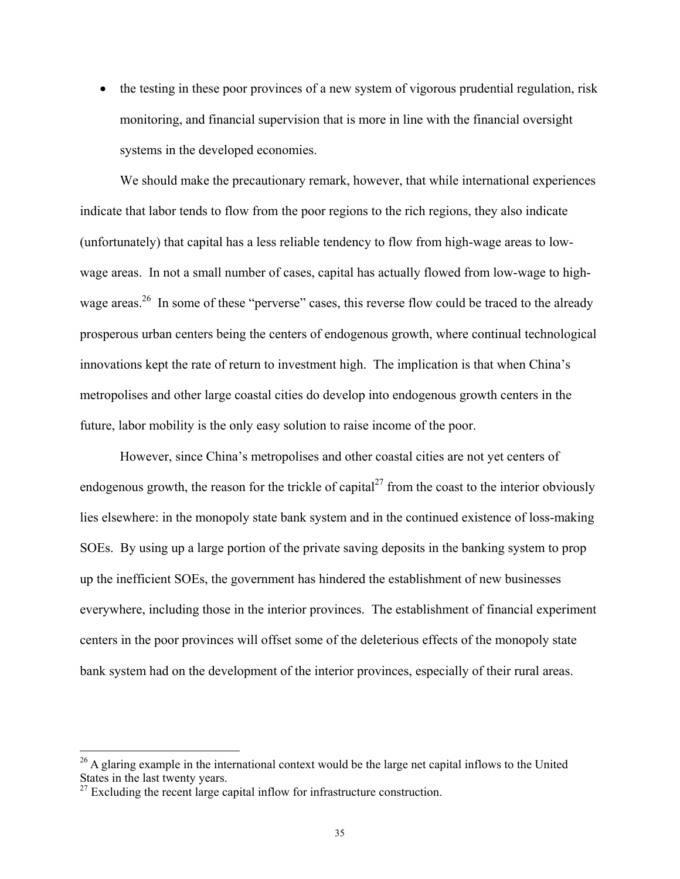• the testing in these poor provinces of a new system of vigorous prudential regulation, risk monitoring, and financial supervision that is more in line with the financial oversight systems in the developed economies.

 We should make the precautionary remark, however, that while international experiences indicate that labor tends to flow from the poor regions to the rich regions, they also indicate (unfortunately) that capital has a less reliable tendency to flow from high-wage areas to lowwage areas. In not a small number of cases, capital has actually flowed from low-wage to highwage areas.<sup>26</sup> In some of these "perverse" cases, this reverse flow could be traced to the already prosperous urban centers being the centers of endogenous growth, where continual technological innovations kept the rate of return to investment high. The implication is that when China's metropolises and other large coastal cities do develop into endogenous growth centers in the future, labor mobility is the only easy solution to raise income of the poor.

 However, since China's metropolises and other coastal cities are not yet centers of endogenous growth, the reason for the trickle of capital<sup>27</sup> from the coast to the interior obviously lies elsewhere: in the monopoly state bank system and in the continued existence of loss-making SOEs. By using up a large portion of the private saving deposits in the banking system to prop up the inefficient SOEs, the government has hindered the establishment of new businesses everywhere, including those in the interior provinces. The establishment of financial experiment centers in the poor provinces will offset some of the deleterious effects of the monopoly state bank system had on the development of the interior provinces, especially of their rural areas.

<sup>&</sup>lt;sup>26</sup> A glaring example in the international context would be the large net capital inflows to the United States in the last twenty years.

 $27$  Excluding the recent large capital inflow for infrastructure construction.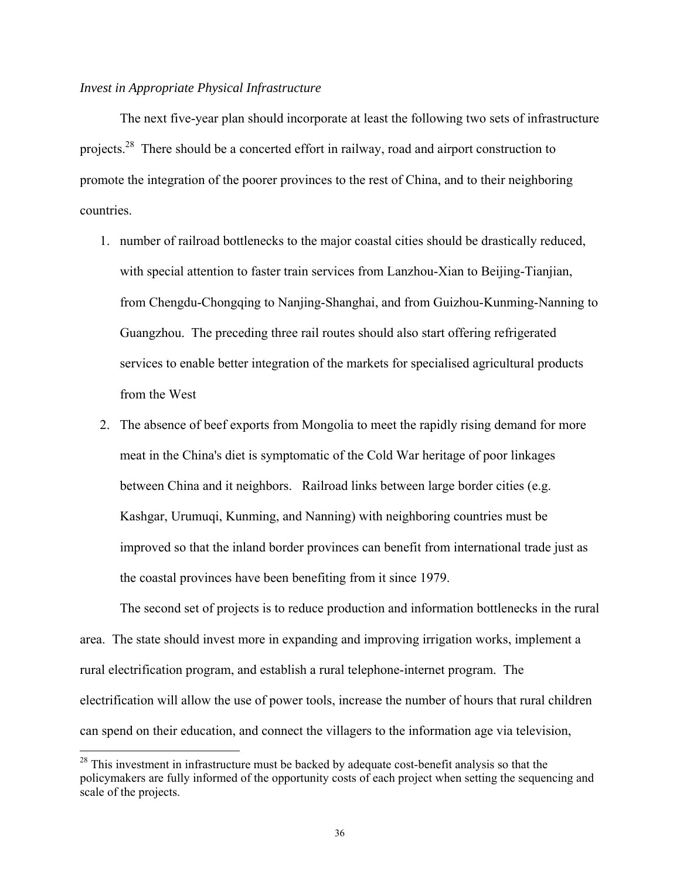#### *Invest in Appropriate Physical Infrastructure*

 $\overline{a}$ 

 The next five-year plan should incorporate at least the following two sets of infrastructure projects.<sup>28</sup> There should be a concerted effort in railway, road and airport construction to promote the integration of the poorer provinces to the rest of China, and to their neighboring countries.

- 1. number of railroad bottlenecks to the major coastal cities should be drastically reduced, with special attention to faster train services from Lanzhou-Xian to Beijing-Tianjian, from Chengdu-Chongqing to Nanjing-Shanghai, and from Guizhou-Kunming-Nanning to Guangzhou. The preceding three rail routes should also start offering refrigerated services to enable better integration of the markets for specialised agricultural products from the West
- 2. The absence of beef exports from Mongolia to meet the rapidly rising demand for more meat in the China's diet is symptomatic of the Cold War heritage of poor linkages between China and it neighbors. Railroad links between large border cities (e.g. Kashgar, Urumuqi, Kunming, and Nanning) with neighboring countries must be improved so that the inland border provinces can benefit from international trade just as the coastal provinces have been benefiting from it since 1979.

 The second set of projects is to reduce production and information bottlenecks in the rural area. The state should invest more in expanding and improving irrigation works, implement a rural electrification program, and establish a rural telephone-internet program. The electrification will allow the use of power tools, increase the number of hours that rural children can spend on their education, and connect the villagers to the information age via television,

<sup>&</sup>lt;sup>28</sup> This investment in infrastructure must be backed by adequate cost-benefit analysis so that the policymakers are fully informed of the opportunity costs of each project when setting the sequencing and scale of the projects.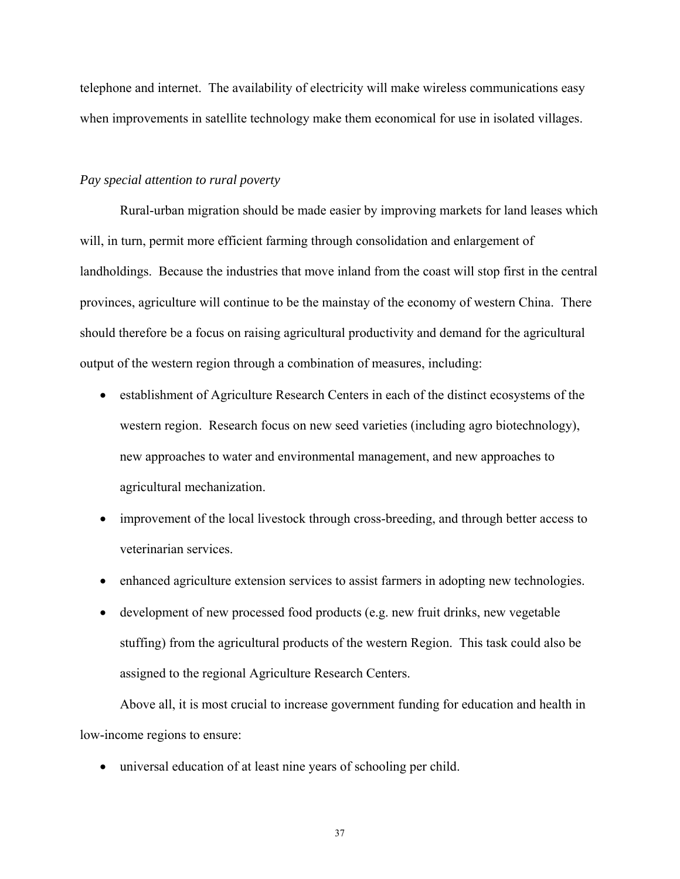telephone and internet. The availability of electricity will make wireless communications easy when improvements in satellite technology make them economical for use in isolated villages.

#### *Pay special attention to rural poverty*

 Rural-urban migration should be made easier by improving markets for land leases which will, in turn, permit more efficient farming through consolidation and enlargement of landholdings. Because the industries that move inland from the coast will stop first in the central provinces, agriculture will continue to be the mainstay of the economy of western China. There should therefore be a focus on raising agricultural productivity and demand for the agricultural output of the western region through a combination of measures, including:

- establishment of Agriculture Research Centers in each of the distinct ecosystems of the western region. Research focus on new seed varieties (including agro biotechnology), new approaches to water and environmental management, and new approaches to agricultural mechanization.
- improvement of the local livestock through cross-breeding, and through better access to veterinarian services.
- enhanced agriculture extension services to assist farmers in adopting new technologies.
- development of new processed food products (e.g. new fruit drinks, new vegetable stuffing) from the agricultural products of the western Region. This task could also be assigned to the regional Agriculture Research Centers.

 Above all, it is most crucial to increase government funding for education and health in low-income regions to ensure:

• universal education of at least nine years of schooling per child.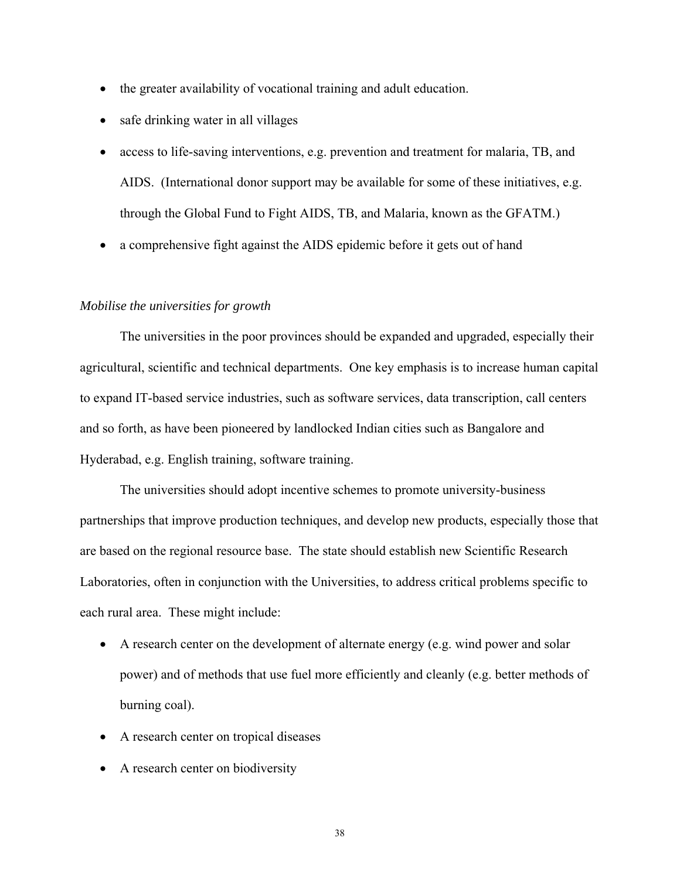- the greater availability of vocational training and adult education.
- safe drinking water in all villages
- access to life-saving interventions, e.g. prevention and treatment for malaria, TB, and AIDS. (International donor support may be available for some of these initiatives, e.g. through the Global Fund to Fight AIDS, TB, and Malaria, known as the GFATM.)
- a comprehensive fight against the AIDS epidemic before it gets out of hand

#### *Mobilise the universities for growth*

 The universities in the poor provinces should be expanded and upgraded, especially their agricultural, scientific and technical departments. One key emphasis is to increase human capital to expand IT-based service industries, such as software services, data transcription, call centers and so forth, as have been pioneered by landlocked Indian cities such as Bangalore and Hyderabad, e.g. English training, software training.

 The universities should adopt incentive schemes to promote university-business partnerships that improve production techniques, and develop new products, especially those that are based on the regional resource base. The state should establish new Scientific Research Laboratories, often in conjunction with the Universities, to address critical problems specific to each rural area. These might include:

- A research center on the development of alternate energy (e.g. wind power and solar power) and of methods that use fuel more efficiently and cleanly (e.g. better methods of burning coal).
- A research center on tropical diseases
- A research center on biodiversity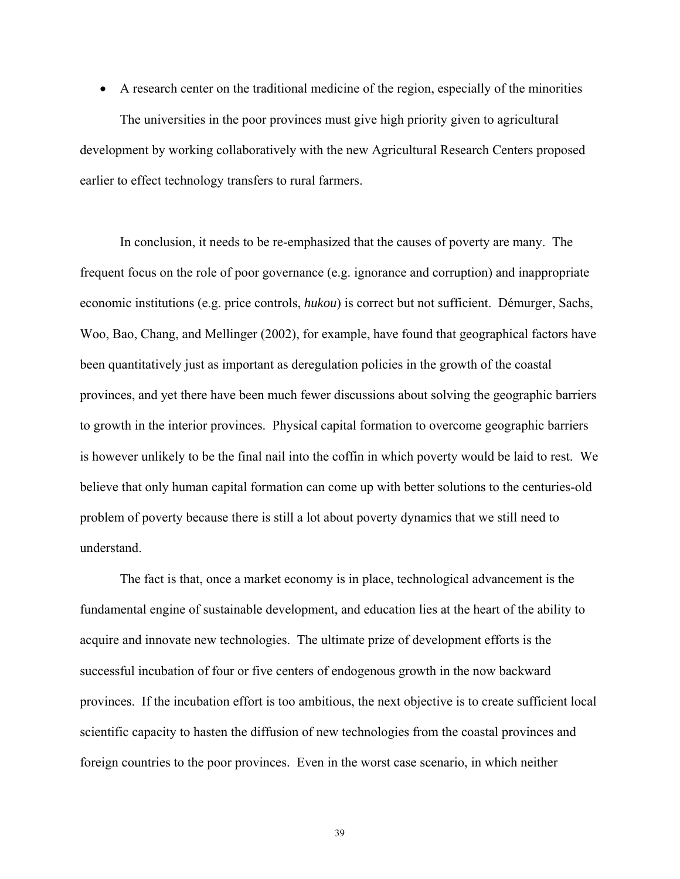• A research center on the traditional medicine of the region, especially of the minorities The universities in the poor provinces must give high priority given to agricultural development by working collaboratively with the new Agricultural Research Centers proposed earlier to effect technology transfers to rural farmers.

 In conclusion, it needs to be re-emphasized that the causes of poverty are many. The frequent focus on the role of poor governance (e.g. ignorance and corruption) and inappropriate economic institutions (e.g. price controls, *hukou*) is correct but not sufficient. Démurger, Sachs, Woo, Bao, Chang, and Mellinger (2002), for example, have found that geographical factors have been quantitatively just as important as deregulation policies in the growth of the coastal provinces, and yet there have been much fewer discussions about solving the geographic barriers to growth in the interior provinces. Physical capital formation to overcome geographic barriers is however unlikely to be the final nail into the coffin in which poverty would be laid to rest. We believe that only human capital formation can come up with better solutions to the centuries-old problem of poverty because there is still a lot about poverty dynamics that we still need to understand.

 The fact is that, once a market economy is in place, technological advancement is the fundamental engine of sustainable development, and education lies at the heart of the ability to acquire and innovate new technologies. The ultimate prize of development efforts is the successful incubation of four or five centers of endogenous growth in the now backward provinces. If the incubation effort is too ambitious, the next objective is to create sufficient local scientific capacity to hasten the diffusion of new technologies from the coastal provinces and foreign countries to the poor provinces. Even in the worst case scenario, in which neither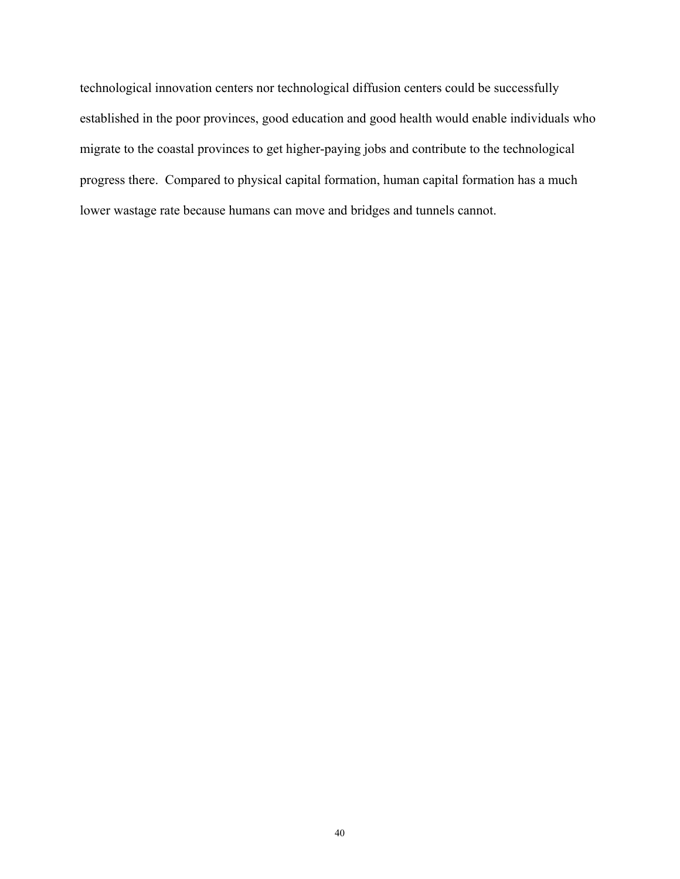technological innovation centers nor technological diffusion centers could be successfully established in the poor provinces, good education and good health would enable individuals who migrate to the coastal provinces to get higher-paying jobs and contribute to the technological progress there. Compared to physical capital formation, human capital formation has a much lower wastage rate because humans can move and bridges and tunnels cannot.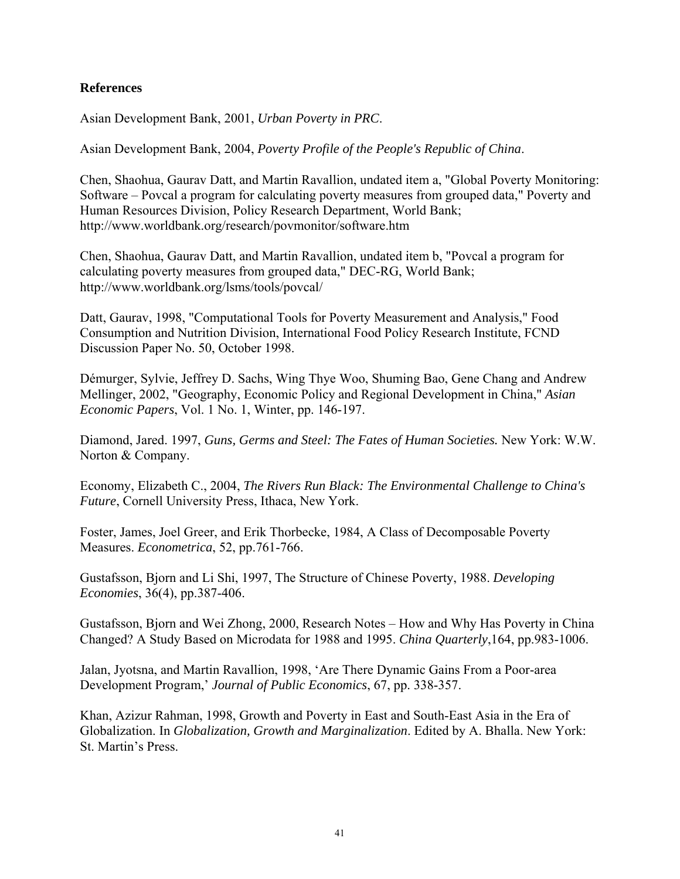### **References**

Asian Development Bank, 2001, *Urban Poverty in PRC*.

Asian Development Bank, 2004, *Poverty Profile of the People's Republic of China*.

Chen, Shaohua, Gaurav Datt, and Martin Ravallion, undated item a, "Global Poverty Monitoring: Software – Povcal a program for calculating poverty measures from grouped data," Poverty and Human Resources Division, Policy Research Department, World Bank; http://www.worldbank.org/research/povmonitor/software.htm

Chen, Shaohua, Gaurav Datt, and Martin Ravallion, undated item b, "Povcal a program for calculating poverty measures from grouped data," DEC-RG, World Bank; http://www.worldbank.org/lsms/tools/povcal/

Datt, Gaurav, 1998, "Computational Tools for Poverty Measurement and Analysis," Food Consumption and Nutrition Division, International Food Policy Research Institute, FCND Discussion Paper No. 50, October 1998.

Démurger, Sylvie, Jeffrey D. Sachs, Wing Thye Woo, Shuming Bao, Gene Chang and Andrew Mellinger, 2002, "Geography, Economic Policy and Regional Development in China," *Asian Economic Papers*, Vol. 1 No. 1, Winter, pp. 146-197.

Diamond, Jared. 1997, *Guns, Germs and Steel: The Fates of Human Societies.* New York: W.W. Norton & Company.

Economy, Elizabeth C., 2004, *The Rivers Run Black: The Environmental Challenge to China's Future*, Cornell University Press, Ithaca, New York.

Foster, James, Joel Greer, and Erik Thorbecke, 1984, A Class of Decomposable Poverty Measures. *Econometrica*, 52, pp.761-766.

Gustafsson, Bjorn and Li Shi, 1997, The Structure of Chinese Poverty, 1988. *Developing Economies*, 36(4), pp.387-406.

Gustafsson, Bjorn and Wei Zhong, 2000, Research Notes – How and Why Has Poverty in China Changed? A Study Based on Microdata for 1988 and 1995. *China Quarterly*,164, pp.983-1006.

Jalan, Jyotsna, and Martin Ravallion, 1998, 'Are There Dynamic Gains From a Poor-area Development Program,' *Journal of Public Economics*, 67, pp. 338-357.

Khan, Azizur Rahman, 1998, Growth and Poverty in East and South-East Asia in the Era of Globalization. In *Globalization, Growth and Marginalization*. Edited by A. Bhalla. New York: St. Martin's Press.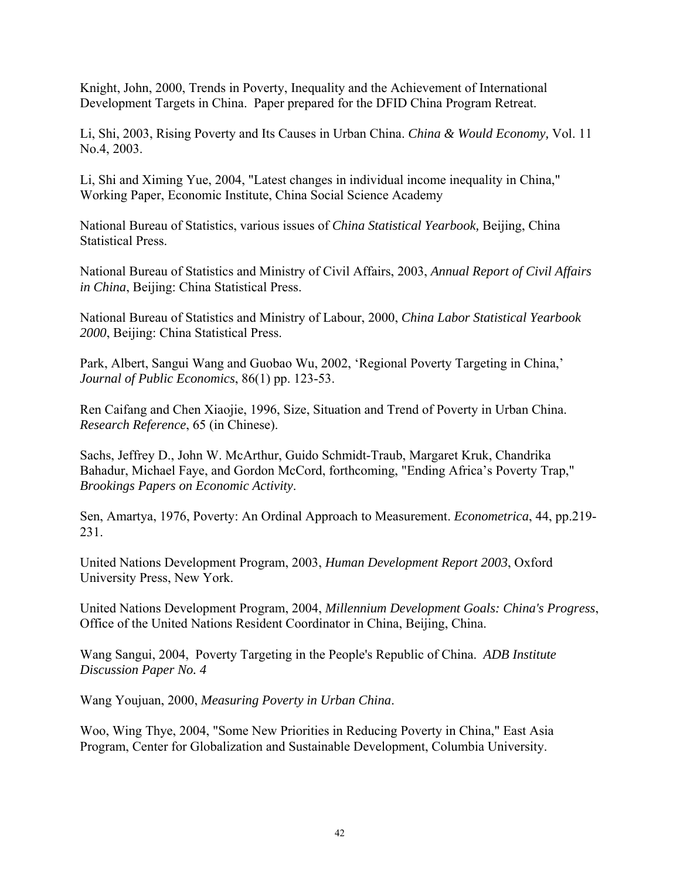Knight, John, 2000, Trends in Poverty, Inequality and the Achievement of International Development Targets in China. Paper prepared for the DFID China Program Retreat.

Li, Shi, 2003, Rising Poverty and Its Causes in Urban China. *China & Would Economy,* Vol. 11 No.4, 2003.

Li, Shi and Ximing Yue, 2004, "Latest changes in individual income inequality in China," Working Paper, Economic Institute, China Social Science Academy

National Bureau of Statistics, various issues of *China Statistical Yearbook,* Beijing, China Statistical Press.

National Bureau of Statistics and Ministry of Civil Affairs, 2003, *Annual Report of Civil Affairs in China*, Beijing: China Statistical Press.

National Bureau of Statistics and Ministry of Labour, 2000, *China Labor Statistical Yearbook 2000*, Beijing: China Statistical Press.

Park, Albert, Sangui Wang and Guobao Wu, 2002, 'Regional Poverty Targeting in China,' *Journal of Public Economics*, 86(1) pp. 123-53.

Ren Caifang and Chen Xiaojie, 1996, Size, Situation and Trend of Poverty in Urban China. *Research Reference*, 65 (in Chinese).

Sachs, Jeffrey D., John W. McArthur, Guido Schmidt-Traub, Margaret Kruk, Chandrika Bahadur, Michael Faye, and Gordon McCord, forthcoming, "Ending Africa's Poverty Trap," *Brookings Papers on Economic Activity*.

Sen, Amartya, 1976, Poverty: An Ordinal Approach to Measurement. *Econometrica*, 44, pp.219- 231.

United Nations Development Program, 2003, *Human Development Report 2003*, Oxford University Press, New York.

United Nations Development Program, 2004, *Millennium Development Goals: China's Progress*, Office of the United Nations Resident Coordinator in China, Beijing, China.

Wang Sangui, 2004, Poverty Targeting in the People's Republic of China. *ADB Institute Discussion Paper No. 4* 

Wang Youjuan, 2000, *Measuring Poverty in Urban China*.

Woo, Wing Thye, 2004, "Some New Priorities in Reducing Poverty in China," East Asia Program, Center for Globalization and Sustainable Development, Columbia University.